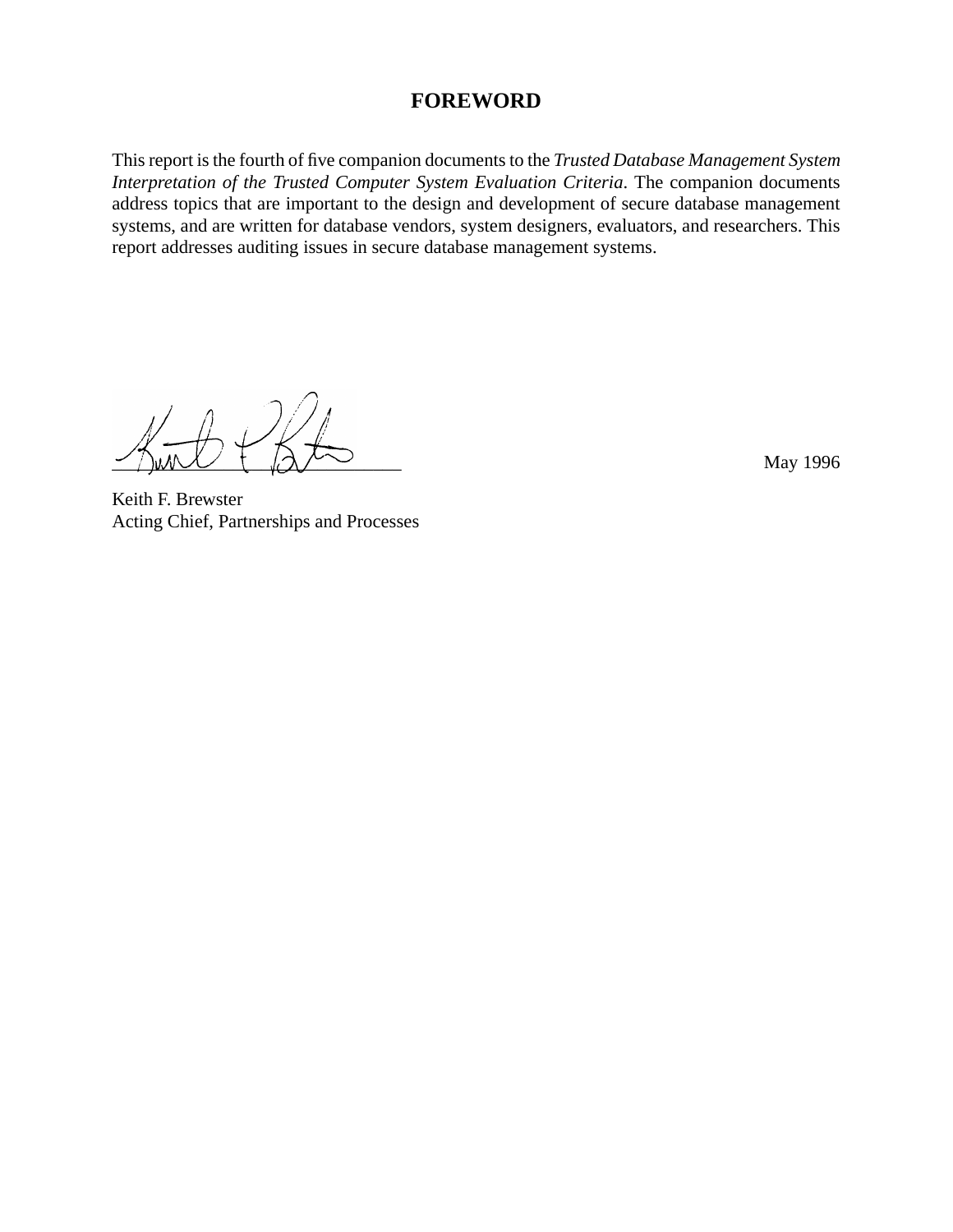#### **FOREWORD**

This report is the fourth of five companion documents to the *Trusted Database Management System Interpretation of the Trusted Computer System Evaluation Criteria*. The companion documents address topics that are important to the design and development of secure database management systems, and are written for database vendors, system designers, evaluators, and researchers. This report addresses auditing issues in secure database management systems.

 $\geq$   $\wedge$   $\vee$   $\vee$   $\vee$   $\vee$   $\vee$   $\vee$   $\vee$   $\vee$   $\vee$   $\vee$   $\vee$   $\vee$   $\vee$   $\vee$   $\vee$   $\vee$   $\vee$   $\vee$   $\vee$   $\vee$   $\vee$   $\vee$   $\vee$   $\vee$   $\vee$   $\vee$   $\vee$   $\vee$   $\vee$   $\vee$   $\vee$   $\vee$   $\vee$   $\vee$   $\vee$ 

Keith F. Brewster Acting Chief, Partnerships and Processes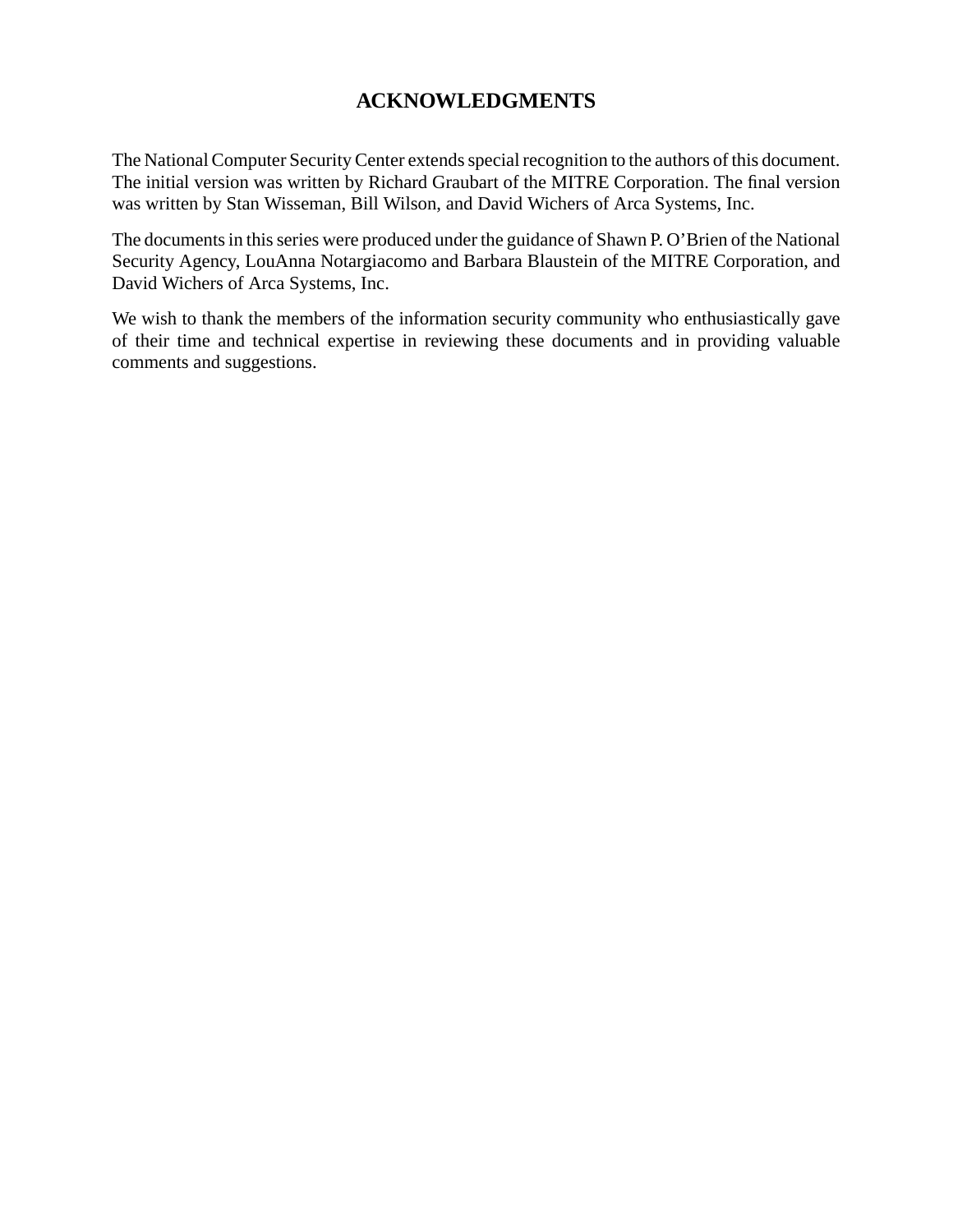## **ACKNOWLEDGMENTS**

The National Computer Security Center extends special recognition to the authors of this document. The initial version was written by Richard Graubart of the MITRE Corporation. The final version was written by Stan Wisseman, Bill Wilson, and David Wichers of Arca Systems, Inc.

The documents in this series were produced under the guidance of Shawn P. O'Brien of the National Security Agency, LouAnna Notargiacomo and Barbara Blaustein of the MITRE Corporation, and David Wichers of Arca Systems, Inc.

We wish to thank the members of the information security community who enthusiastically gave of their time and technical expertise in reviewing these documents and in providing valuable comments and suggestions.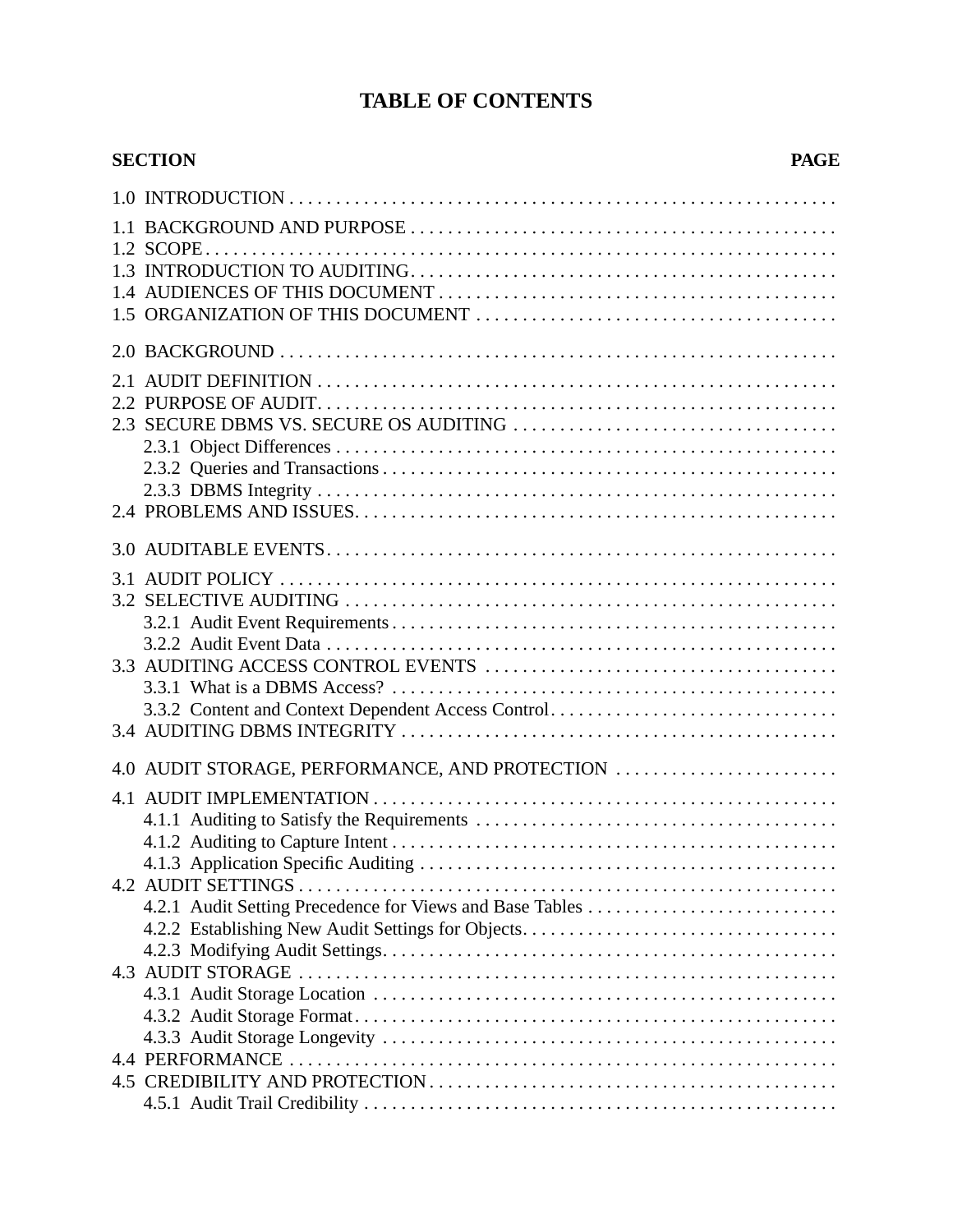## **TABLE OF CONTENTS**

| 3.3.2 Content and Context Dependent Access Control<br>4.0 AUDIT STORAGE, PERFORMANCE, AND PROTECTION<br>4.2.1 Audit Setting Precedence for Views and Base Tables | <b>SECTION</b><br><b>PAGE</b> |
|------------------------------------------------------------------------------------------------------------------------------------------------------------------|-------------------------------|
|                                                                                                                                                                  |                               |
|                                                                                                                                                                  |                               |
|                                                                                                                                                                  |                               |
|                                                                                                                                                                  |                               |
|                                                                                                                                                                  |                               |
|                                                                                                                                                                  |                               |
|                                                                                                                                                                  |                               |
|                                                                                                                                                                  |                               |
|                                                                                                                                                                  |                               |
|                                                                                                                                                                  |                               |
|                                                                                                                                                                  |                               |
|                                                                                                                                                                  |                               |
|                                                                                                                                                                  |                               |
|                                                                                                                                                                  |                               |
|                                                                                                                                                                  |                               |
|                                                                                                                                                                  |                               |
|                                                                                                                                                                  |                               |
|                                                                                                                                                                  |                               |
|                                                                                                                                                                  |                               |
|                                                                                                                                                                  |                               |
|                                                                                                                                                                  |                               |
|                                                                                                                                                                  |                               |
|                                                                                                                                                                  |                               |
|                                                                                                                                                                  |                               |
|                                                                                                                                                                  |                               |
|                                                                                                                                                                  |                               |
|                                                                                                                                                                  |                               |
|                                                                                                                                                                  |                               |
|                                                                                                                                                                  |                               |
|                                                                                                                                                                  |                               |
|                                                                                                                                                                  |                               |
|                                                                                                                                                                  |                               |
|                                                                                                                                                                  |                               |
|                                                                                                                                                                  |                               |
|                                                                                                                                                                  |                               |
|                                                                                                                                                                  |                               |
|                                                                                                                                                                  |                               |
|                                                                                                                                                                  |                               |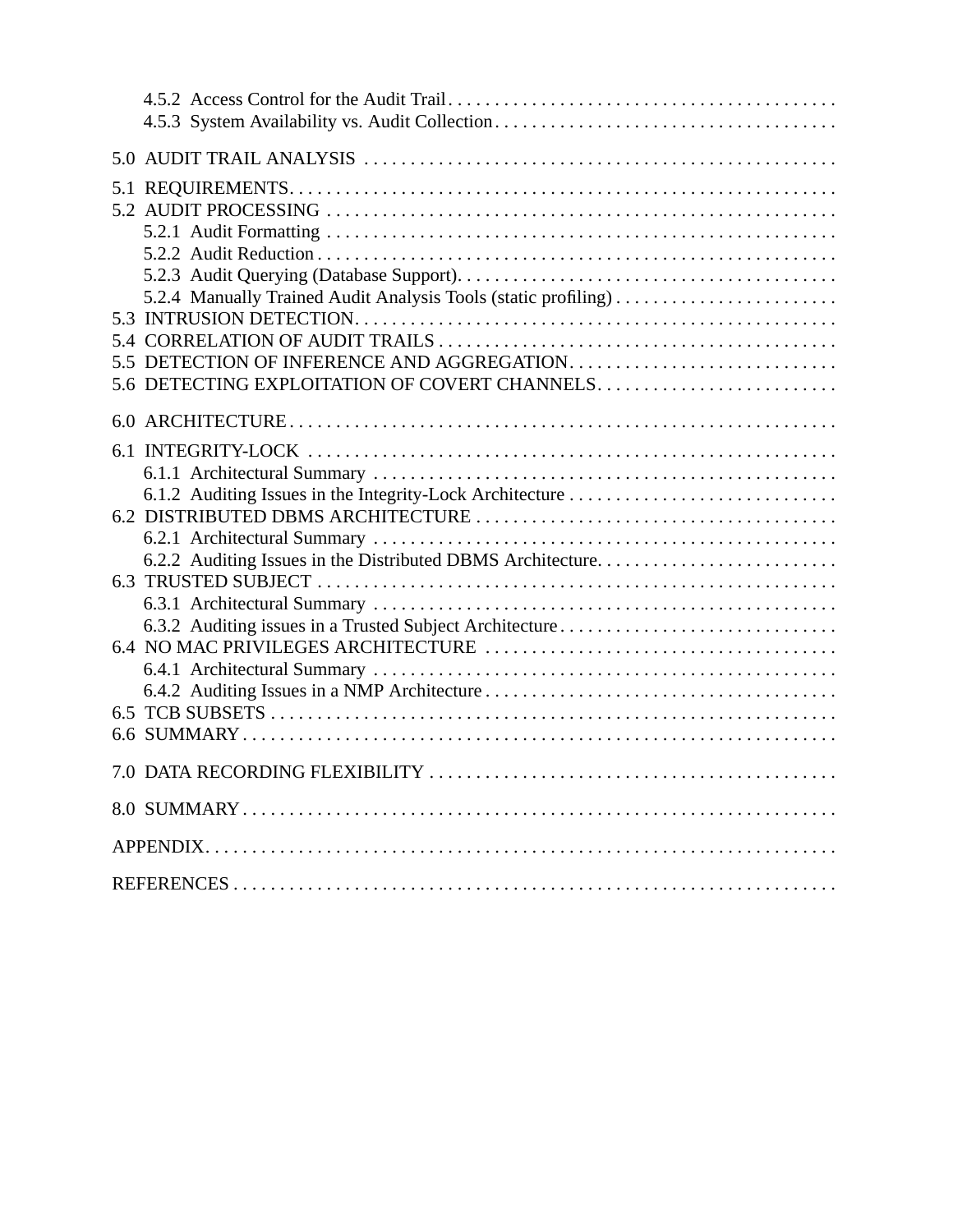| 5.2.4 Manually Trained Audit Analysis Tools (static profiling) |
|----------------------------------------------------------------|
|                                                                |
|                                                                |
| 5.6 DETECTING EXPLOITATION OF COVERT CHANNELS                  |
|                                                                |
|                                                                |
|                                                                |
| 6.1.2 Auditing Issues in the Integrity-Lock Architecture       |
|                                                                |
|                                                                |
| 6.2.2 Auditing Issues in the Distributed DBMS Architecture     |
|                                                                |
|                                                                |
| 6.3.2 Auditing issues in a Trusted Subject Architecture        |
|                                                                |
|                                                                |
|                                                                |
|                                                                |
|                                                                |
|                                                                |
|                                                                |
|                                                                |
|                                                                |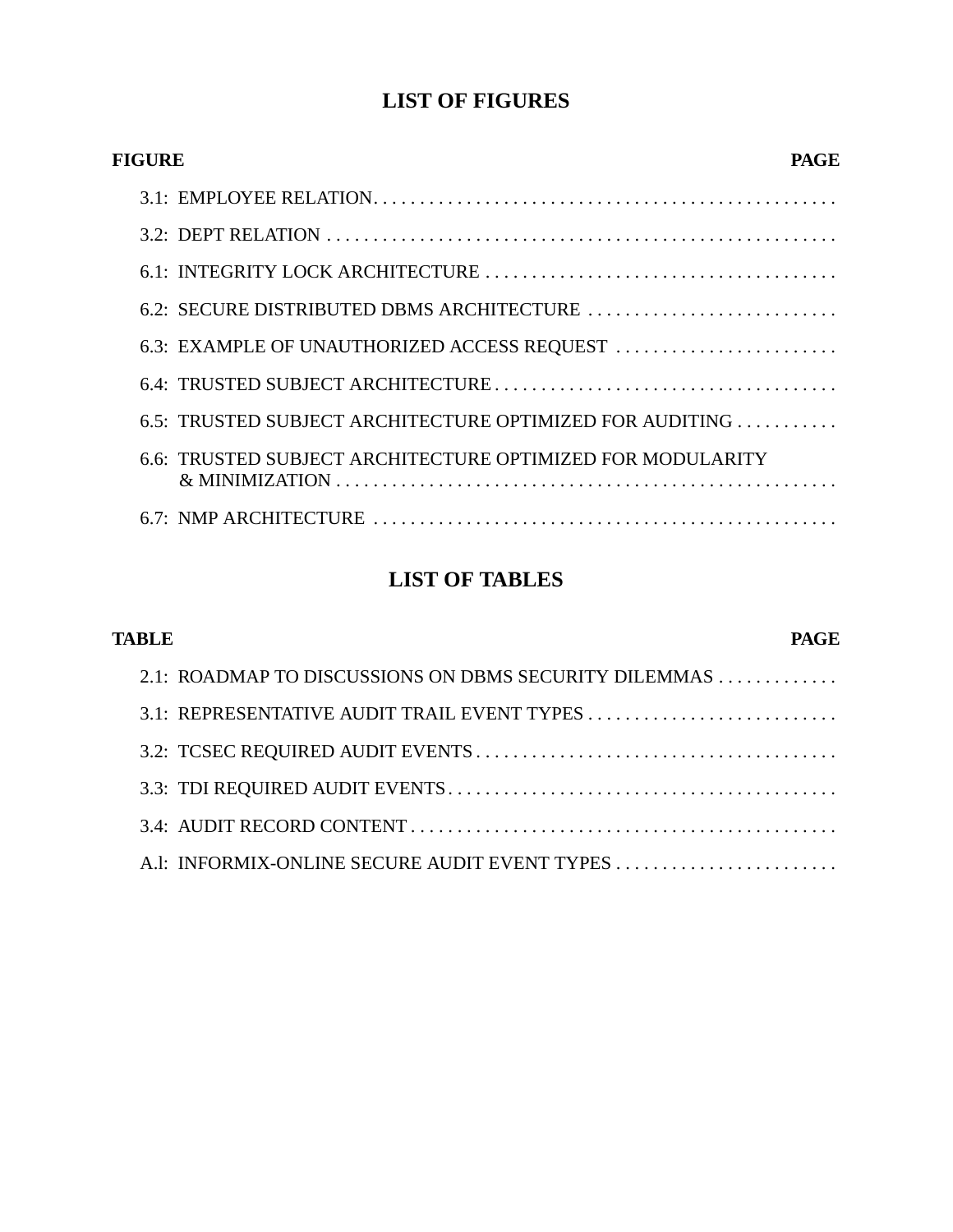## **LIST OF FIGURES**

| FIGURE                                                     | PAGE |
|------------------------------------------------------------|------|
|                                                            |      |
|                                                            |      |
|                                                            |      |
|                                                            |      |
| 6.3: EXAMPLE OF UNAUTHORIZED ACCESS REQUEST                |      |
|                                                            |      |
| 6.5: TRUSTED SUBJECT ARCHITECTURE OPTIMIZED FOR AUDITING   |      |
| 6.6: TRUSTED SUBJECT ARCHITECTURE OPTIMIZED FOR MODULARITY |      |
|                                                            |      |

# **LIST OF TABLES**

| <b>TABLE</b><br>PAGE |                                                       |  |
|----------------------|-------------------------------------------------------|--|
|                      | 2.1: ROADMAP TO DISCUSSIONS ON DBMS SECURITY DILEMMAS |  |
|                      |                                                       |  |
|                      |                                                       |  |
|                      |                                                       |  |
|                      |                                                       |  |
|                      |                                                       |  |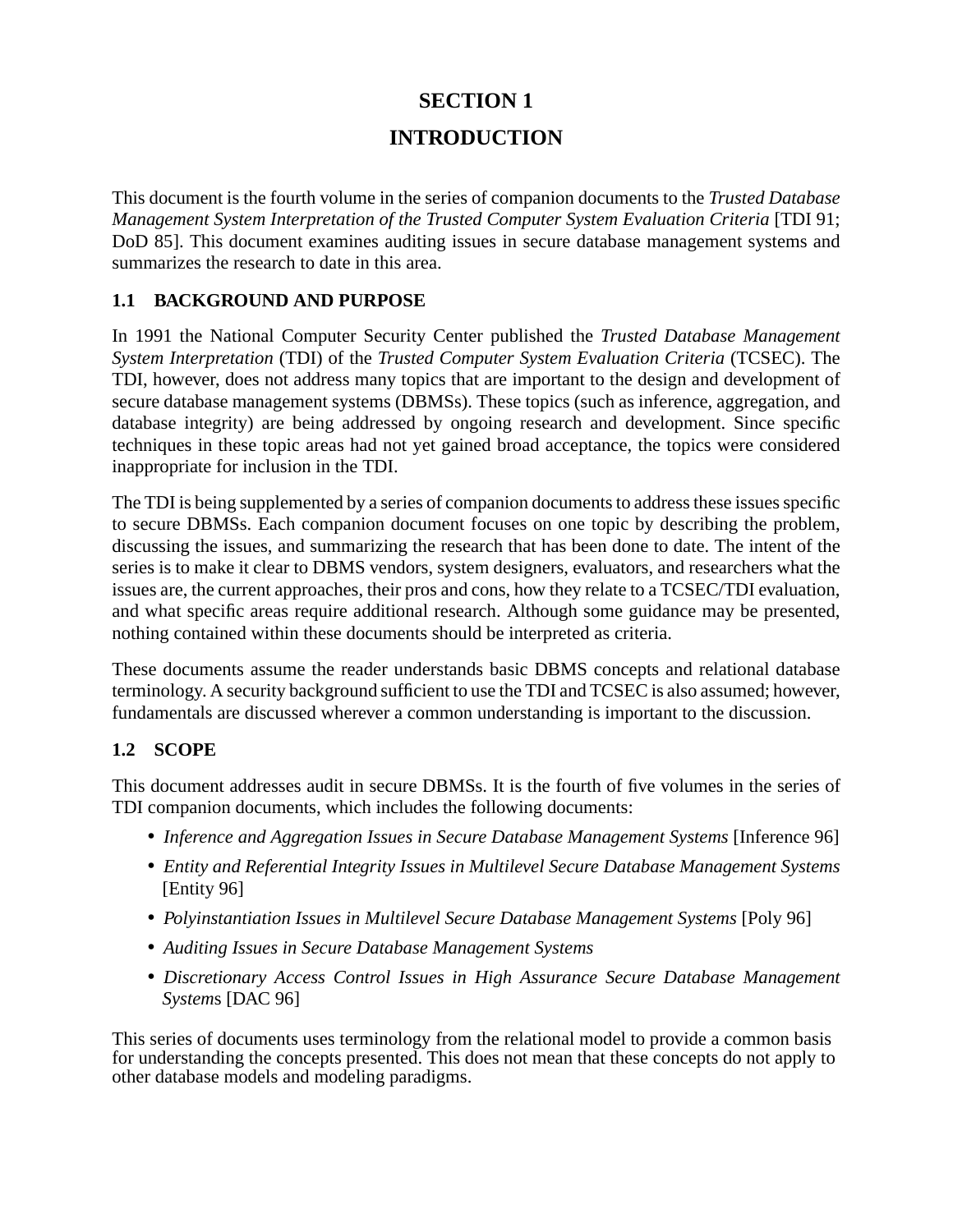# **SECTION 1 INTRODUCTION**

This document is the fourth volume in the series of companion documents to the *Trusted Database Management System Interpretation of the Trusted Computer System Evaluation Criteria* [TDI 91; DoD 85]. This document examines auditing issues in secure database management systems and summarizes the research to date in this area.

#### **1.1 BACKGROUND AND PURPOSE**

In 1991 the National Computer Security Center published the *Trusted Database Management System Interpretation* (TDI) of the *Trusted Computer System Evaluation Criteria* (TCSEC). The TDI, however, does not address many topics that are important to the design and development of secure database management systems (DBMSs). These topics (such as inference, aggregation, and database integrity) are being addressed by ongoing research and development. Since specific techniques in these topic areas had not yet gained broad acceptance, the topics were considered inappropriate for inclusion in the TDI.

The TDI is being supplemented by a series of companion documents to address these issues specific to secure DBMSs. Each companion document focuses on one topic by describing the problem, discussing the issues, and summarizing the research that has been done to date. The intent of the series is to make it clear to DBMS vendors, system designers, evaluators, and researchers what the issues are, the current approaches, their pros and cons, how they relate to a TCSEC/TDI evaluation, and what specific areas require additional research. Although some guidance may be presented, nothing contained within these documents should be interpreted as criteria.

These documents assume the reader understands basic DBMS concepts and relational database terminology. A security background sufficient to use the TDI and TCSEC is also assumed; however, fundamentals are discussed wherever a common understanding is important to the discussion.

#### **1.2 SCOPE**

This document addresses audit in secure DBMSs. It is the fourth of five volumes in the series of TDI companion documents, which includes the following documents:

- *Inference and Aggregation Issues in Secure Database Management Systems* [Inference 96]
- *Entity and Referential Integrity Issues in Multilevel Secure Database Management Systems* [Entity 96]
- *Polyinstantiation Issues in Multilevel Secure Database Management Systems* [Poly 96]
- *Auditing Issues in Secure Database Management Systems*
- *Discretionary Access Control Issues in High Assurance Secure Database Management System*s [DAC 96]

This series of documents uses terminology from the relational model to provide a common basis for understanding the concepts presented. This does not mean that these concepts do not apply to other database models and modeling paradigms.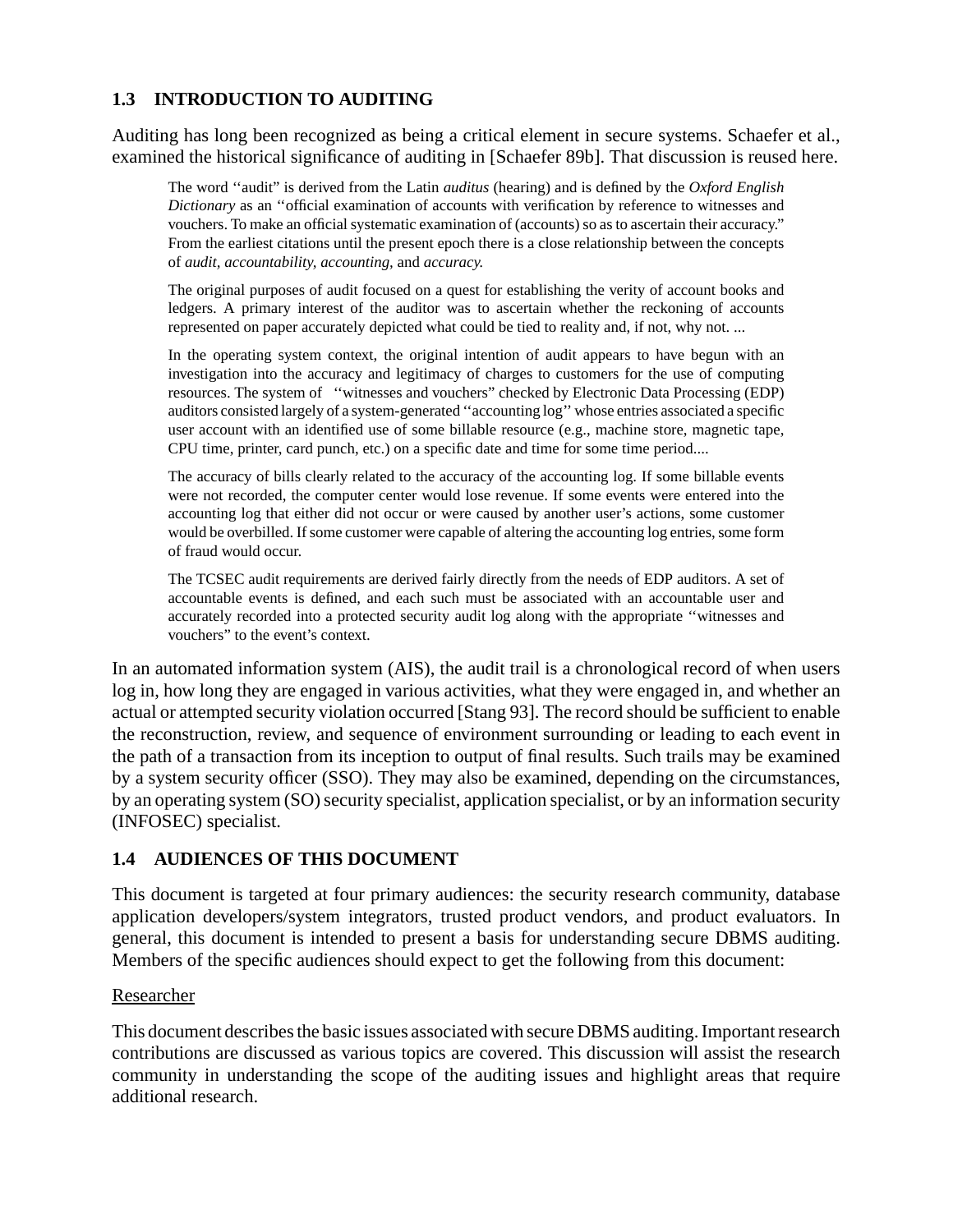#### **1.3 INTRODUCTION TO AUDITING**

Auditing has long been recognized as being a critical element in secure systems. Schaefer et al., examined the historical significance of auditing in [Schaefer 89b]. That discussion is reused here.

The word ''audit" is derived from the Latin *auditus* (hearing) and is defined by the *Oxford English Dictionary* as an ''official examination of accounts with verification by reference to witnesses and vouchers. To make an official systematic examination of (accounts) so as to ascertain their accuracy." From the earliest citations until the present epoch there is a close relationship between the concepts of *audit, accountability, accounting,* and *accuracy.*

The original purposes of audit focused on a quest for establishing the verity of account books and ledgers. A primary interest of the auditor was to ascertain whether the reckoning of accounts represented on paper accurately depicted what could be tied to reality and, if not, why not. ...

In the operating system context, the original intention of audit appears to have begun with an investigation into the accuracy and legitimacy of charges to customers for the use of computing resources. The system of ''witnesses and vouchers" checked by Electronic Data Processing (EDP) auditors consisted largely of a system-generated ''accounting log'' whose entries associated a specific user account with an identified use of some billable resource (e.g., machine store, magnetic tape, CPU time, printer, card punch, etc.) on a specific date and time for some time period....

The accuracy of bills clearly related to the accuracy of the accounting log. If some billable events were not recorded, the computer center would lose revenue. If some events were entered into the accounting log that either did not occur or were caused by another user's actions, some customer would be overbilled. If some customer were capable of altering the accounting log entries, some form of fraud would occur.

The TCSEC audit requirements are derived fairly directly from the needs of EDP auditors. A set of accountable events is defined, and each such must be associated with an accountable user and accurately recorded into a protected security audit log along with the appropriate ''witnesses and vouchers" to the event's context.

In an automated information system (AIS), the audit trail is a chronological record of when users log in, how long they are engaged in various activities, what they were engaged in, and whether an actual or attempted security violation occurred [Stang 93]. The record should be sufficient to enable the reconstruction, review, and sequence of environment surrounding or leading to each event in the path of a transaction from its inception to output of final results. Such trails may be examined by a system security officer (SSO). They may also be examined, depending on the circumstances, by an operating system (SO) security specialist, application specialist, or by an information security (INFOSEC) specialist.

#### **1.4 AUDIENCES OF THIS DOCUMENT**

This document is targeted at four primary audiences: the security research community, database application developers/system integrators, trusted product vendors, and product evaluators. In general, this document is intended to present a basis for understanding secure DBMS auditing. Members of the specific audiences should expect to get the following from this document:

#### Researcher

This document describes the basic issues associated with secure DBMS auditing. Important research contributions are discussed as various topics are covered. This discussion will assist the research community in understanding the scope of the auditing issues and highlight areas that require additional research.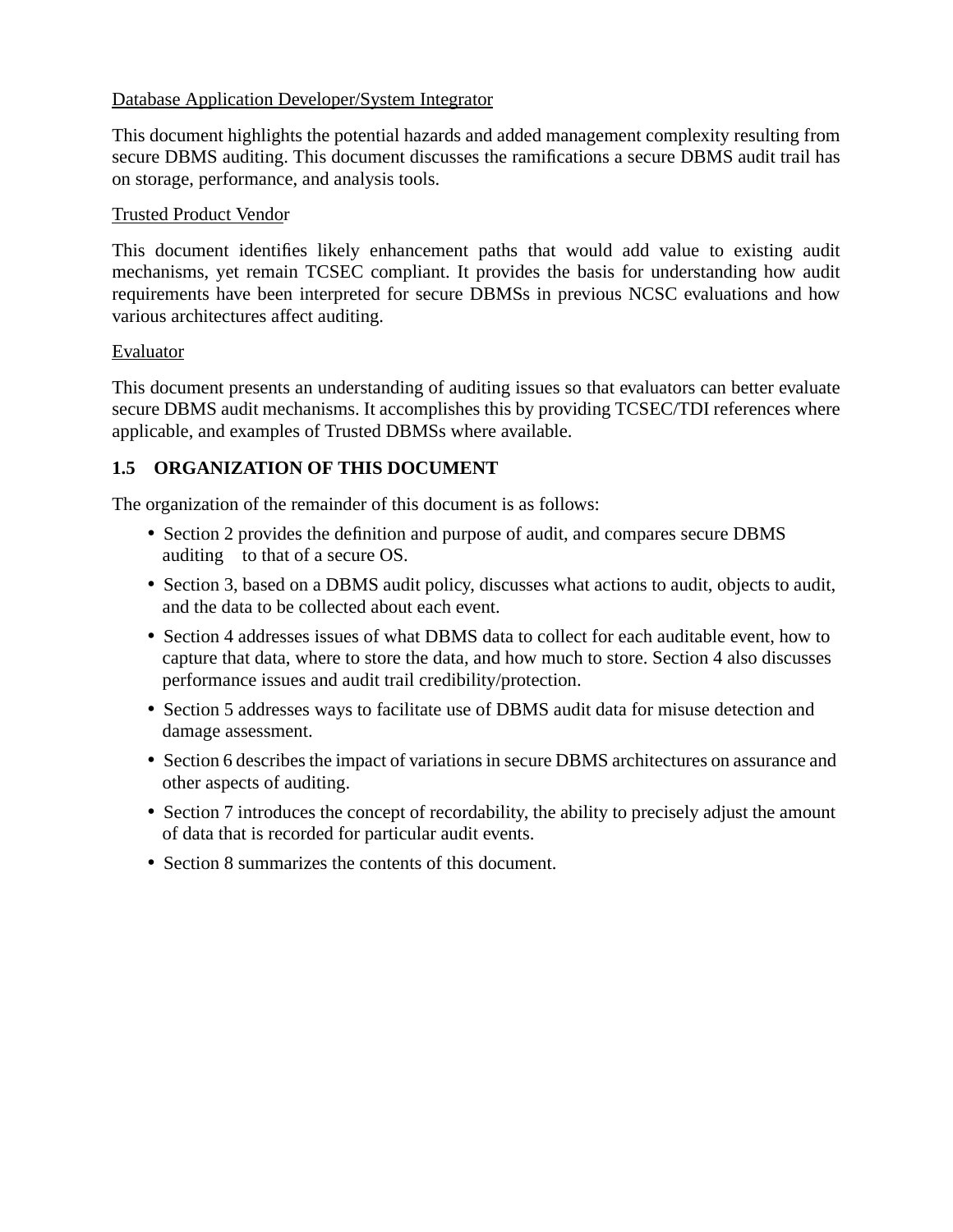#### Database Application Developer/System Integrator

This document highlights the potential hazards and added management complexity resulting from secure DBMS auditing. This document discusses the ramifications a secure DBMS audit trail has on storage, performance, and analysis tools.

#### Trusted Product Vendor

This document identifies likely enhancement paths that would add value to existing audit mechanisms, yet remain TCSEC compliant. It provides the basis for understanding how audit requirements have been interpreted for secure DBMSs in previous NCSC evaluations and how various architectures affect auditing.

#### Evaluator

This document presents an understanding of auditing issues so that evaluators can better evaluate secure DBMS audit mechanisms. It accomplishes this by providing TCSEC/TDI references where applicable, and examples of Trusted DBMSs where available.

#### **1.5 ORGANIZATION OF THIS DOCUMENT**

The organization of the remainder of this document is as follows:

- Section 2 provides the definition and purpose of audit, and compares secure DBMS auditing to that of a secure OS.
- Section 3, based on a DBMS audit policy, discusses what actions to audit, objects to audit, and the data to be collected about each event.
- Section 4 addresses issues of what DBMS data to collect for each auditable event, how to capture that data, where to store the data, and how much to store. Section 4 also discusses performance issues and audit trail credibility/protection.
- Section 5 addresses ways to facilitate use of DBMS audit data for misuse detection and damage assessment.
- Section 6 describes the impact of variations in secure DBMS architectures on assurance and other aspects of auditing.
- Section 7 introduces the concept of recordability, the ability to precisely adjust the amount of data that is recorded for particular audit events.
- Section 8 summarizes the contents of this document.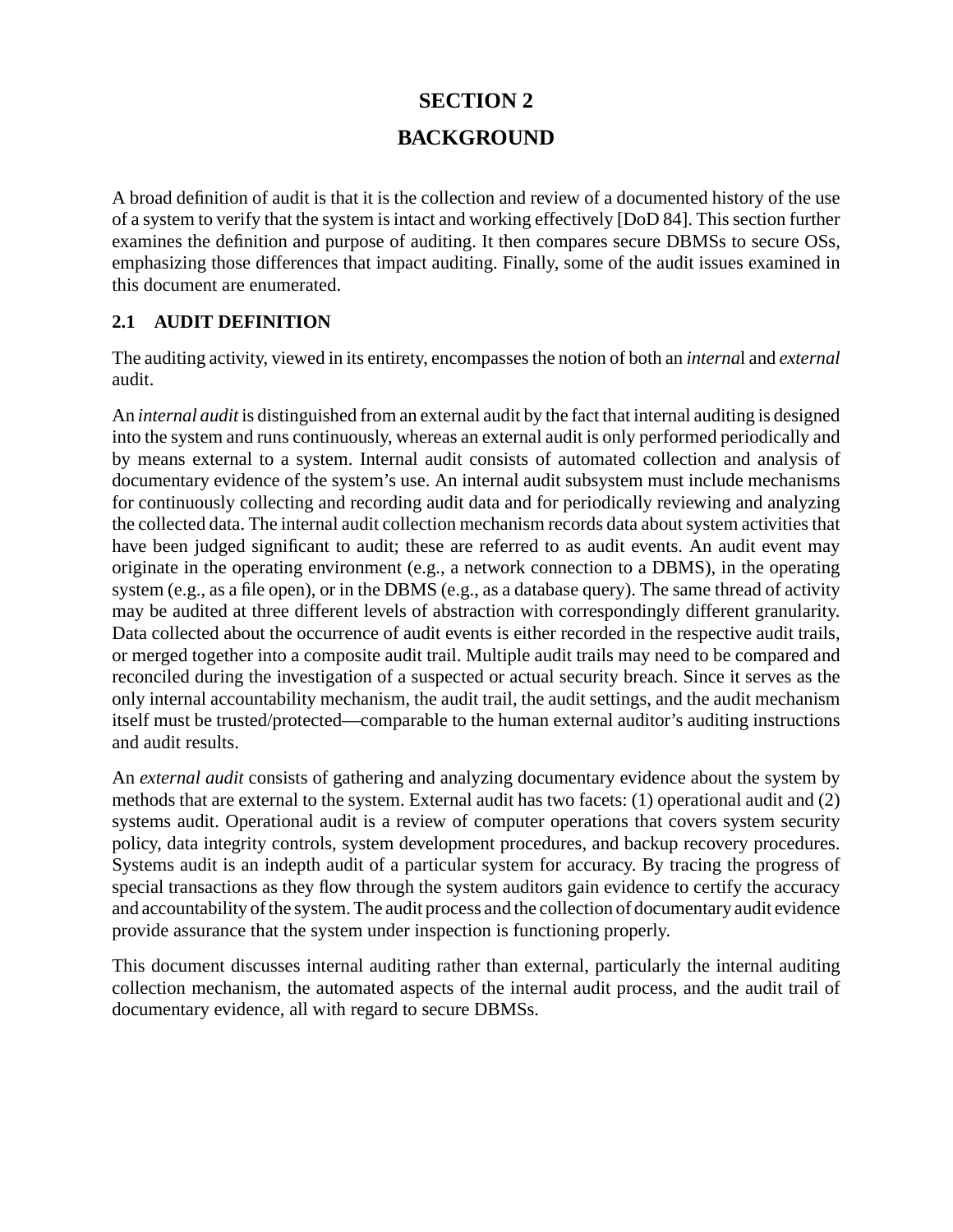# **SECTION 2 BACKGROUND**

A broad definition of audit is that it is the collection and review of a documented history of the use of a system to verify that the system is intact and working effectively [DoD 84]. This section further examines the definition and purpose of auditing. It then compares secure DBMSs to secure OSs, emphasizing those differences that impact auditing. Finally, some of the audit issues examined in this document are enumerated.

#### **2.1 AUDIT DEFINITION**

The auditing activity, viewed in its entirety, encompasses the notion of both an *interna*l and *external* audit.

An *internal audit* is distinguished from an external audit by the fact that internal auditing is designed into the system and runs continuously, whereas an external audit is only performed periodically and by means external to a system. Internal audit consists of automated collection and analysis of documentary evidence of the system's use. An internal audit subsystem must include mechanisms for continuously collecting and recording audit data and for periodically reviewing and analyzing the collected data. The internal audit collection mechanism records data about system activities that have been judged significant to audit; these are referred to as audit events. An audit event may originate in the operating environment (e.g., a network connection to a DBMS), in the operating system (e.g., as a file open), or in the DBMS (e.g., as a database query). The same thread of activity may be audited at three different levels of abstraction with correspondingly different granularity. Data collected about the occurrence of audit events is either recorded in the respective audit trails, or merged together into a composite audit trail. Multiple audit trails may need to be compared and reconciled during the investigation of a suspected or actual security breach. Since it serves as the only internal accountability mechanism, the audit trail, the audit settings, and the audit mechanism itself must be trusted/protected—comparable to the human external auditor's auditing instructions and audit results.

An *external audit* consists of gathering and analyzing documentary evidence about the system by methods that are external to the system. External audit has two facets: (1) operational audit and (2) systems audit. Operational audit is a review of computer operations that covers system security policy, data integrity controls, system development procedures, and backup recovery procedures. Systems audit is an indepth audit of a particular system for accuracy. By tracing the progress of special transactions as they flow through the system auditors gain evidence to certify the accuracy and accountability of the system. The audit process and the collection of documentary audit evidence provide assurance that the system under inspection is functioning properly.

This document discusses internal auditing rather than external, particularly the internal auditing collection mechanism, the automated aspects of the internal audit process, and the audit trail of documentary evidence, all with regard to secure DBMSs.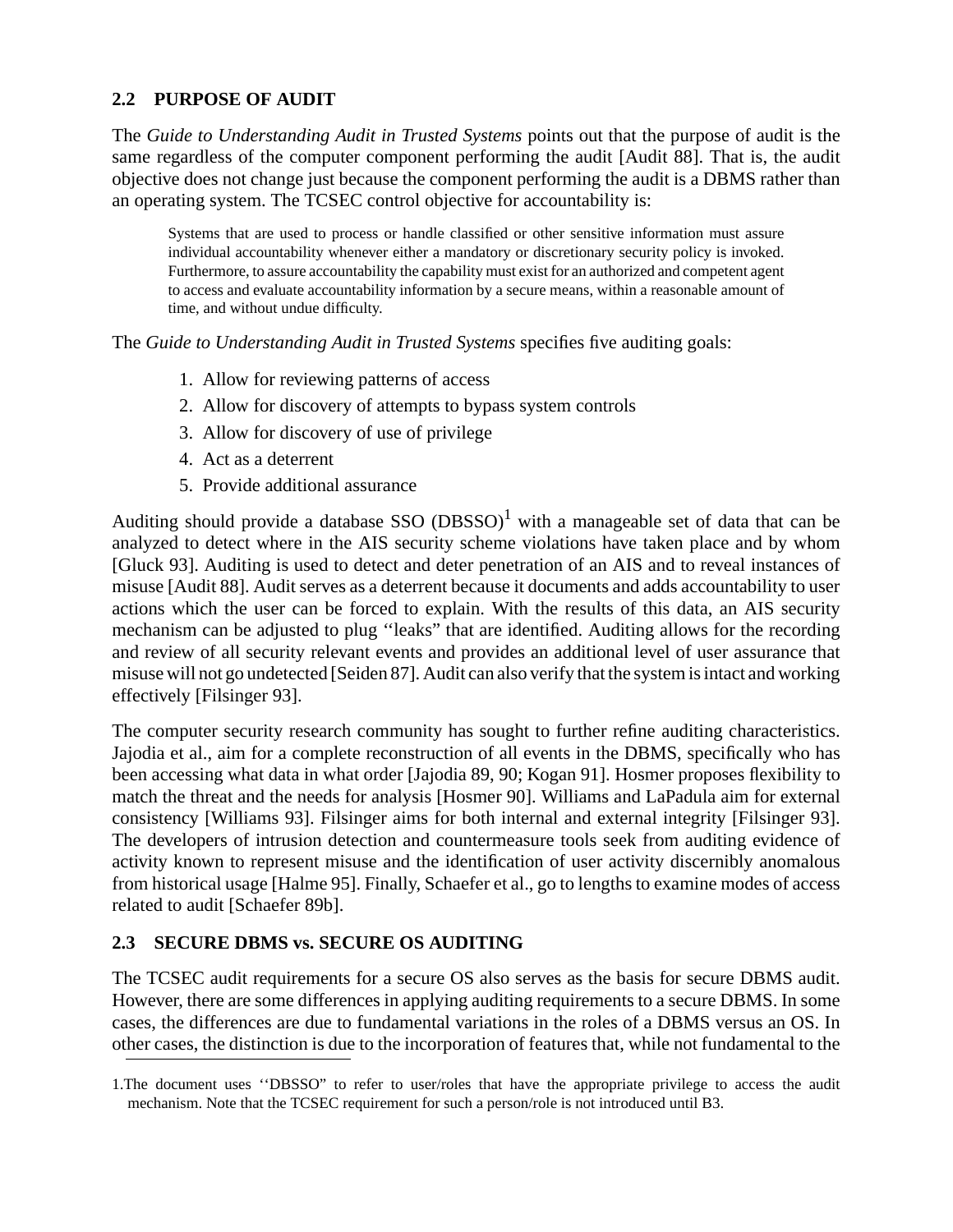#### **2.2 PURPOSE OF AUDIT**

The *Guide to Understanding Audit in Trusted Systems* points out that the purpose of audit is the same regardless of the computer component performing the audit [Audit 88]. That is, the audit objective does not change just because the component performing the audit is a DBMS rather than an operating system. The TCSEC control objective for accountability is:

Systems that are used to process or handle classified or other sensitive information must assure individual accountability whenever either a mandatory or discretionary security policy is invoked. Furthermore, to assure accountability the capability must exist for an authorized and competent agent to access and evaluate accountability information by a secure means, within a reasonable amount of time, and without undue difficulty.

The *Guide to Understanding Audit in Trusted Systems* specifies five auditing goals:

- 1. Allow for reviewing patterns of access
- 2. Allow for discovery of attempts to bypass system controls
- 3. Allow for discovery of use of privilege
- 4. Act as a deterrent
- 5. Provide additional assurance

Auditing should provide a database SSO (DBSSO)<sup>1</sup> with a manageable set of data that can be analyzed to detect where in the AIS security scheme violations have taken place and by whom [Gluck 93]. Auditing is used to detect and deter penetration of an AIS and to reveal instances of misuse [Audit 88]. Audit serves as a deterrent because it documents and adds accountability to user actions which the user can be forced to explain. With the results of this data, an AIS security mechanism can be adjusted to plug ''leaks" that are identified. Auditing allows for the recording and review of all security relevant events and provides an additional level of user assurance that misuse will not go undetected [Seiden 87]. Audit can also verify that the system is intact and working effectively [Filsinger 93].

The computer security research community has sought to further refine auditing characteristics. Jajodia et al., aim for a complete reconstruction of all events in the DBMS, specifically who has been accessing what data in what order [Jajodia 89, 90; Kogan 91]. Hosmer proposes flexibility to match the threat and the needs for analysis [Hosmer 90]. Williams and LaPadula aim for external consistency [Williams 93]. Filsinger aims for both internal and external integrity [Filsinger 93]. The developers of intrusion detection and countermeasure tools seek from auditing evidence of activity known to represent misuse and the identification of user activity discernibly anomalous from historical usage [Halme 95]. Finally, Schaefer et al., go to lengths to examine modes of access related to audit [Schaefer 89b].

#### **2.3 SECURE DBMS vs. SECURE OS AUDITING**

The TCSEC audit requirements for a secure OS also serves as the basis for secure DBMS audit. However, there are some differences in applying auditing requirements to a secure DBMS. In some cases, the differences are due to fundamental variations in the roles of a DBMS versus an OS. In other cases, the distinction is due to the incorporation of features that, while not fundamental to the

<sup>1.</sup>The document uses ''DBSSO" to refer to user/roles that have the appropriate privilege to access the audit mechanism. Note that the TCSEC requirement for such a person/role is not introduced until B3.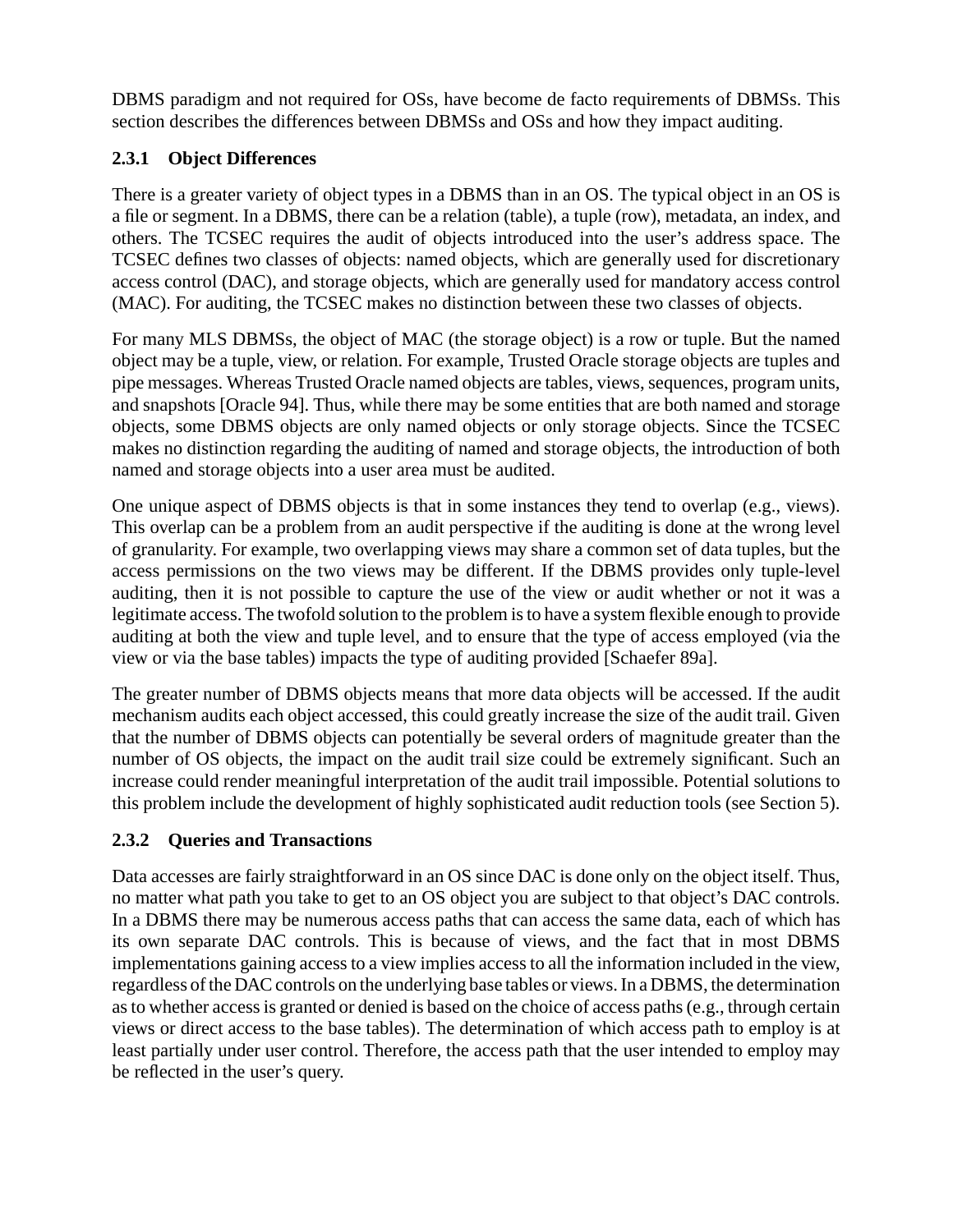DBMS paradigm and not required for OSs, have become de facto requirements of DBMSs. This section describes the differences between DBMSs and OSs and how they impact auditing.

#### **2.3.1 Object Differences**

There is a greater variety of object types in a DBMS than in an OS. The typical object in an OS is a file or segment. In a DBMS, there can be a relation (table), a tuple (row), metadata, an index, and others. The TCSEC requires the audit of objects introduced into the user's address space. The TCSEC defines two classes of objects: named objects, which are generally used for discretionary access control (DAC), and storage objects, which are generally used for mandatory access control (MAC). For auditing, the TCSEC makes no distinction between these two classes of objects.

For many MLS DBMSs, the object of MAC (the storage object) is a row or tuple. But the named object may be a tuple, view, or relation. For example, Trusted Oracle storage objects are tuples and pipe messages. Whereas Trusted Oracle named objects are tables, views, sequences, program units, and snapshots [Oracle 94]. Thus, while there may be some entities that are both named and storage objects, some DBMS objects are only named objects or only storage objects. Since the TCSEC makes no distinction regarding the auditing of named and storage objects, the introduction of both named and storage objects into a user area must be audited.

One unique aspect of DBMS objects is that in some instances they tend to overlap (e.g., views). This overlap can be a problem from an audit perspective if the auditing is done at the wrong level of granularity. For example, two overlapping views may share a common set of data tuples, but the access permissions on the two views may be different. If the DBMS provides only tuple-level auditing, then it is not possible to capture the use of the view or audit whether or not it was a legitimate access. The twofold solution to the problem is to have a system flexible enough to provide auditing at both the view and tuple level, and to ensure that the type of access employed (via the view or via the base tables) impacts the type of auditing provided [Schaefer 89a].

The greater number of DBMS objects means that more data objects will be accessed. If the audit mechanism audits each object accessed, this could greatly increase the size of the audit trail. Given that the number of DBMS objects can potentially be several orders of magnitude greater than the number of OS objects, the impact on the audit trail size could be extremely significant. Such an increase could render meaningful interpretation of the audit trail impossible. Potential solutions to this problem include the development of highly sophisticated audit reduction tools (see Section 5).

#### **2.3.2 Queries and Transactions**

Data accesses are fairly straightforward in an OS since DAC is done only on the object itself. Thus, no matter what path you take to get to an OS object you are subject to that object's DAC controls. In a DBMS there may be numerous access paths that can access the same data, each of which has its own separate DAC controls. This is because of views, and the fact that in most DBMS implementations gaining access to a view implies access to all the information included in the view, regardless of the DAC controls on the underlying base tables or views. In a DBMS, the determination as to whether access is granted or denied is based on the choice of access paths (e.g., through certain views or direct access to the base tables). The determination of which access path to employ is at least partially under user control. Therefore, the access path that the user intended to employ may be reflected in the user's query.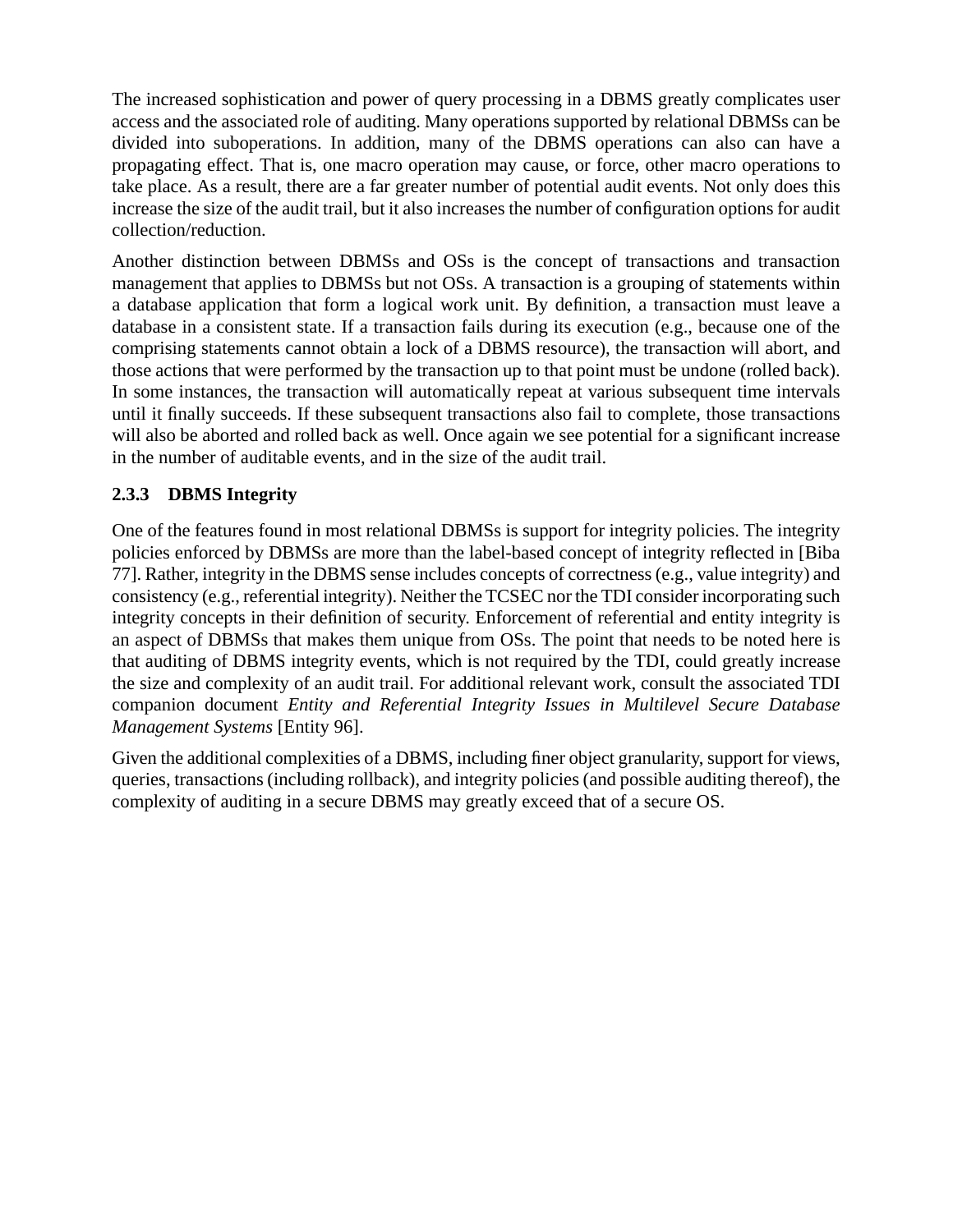The increased sophistication and power of query processing in a DBMS greatly complicates user access and the associated role of auditing. Many operations supported by relational DBMSs can be divided into suboperations. In addition, many of the DBMS operations can also can have a propagating effect. That is, one macro operation may cause, or force, other macro operations to take place. As a result, there are a far greater number of potential audit events. Not only does this increase the size of the audit trail, but it also increases the number of configuration options for audit collection/reduction.

Another distinction between DBMSs and OSs is the concept of transactions and transaction management that applies to DBMSs but not OSs. A transaction is a grouping of statements within a database application that form a logical work unit. By definition, a transaction must leave a database in a consistent state. If a transaction fails during its execution (e.g., because one of the comprising statements cannot obtain a lock of a DBMS resource), the transaction will abort, and those actions that were performed by the transaction up to that point must be undone (rolled back). In some instances, the transaction will automatically repeat at various subsequent time intervals until it finally succeeds. If these subsequent transactions also fail to complete, those transactions will also be aborted and rolled back as well. Once again we see potential for a significant increase in the number of auditable events, and in the size of the audit trail.

#### **2.3.3 DBMS Integrity**

One of the features found in most relational DBMSs is support for integrity policies. The integrity policies enforced by DBMSs are more than the label-based concept of integrity reflected in [Biba 77]. Rather, integrity in the DBMS sense includes concepts of correctness (e.g., value integrity) and consistency (e.g., referential integrity). Neither the TCSEC nor the TDI consider incorporating such integrity concepts in their definition of security. Enforcement of referential and entity integrity is an aspect of DBMSs that makes them unique from OSs. The point that needs to be noted here is that auditing of DBMS integrity events, which is not required by the TDI, could greatly increase the size and complexity of an audit trail. For additional relevant work, consult the associated TDI companion document *Entity and Referential Integrity Issues in Multilevel Secure Database Management Systems* [Entity 96].

Given the additional complexities of a DBMS, including finer object granularity, support for views, queries, transactions (including rollback), and integrity policies (and possible auditing thereof), the complexity of auditing in a secure DBMS may greatly exceed that of a secure OS.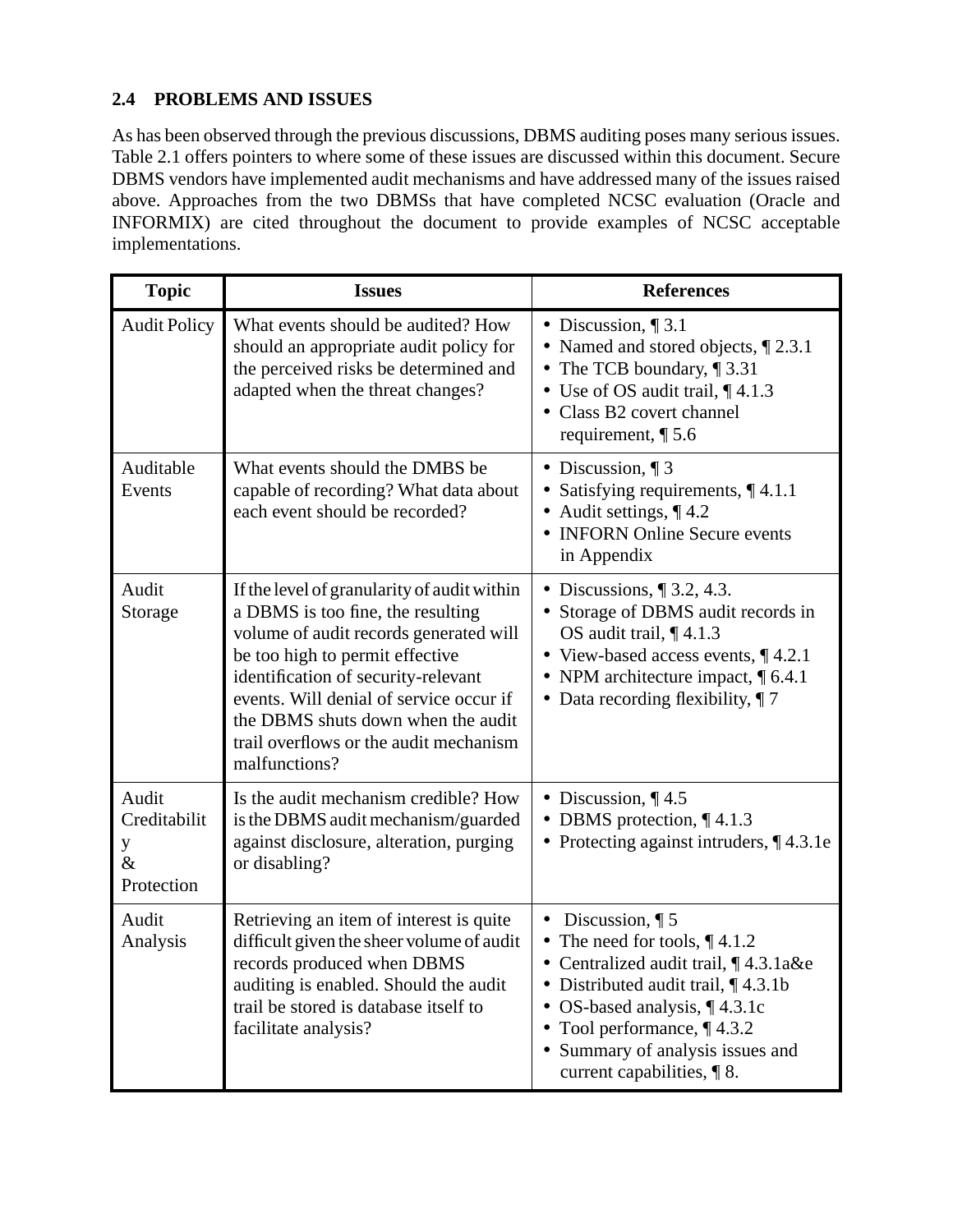#### **2.4 PROBLEMS AND ISSUES**

As has been observed through the previous discussions, DBMS auditing poses many serious issues. Table 2.1 offers pointers to where some of these issues are discussed within this document. Secure DBMS vendors have implemented audit mechanisms and have addressed many of the issues raised above. Approaches from the two DBMSs that have completed NCSC evaluation (Oracle and INFORMIX) are cited throughout the document to provide examples of NCSC acceptable implementations.

| <b>Topic</b>                                                                                                                                                                                                                                                                                                                                                         | <b>Issues</b>                                                                                                                           | <b>References</b>                                                                                                                                                                                                                                                                     |  |
|----------------------------------------------------------------------------------------------------------------------------------------------------------------------------------------------------------------------------------------------------------------------------------------------------------------------------------------------------------------------|-----------------------------------------------------------------------------------------------------------------------------------------|---------------------------------------------------------------------------------------------------------------------------------------------------------------------------------------------------------------------------------------------------------------------------------------|--|
| <b>Audit Policy</b><br>What events should be audited? How<br>should an appropriate audit policy for<br>the perceived risks be determined and<br>adapted when the threat changes?                                                                                                                                                                                     |                                                                                                                                         | • Discussion, $\P$ 3.1<br>• Named and stored objects, 1 2.3.1<br>• The TCB boundary, $\P$ 3.31<br>• Use of OS audit trail, $\P$ 4.1.3<br>• Class B2 covert channel<br>requirement, $\P$ 5.6                                                                                           |  |
| Auditable<br>What events should the DMBS be<br>capable of recording? What data about<br>Events<br>each event should be recorded?                                                                                                                                                                                                                                     |                                                                                                                                         | • Discussion, $\P$ 3<br>• Satisfying requirements, $\P$ 4.1.1<br>• Audit settings, $\P$ 4.2<br>• INFORN Online Secure events<br>in Appendix                                                                                                                                           |  |
| Audit<br>If the level of granularity of audit within<br>a DBMS is too fine, the resulting<br>Storage<br>volume of audit records generated will<br>be too high to permit effective<br>identification of security-relevant<br>events. Will denial of service occur if<br>the DBMS shuts down when the audit<br>trail overflows or the audit mechanism<br>malfunctions? |                                                                                                                                         | • Discussions, $\P$ 3.2, 4.3.<br>• Storage of DBMS audit records in<br>OS audit trail, $\P$ 4.1.3<br>• View-based access events, $\P$ 4.2.1<br>• NPM architecture impact, $\P$ 6.4.1<br>• Data recording flexibility, $\P$ 7                                                          |  |
| Audit<br>Creditabilit<br>y<br>$\&$<br>Protection                                                                                                                                                                                                                                                                                                                     | Is the audit mechanism credible? How<br>is the DBMS audit mechanism/guarded<br>against disclosure, alteration, purging<br>or disabling? | • Discussion, $\P$ 4.5<br>• DBMS protection, $\P$ 4.1.3<br>• Protecting against intruders, $\P$ 4.3.1e                                                                                                                                                                                |  |
| Retrieving an item of interest is quite<br>Audit<br>Analysis<br>difficult given the sheer volume of audit<br>records produced when DBMS<br>auditing is enabled. Should the audit<br>trail be stored is database itself to<br>facilitate analysis?                                                                                                                    |                                                                                                                                         | • Discussion, $\P$ 5<br>• The need for tools, $\P$ 4.1.2<br>• Centralized audit trail, ¶4.3.1a&e<br>• Distributed audit trail, $\P$ 4.3.1b<br>• OS-based analysis, $\P$ 4.3.1c<br>• Tool performance, $\P$ 4.3.2<br>• Summary of analysis issues and<br>current capabilities, $\P$ 8. |  |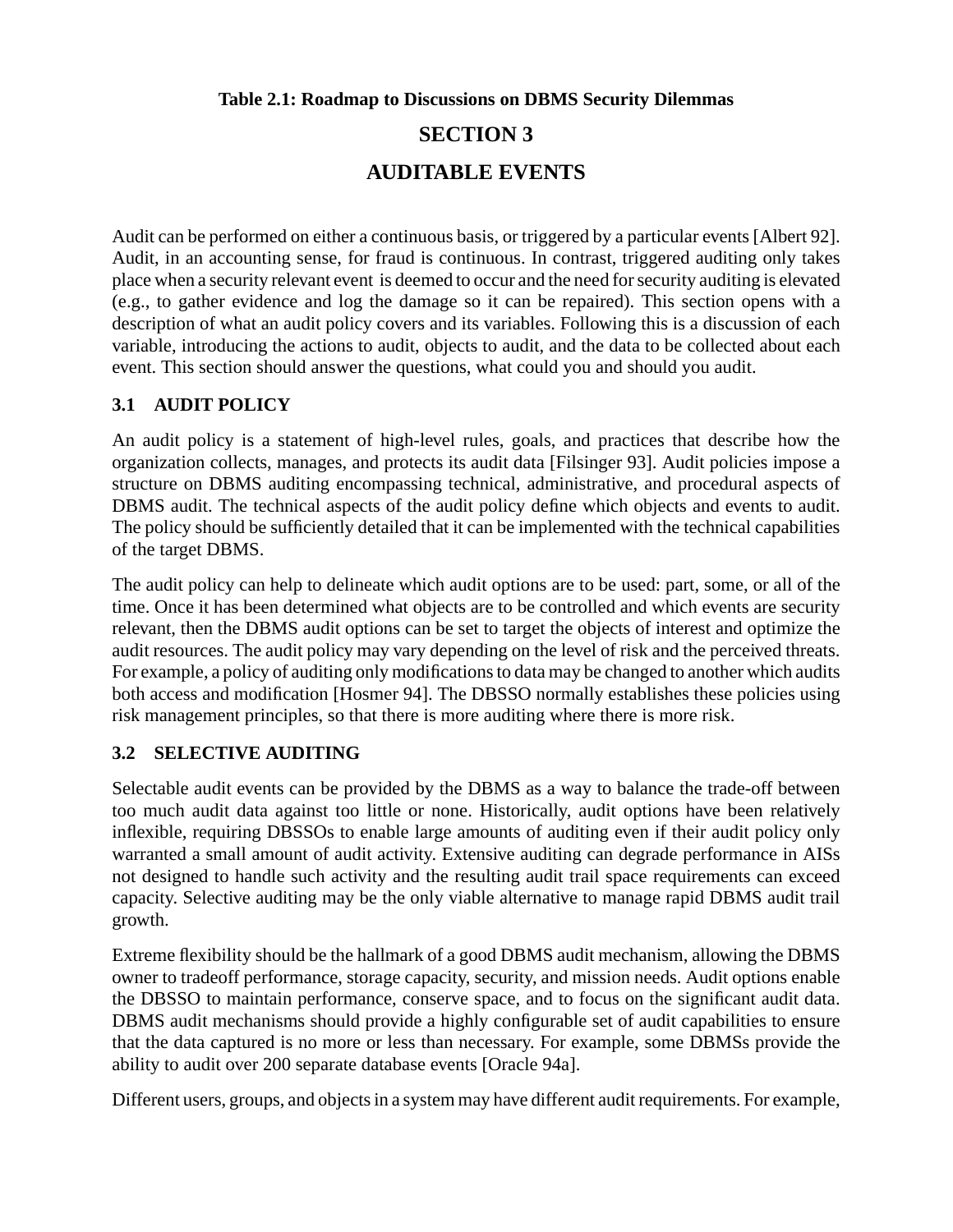**Table 2.1: Roadmap to Discussions on DBMS Security Dilemmas**

# **SECTION 3 AUDITABLE EVENTS**

Audit can be performed on either a continuous basis, or triggered by a particular events [Albert 92]. Audit, in an accounting sense, for fraud is continuous. In contrast, triggered auditing only takes place when a security relevant event is deemed to occur and the need for security auditing is elevated (e.g., to gather evidence and log the damage so it can be repaired). This section opens with a description of what an audit policy covers and its variables. Following this is a discussion of each variable, introducing the actions to audit, objects to audit, and the data to be collected about each event. This section should answer the questions, what could you and should you audit.

#### **3.1 AUDIT POLICY**

An audit policy is a statement of high-level rules, goals, and practices that describe how the organization collects, manages, and protects its audit data [Filsinger 93]. Audit policies impose a structure on DBMS auditing encompassing technical, administrative, and procedural aspects of DBMS audit. The technical aspects of the audit policy define which objects and events to audit. The policy should be sufficiently detailed that it can be implemented with the technical capabilities of the target DBMS.

The audit policy can help to delineate which audit options are to be used: part, some, or all of the time. Once it has been determined what objects are to be controlled and which events are security relevant, then the DBMS audit options can be set to target the objects of interest and optimize the audit resources. The audit policy may vary depending on the level of risk and the perceived threats. For example, a policy of auditing only modifications to data may be changed to another which audits both access and modification [Hosmer 94]. The DBSSO normally establishes these policies using risk management principles, so that there is more auditing where there is more risk.

#### **3.2 SELECTIVE AUDITING**

Selectable audit events can be provided by the DBMS as a way to balance the trade-off between too much audit data against too little or none. Historically, audit options have been relatively inflexible, requiring DBSSOs to enable large amounts of auditing even if their audit policy only warranted a small amount of audit activity. Extensive auditing can degrade performance in AISs not designed to handle such activity and the resulting audit trail space requirements can exceed capacity. Selective auditing may be the only viable alternative to manage rapid DBMS audit trail growth.

Extreme flexibility should be the hallmark of a good DBMS audit mechanism, allowing the DBMS owner to tradeoff performance, storage capacity, security, and mission needs. Audit options enable the DBSSO to maintain performance, conserve space, and to focus on the significant audit data. DBMS audit mechanisms should provide a highly configurable set of audit capabilities to ensure that the data captured is no more or less than necessary. For example, some DBMSs provide the ability to audit over 200 separate database events [Oracle 94a].

Different users, groups, and objects in a system may have different audit requirements. For example,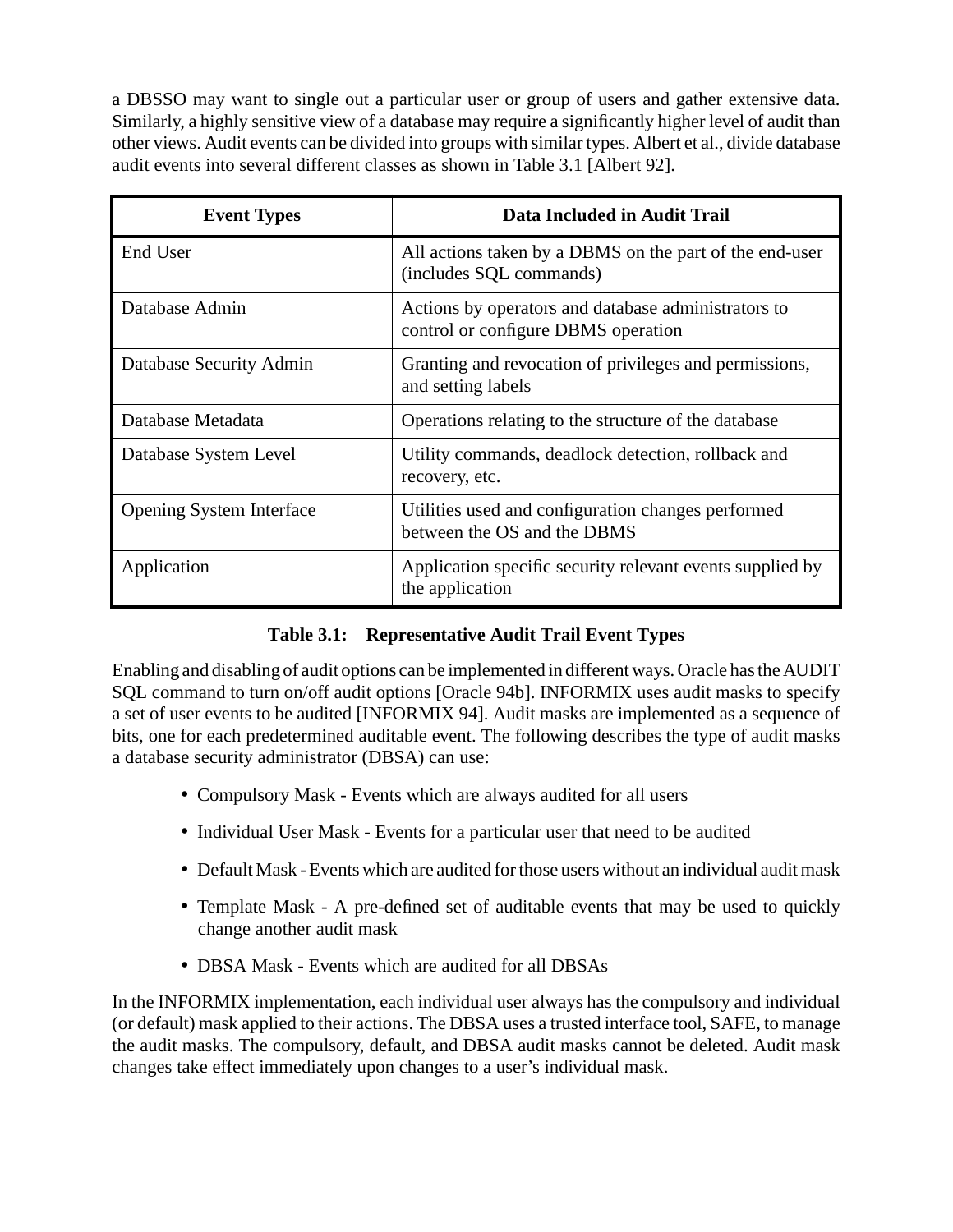a DBSSO may want to single out a particular user or group of users and gather extensive data. Similarly, a highly sensitive view of a database may require a significantly higher level of audit than other views. Audit events can be divided into groups with similar types. Albert et al., divide database audit events into several different classes as shown in Table 3.1 [Albert 92].

| <b>Event Types</b>              | Data Included in Audit Trail                                                               |
|---------------------------------|--------------------------------------------------------------------------------------------|
| End User                        | All actions taken by a DBMS on the part of the end-user<br>(includes SQL commands)         |
| Database Admin                  | Actions by operators and database administrators to<br>control or configure DBMS operation |
| Database Security Admin         | Granting and revocation of privileges and permissions,<br>and setting labels               |
| Database Metadata               | Operations relating to the structure of the database                                       |
| Database System Level           | Utility commands, deadlock detection, rollback and<br>recovery, etc.                       |
| <b>Opening System Interface</b> | Utilities used and configuration changes performed<br>between the OS and the DBMS          |
| Application                     | Application specific security relevant events supplied by<br>the application               |

#### **Table 3.1: Representative Audit Trail Event Types**

Enabling and disabling of audit options can be implemented in different ways. Oracle has the AUDIT SQL command to turn on/off audit options [Oracle 94b]. INFORMIX uses audit masks to specify a set of user events to be audited [INFORMIX 94]. Audit masks are implemented as a sequence of bits, one for each predetermined auditable event. The following describes the type of audit masks a database security administrator (DBSA) can use:

- Compulsory Mask Events which are always audited for all users
- Individual User Mask Events for a particular user that need to be audited
- Default Mask Events which are audited for those users without an individual audit mask
- Template Mask A pre-defined set of auditable events that may be used to quickly change another audit mask
- DBSA Mask Events which are audited for all DBSAs

In the INFORMIX implementation, each individual user always has the compulsory and individual (or default) mask applied to their actions. The DBSA uses a trusted interface tool, SAFE, to manage the audit masks. The compulsory, default, and DBSA audit masks cannot be deleted. Audit mask changes take effect immediately upon changes to a user's individual mask.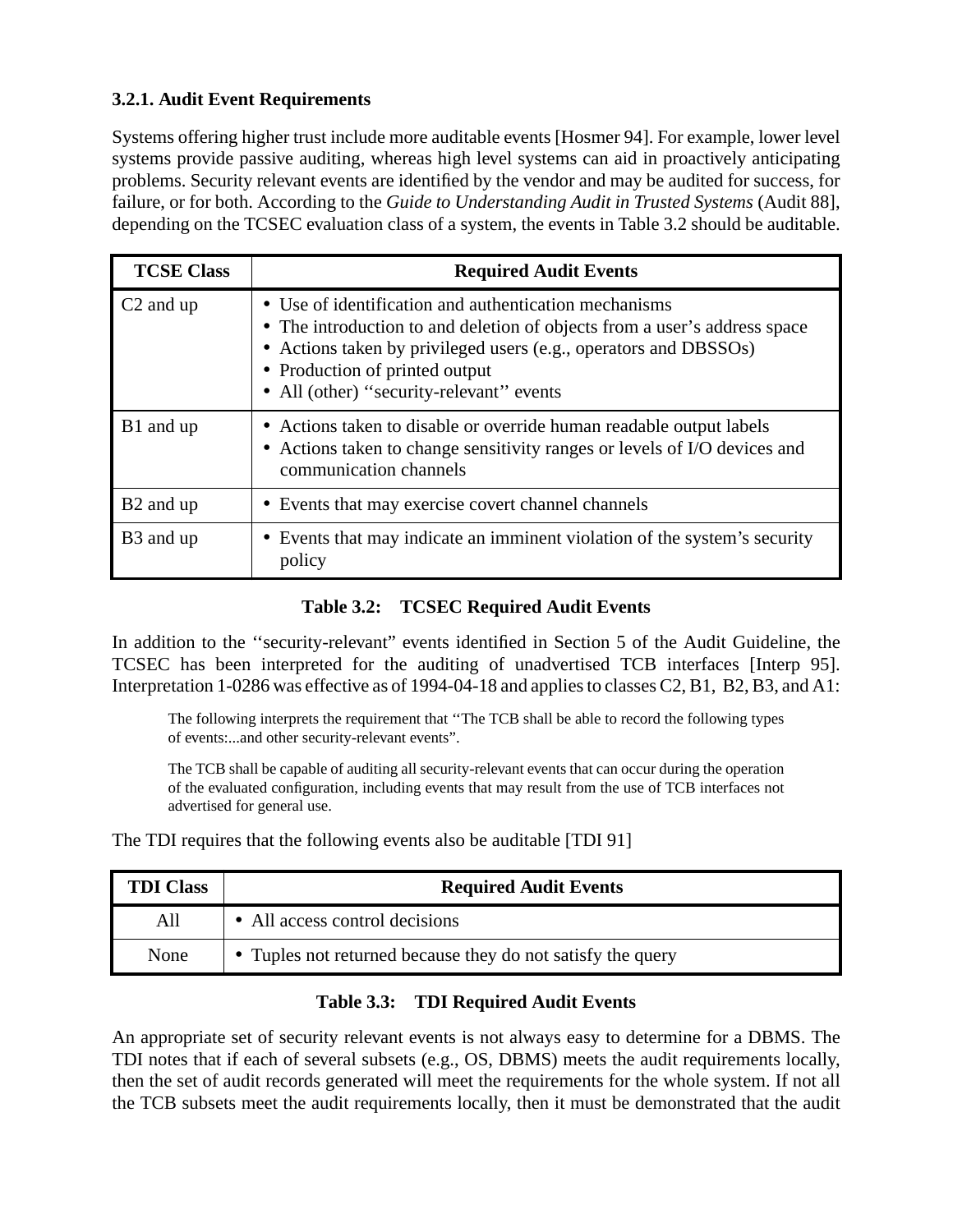#### **3.2.1. Audit Event Requirements**

Systems offering higher trust include more auditable events [Hosmer 94]. For example, lower level systems provide passive auditing, whereas high level systems can aid in proactively anticipating problems. Security relevant events are identified by the vendor and may be audited for success, for failure, or for both. According to the *Guide to Understanding Audit in Trusted Systems* (Audit 88], depending on the TCSEC evaluation class of a system, the events in Table 3.2 should be auditable.

| <b>TCSE Class</b>     | <b>Required Audit Events</b>                                                                                                                                                                                                                                                         |  |
|-----------------------|--------------------------------------------------------------------------------------------------------------------------------------------------------------------------------------------------------------------------------------------------------------------------------------|--|
| C <sub>2</sub> and up | • Use of identification and authentication mechanisms<br>• The introduction to and deletion of objects from a user's address space<br>• Actions taken by privileged users (e.g., operators and DBSSOs)<br>• Production of printed output<br>• All (other) "security-relevant" events |  |
| B1 and up             | • Actions taken to disable or override human readable output labels<br>• Actions taken to change sensitivity ranges or levels of I/O devices and<br>communication channels                                                                                                           |  |
| B <sub>2</sub> and up | • Events that may exercise covert channel channels                                                                                                                                                                                                                                   |  |
| B <sub>3</sub> and up | • Events that may indicate an imminent violation of the system's security<br>policy                                                                                                                                                                                                  |  |

#### **Table 3.2: TCSEC Required Audit Events**

In addition to the ''security-relevant" events identified in Section 5 of the Audit Guideline, the TCSEC has been interpreted for the auditing of unadvertised TCB interfaces [Interp 95]. Interpretation 1-0286 was effective as of 1994-04-18 and applies to classes C2, B1, B2, B3, and A1:

The following interprets the requirement that ''The TCB shall be able to record the following types of events:...and other security-relevant events".

The TCB shall be capable of auditing all security-relevant events that can occur during the operation of the evaluated configuration, including events that may result from the use of TCB interfaces not advertised for general use.

The TDI requires that the following events also be auditable [TDI 91]

| <b>TDI Class</b> | <b>Required Audit Events</b>                                |  |
|------------------|-------------------------------------------------------------|--|
| All              | • All access control decisions                              |  |
| None             | • Tuples not returned because they do not satisfy the query |  |

#### **Table 3.3: TDI Required Audit Events**

An appropriate set of security relevant events is not always easy to determine for a DBMS. The TDI notes that if each of several subsets (e.g., OS, DBMS) meets the audit requirements locally, then the set of audit records generated will meet the requirements for the whole system. If not all the TCB subsets meet the audit requirements locally, then it must be demonstrated that the audit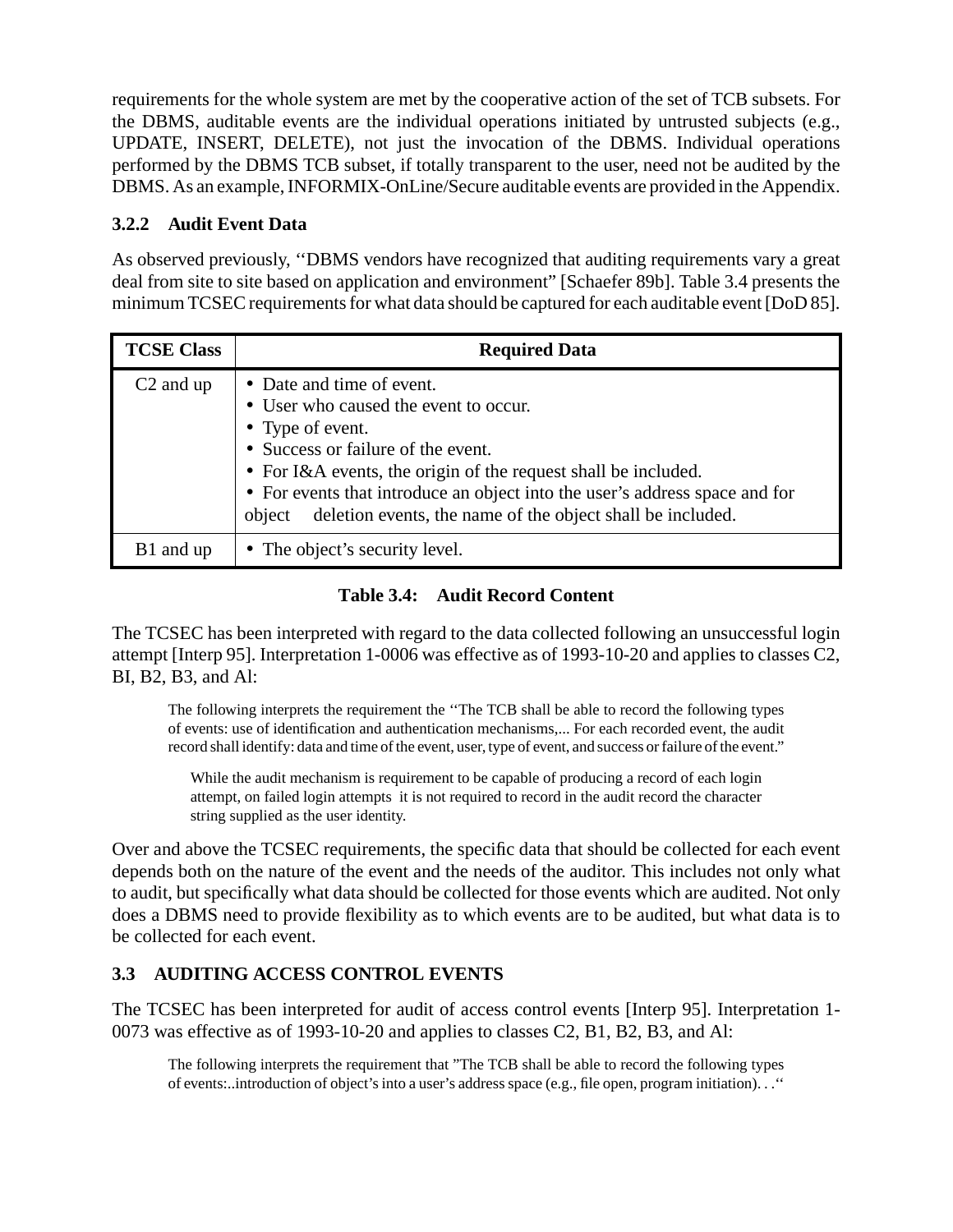requirements for the whole system are met by the cooperative action of the set of TCB subsets. For the DBMS, auditable events are the individual operations initiated by untrusted subjects (e.g., UPDATE, INSERT, DELETE), not just the invocation of the DBMS. Individual operations performed by the DBMS TCB subset, if totally transparent to the user, need not be audited by the DBMS. As an example, INFORMIX-OnLine/Secure auditable events are provided in the Appendix.

#### **3.2.2 Audit Event Data**

As observed previously, ''DBMS vendors have recognized that auditing requirements vary a great deal from site to site based on application and environment" [Schaefer 89b]. Table 3.4 presents the minimum TCSEC requirements for what data should be captured for each auditable event [DoD 85].

| <b>TCSE Class</b>     | <b>Required Data</b>                                                                                                                                                                                                                                                                                                                                  |  |
|-----------------------|-------------------------------------------------------------------------------------------------------------------------------------------------------------------------------------------------------------------------------------------------------------------------------------------------------------------------------------------------------|--|
| C <sub>2</sub> and up | • Date and time of event.<br>• User who caused the event to occur.<br>• Type of event.<br>• Success or failure of the event.<br>• For I&A events, the origin of the request shall be included.<br>• For events that introduce an object into the user's address space and for<br>deletion events, the name of the object shall be included.<br>object |  |
| B1 and up             | • The object's security level.                                                                                                                                                                                                                                                                                                                        |  |

#### **Table 3.4: Audit Record Content**

The TCSEC has been interpreted with regard to the data collected following an unsuccessful login attempt [Interp 95]. Interpretation 1-0006 was effective as of 1993-10-20 and applies to classes C2, BI, B2, B3, and Al:

The following interprets the requirement the ''The TCB shall be able to record the following types of events: use of identification and authentication mechanisms,... For each recorded event, the audit record shall identify: data and time of the event, user, type of event, and success or failure of the event."

While the audit mechanism is requirement to be capable of producing a record of each login attempt, on failed login attempts it is not required to record in the audit record the character string supplied as the user identity.

Over and above the TCSEC requirements, the specific data that should be collected for each event depends both on the nature of the event and the needs of the auditor. This includes not only what to audit, but specifically what data should be collected for those events which are audited. Not only does a DBMS need to provide flexibility as to which events are to be audited, but what data is to be collected for each event.

#### **3.3 AUDITING ACCESS CONTROL EVENTS**

The TCSEC has been interpreted for audit of access control events [Interp 95]. Interpretation 1- 0073 was effective as of 1993-10-20 and applies to classes C2, B1, B2, B3, and Al:

The following interprets the requirement that "The TCB shall be able to record the following types of events:..introduction of object's into a user's address space (e.g., file open, program initiation). . .''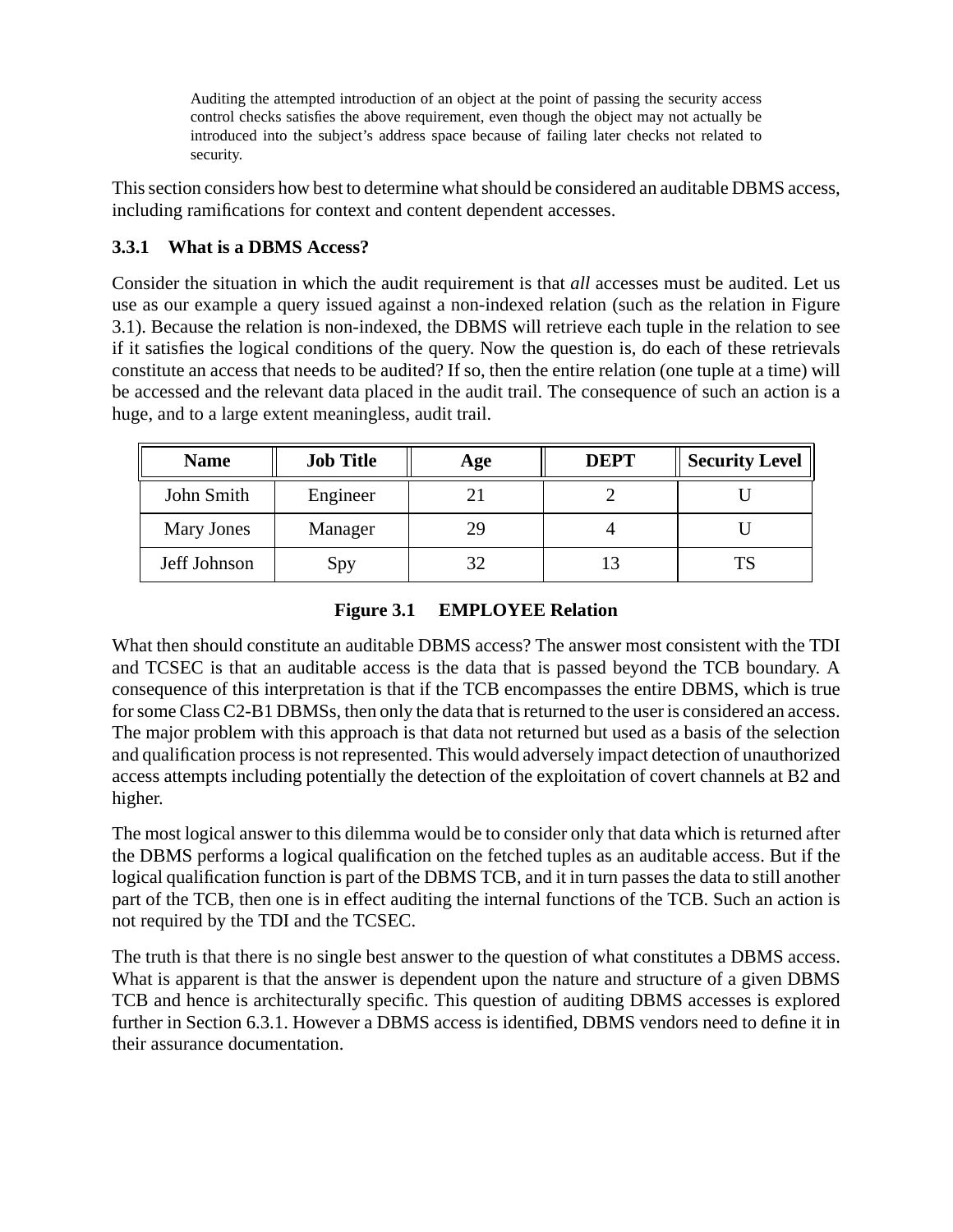Auditing the attempted introduction of an object at the point of passing the security access control checks satisfies the above requirement, even though the object may not actually be introduced into the subject's address space because of failing later checks not related to security.

This section considers how best to determine what should be considered an auditable DBMS access, including ramifications for context and content dependent accesses.

#### **3.3.1 What is a DBMS Access?**

Consider the situation in which the audit requirement is that *all* accesses must be audited. Let us use as our example a query issued against a non-indexed relation (such as the relation in Figure 3.1). Because the relation is non-indexed, the DBMS will retrieve each tuple in the relation to see if it satisfies the logical conditions of the query. Now the question is, do each of these retrievals constitute an access that needs to be audited? If so, then the entire relation (one tuple at a time) will be accessed and the relevant data placed in the audit trail. The consequence of such an action is a huge, and to a large extent meaningless, audit trail.

| <b>Name</b>  | <b>Job Title</b> | Age | <b>DEPT</b> | <b>Security Level</b> |
|--------------|------------------|-----|-------------|-----------------------|
| John Smith   | Engineer         |     |             |                       |
| Mary Jones   | Manager          |     |             |                       |
| Jeff Johnson | Spy              |     |             |                       |

**Figure 3.1 EMPLOYEE Relation**

What then should constitute an auditable DBMS access? The answer most consistent with the TDI and TCSEC is that an auditable access is the data that is passed beyond the TCB boundary. A consequence of this interpretation is that if the TCB encompasses the entire DBMS, which is true for some Class C2-B1 DBMSs, then only the data that is returned to the user is considered an access. The major problem with this approach is that data not returned but used as a basis of the selection and qualification process is not represented. This would adversely impact detection of unauthorized access attempts including potentially the detection of the exploitation of covert channels at B2 and higher.

The most logical answer to this dilemma would be to consider only that data which is returned after the DBMS performs a logical qualification on the fetched tuples as an auditable access. But if the logical qualification function is part of the DBMS TCB, and it in turn passes the data to still another part of the TCB, then one is in effect auditing the internal functions of the TCB. Such an action is not required by the TDI and the TCSEC.

The truth is that there is no single best answer to the question of what constitutes a DBMS access. What is apparent is that the answer is dependent upon the nature and structure of a given DBMS TCB and hence is architecturally specific. This question of auditing DBMS accesses is explored further in Section 6.3.1. However a DBMS access is identified, DBMS vendors need to define it in their assurance documentation.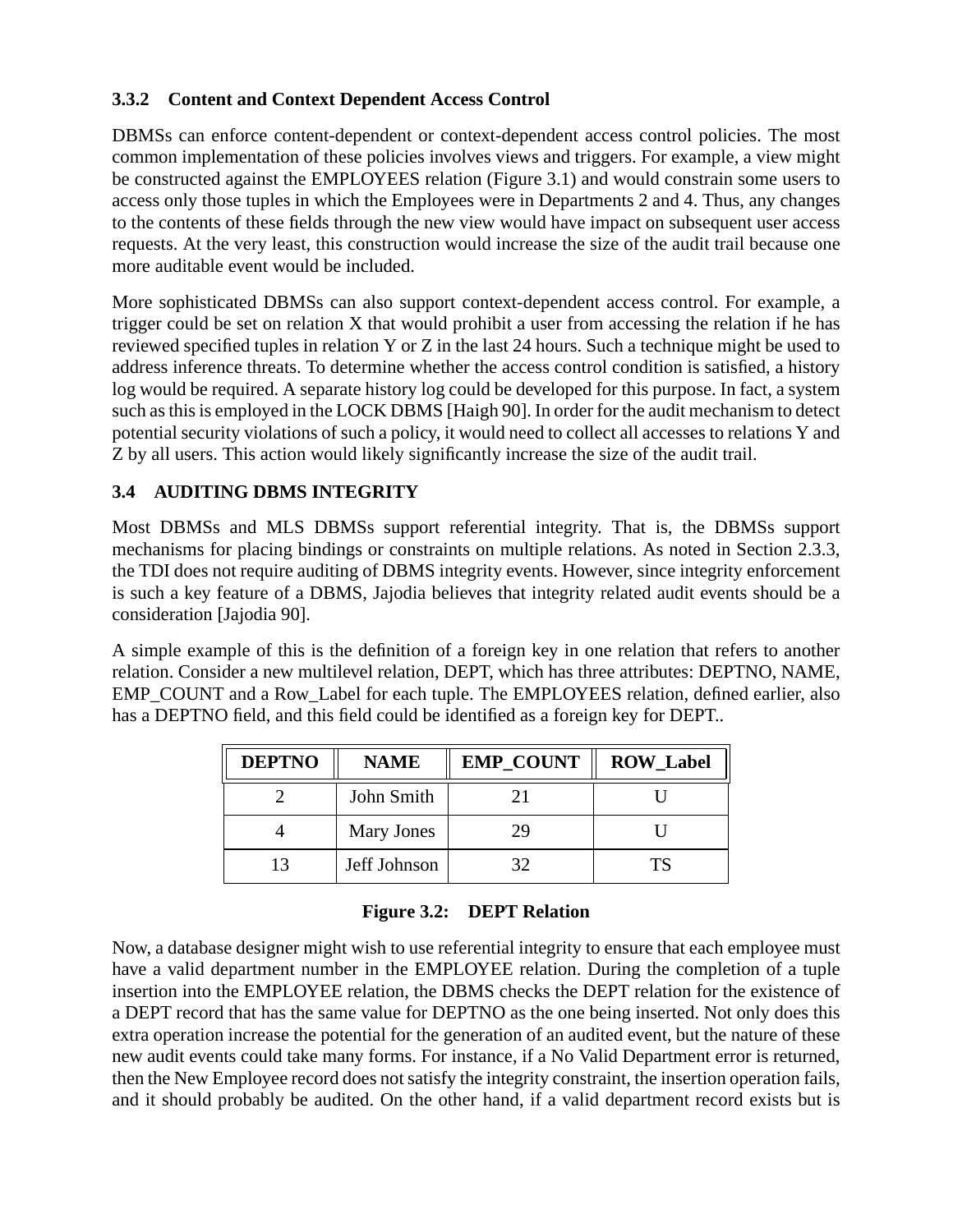#### **3.3.2 Content and Context Dependent Access Control**

DBMSs can enforce content-dependent or context-dependent access control policies. The most common implementation of these policies involves views and triggers. For example, a view might be constructed against the EMPLOYEES relation (Figure 3.1) and would constrain some users to access only those tuples in which the Employees were in Departments 2 and 4. Thus, any changes to the contents of these fields through the new view would have impact on subsequent user access requests. At the very least, this construction would increase the size of the audit trail because one more auditable event would be included.

More sophisticated DBMSs can also support context-dependent access control. For example, a trigger could be set on relation X that would prohibit a user from accessing the relation if he has reviewed specified tuples in relation Y or Z in the last 24 hours. Such a technique might be used to address inference threats. To determine whether the access control condition is satisfied, a history log would be required. A separate history log could be developed for this purpose. In fact, a system such as this is employed in the LOCK DBMS [Haigh 90]. In order for the audit mechanism to detect potential security violations of such a policy, it would need to collect all accesses to relations Y and Z by all users. This action would likely significantly increase the size of the audit trail.

#### **3.4 AUDITING DBMS INTEGRITY**

Most DBMSs and MLS DBMSs support referential integrity. That is, the DBMSs support mechanisms for placing bindings or constraints on multiple relations. As noted in Section 2.3.3, the TDI does not require auditing of DBMS integrity events. However, since integrity enforcement is such a key feature of a DBMS, Jajodia believes that integrity related audit events should be a consideration [Jajodia 90].

A simple example of this is the definition of a foreign key in one relation that refers to another relation. Consider a new multilevel relation, DEPT, which has three attributes: DEPTNO, NAME, EMP\_COUNT and a Row\_Label for each tuple. The EMPLOYEES relation, defined earlier, also has a DEPTNO field, and this field could be identified as a foreign key for DEPT..

| <b>DEPTNO</b> | <b>NAME</b>  | <b>EMP_COUNT</b> | <b>ROW_Label</b> |
|---------------|--------------|------------------|------------------|
|               | John Smith   |                  |                  |
|               | Mary Jones   | 29               |                  |
| 13            | Jeff Johnson | 32               | ТS               |

#### **Figure 3.2: DEPT Relation**

Now, a database designer might wish to use referential integrity to ensure that each employee must have a valid department number in the EMPLOYEE relation. During the completion of a tuple insertion into the EMPLOYEE relation, the DBMS checks the DEPT relation for the existence of a DEPT record that has the same value for DEPTNO as the one being inserted. Not only does this extra operation increase the potential for the generation of an audited event, but the nature of these new audit events could take many forms. For instance, if a No Valid Department error is returned, then the New Employee record does not satisfy the integrity constraint, the insertion operation fails, and it should probably be audited. On the other hand, if a valid department record exists but is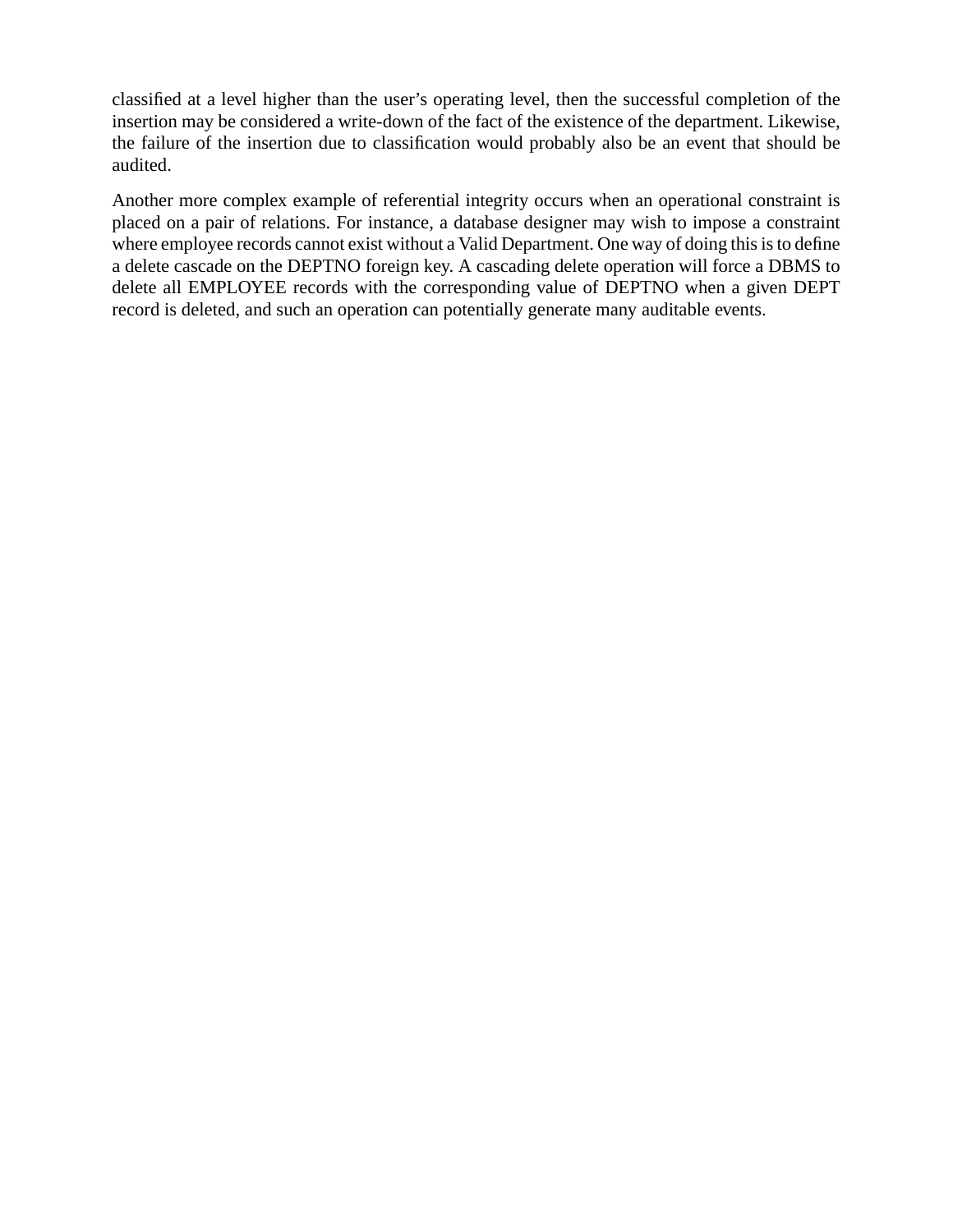classified at a level higher than the user's operating level, then the successful completion of the insertion may be considered a write-down of the fact of the existence of the department. Likewise, the failure of the insertion due to classification would probably also be an event that should be audited.

Another more complex example of referential integrity occurs when an operational constraint is placed on a pair of relations. For instance, a database designer may wish to impose a constraint where employee records cannot exist without a Valid Department. One way of doing this is to define a delete cascade on the DEPTNO foreign key. A cascading delete operation will force a DBMS to delete all EMPLOYEE records with the corresponding value of DEPTNO when a given DEPT record is deleted, and such an operation can potentially generate many auditable events.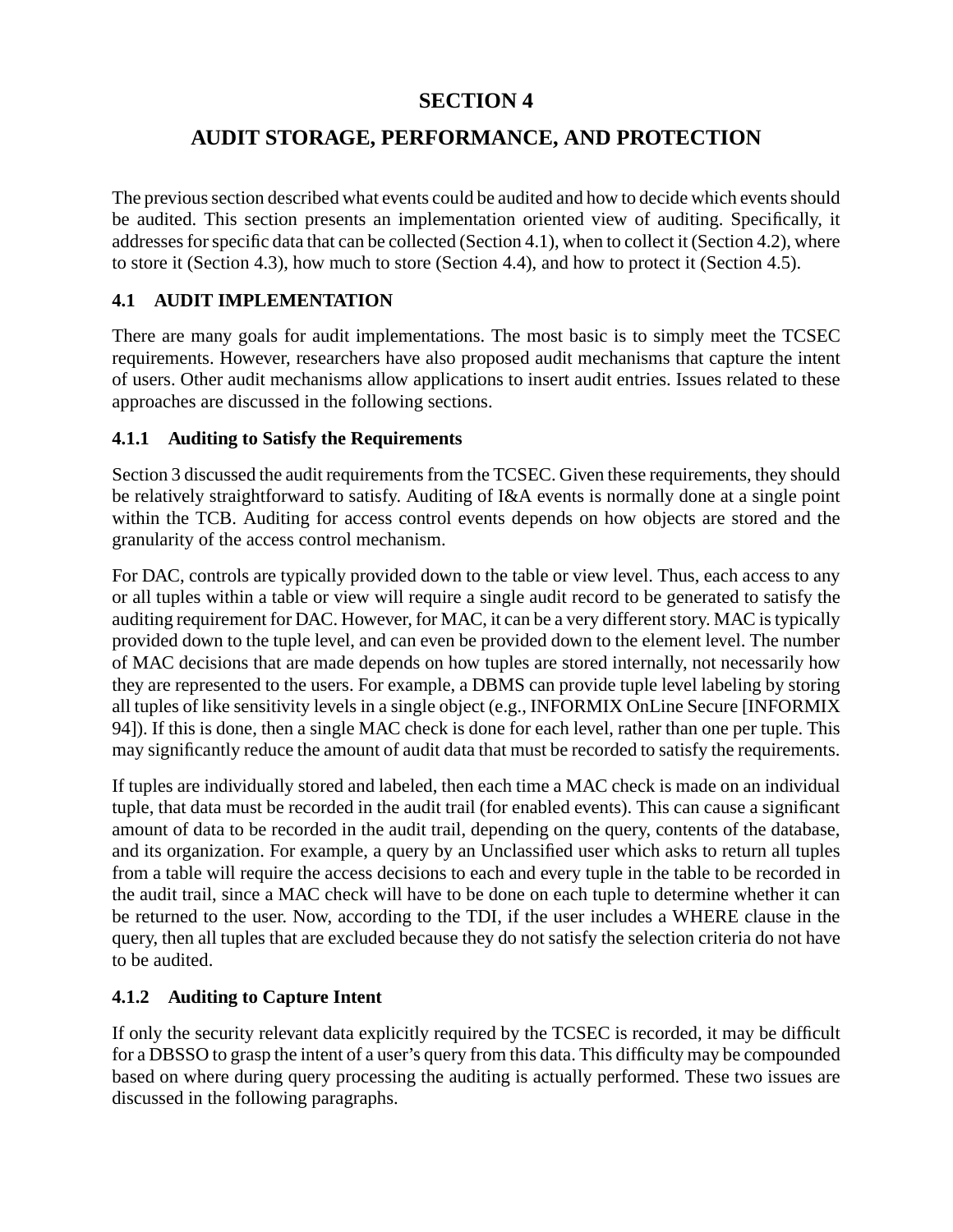## **SECTION 4**

## **AUDIT STORAGE, PERFORMANCE, AND PROTECTION**

The previous section described what events could be audited and how to decide which events should be audited. This section presents an implementation oriented view of auditing. Specifically, it addresses for specific data that can be collected (Section 4.1), when to collect it (Section 4.2), where to store it (Section 4.3), how much to store (Section 4.4), and how to protect it (Section 4.5).

#### **4.1 AUDIT IMPLEMENTATION**

There are many goals for audit implementations. The most basic is to simply meet the TCSEC requirements. However, researchers have also proposed audit mechanisms that capture the intent of users. Other audit mechanisms allow applications to insert audit entries. Issues related to these approaches are discussed in the following sections.

#### **4.1.1 Auditing to Satisfy the Requirements**

Section 3 discussed the audit requirements from the TCSEC. Given these requirements, they should be relatively straightforward to satisfy. Auditing of I&A events is normally done at a single point within the TCB. Auditing for access control events depends on how objects are stored and the granularity of the access control mechanism.

For DAC, controls are typically provided down to the table or view level. Thus, each access to any or all tuples within a table or view will require a single audit record to be generated to satisfy the auditing requirement for DAC. However, for MAC, it can be a very different story. MAC is typically provided down to the tuple level, and can even be provided down to the element level. The number of MAC decisions that are made depends on how tuples are stored internally, not necessarily how they are represented to the users. For example, a DBMS can provide tuple level labeling by storing all tuples of like sensitivity levels in a single object (e.g., INFORMIX OnLine Secure [INFORMIX 94]). If this is done, then a single MAC check is done for each level, rather than one per tuple. This may significantly reduce the amount of audit data that must be recorded to satisfy the requirements.

If tuples are individually stored and labeled, then each time a MAC check is made on an individual tuple, that data must be recorded in the audit trail (for enabled events). This can cause a significant amount of data to be recorded in the audit trail, depending on the query, contents of the database, and its organization. For example, a query by an Unclassified user which asks to return all tuples from a table will require the access decisions to each and every tuple in the table to be recorded in the audit trail, since a MAC check will have to be done on each tuple to determine whether it can be returned to the user. Now, according to the TDI, if the user includes a WHERE clause in the query, then all tuples that are excluded because they do not satisfy the selection criteria do not have to be audited.

#### **4.1.2 Auditing to Capture Intent**

If only the security relevant data explicitly required by the TCSEC is recorded, it may be difficult for a DBSSO to grasp the intent of a user's query from this data. This difficulty may be compounded based on where during query processing the auditing is actually performed. These two issues are discussed in the following paragraphs.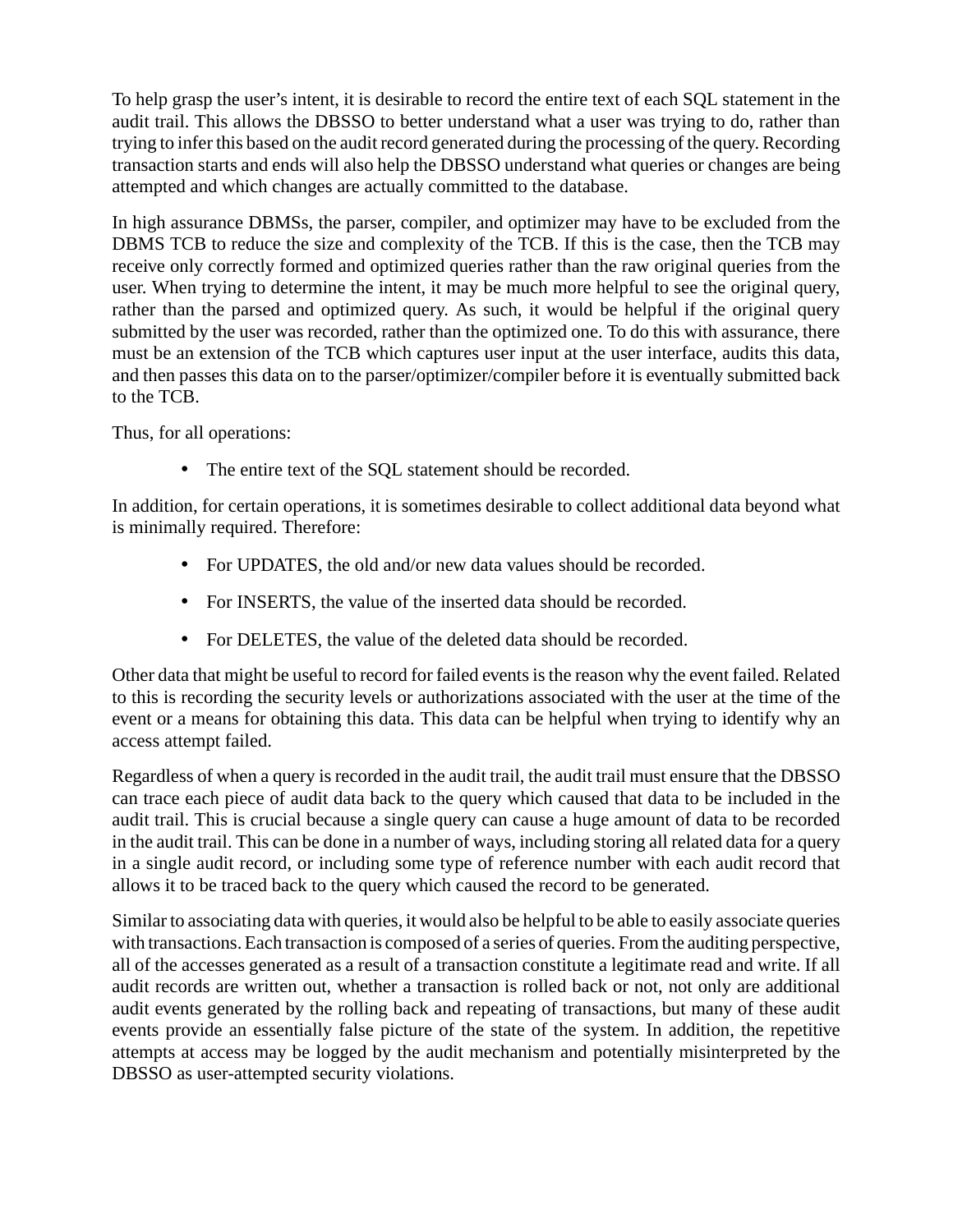To help grasp the user's intent, it is desirable to record the entire text of each SQL statement in the audit trail. This allows the DBSSO to better understand what a user was trying to do, rather than trying to infer this based on the audit record generated during the processing of the query. Recording transaction starts and ends will also help the DBSSO understand what queries or changes are being attempted and which changes are actually committed to the database.

In high assurance DBMSs, the parser, compiler, and optimizer may have to be excluded from the DBMS TCB to reduce the size and complexity of the TCB. If this is the case, then the TCB may receive only correctly formed and optimized queries rather than the raw original queries from the user. When trying to determine the intent, it may be much more helpful to see the original query, rather than the parsed and optimized query. As such, it would be helpful if the original query submitted by the user was recorded, rather than the optimized one. To do this with assurance, there must be an extension of the TCB which captures user input at the user interface, audits this data, and then passes this data on to the parser/optimizer/compiler before it is eventually submitted back to the TCB.

Thus, for all operations:

• The entire text of the SQL statement should be recorded.

In addition, for certain operations, it is sometimes desirable to collect additional data beyond what is minimally required. Therefore:

- For UPDATES, the old and/or new data values should be recorded.
- For INSERTS, the value of the inserted data should be recorded.
- For DELETES, the value of the deleted data should be recorded.

Other data that might be useful to record for failed events is the reason why the event failed. Related to this is recording the security levels or authorizations associated with the user at the time of the event or a means for obtaining this data. This data can be helpful when trying to identify why an access attempt failed.

Regardless of when a query is recorded in the audit trail, the audit trail must ensure that the DBSSO can trace each piece of audit data back to the query which caused that data to be included in the audit trail. This is crucial because a single query can cause a huge amount of data to be recorded in the audit trail. This can be done in a number of ways, including storing all related data for a query in a single audit record, or including some type of reference number with each audit record that allows it to be traced back to the query which caused the record to be generated.

Similar to associating data with queries, it would also be helpful to be able to easily associate queries with transactions. Each transaction is composed of a series of queries. From the auditing perspective, all of the accesses generated as a result of a transaction constitute a legitimate read and write. If all audit records are written out, whether a transaction is rolled back or not, not only are additional audit events generated by the rolling back and repeating of transactions, but many of these audit events provide an essentially false picture of the state of the system. In addition, the repetitive attempts at access may be logged by the audit mechanism and potentially misinterpreted by the DBSSO as user-attempted security violations.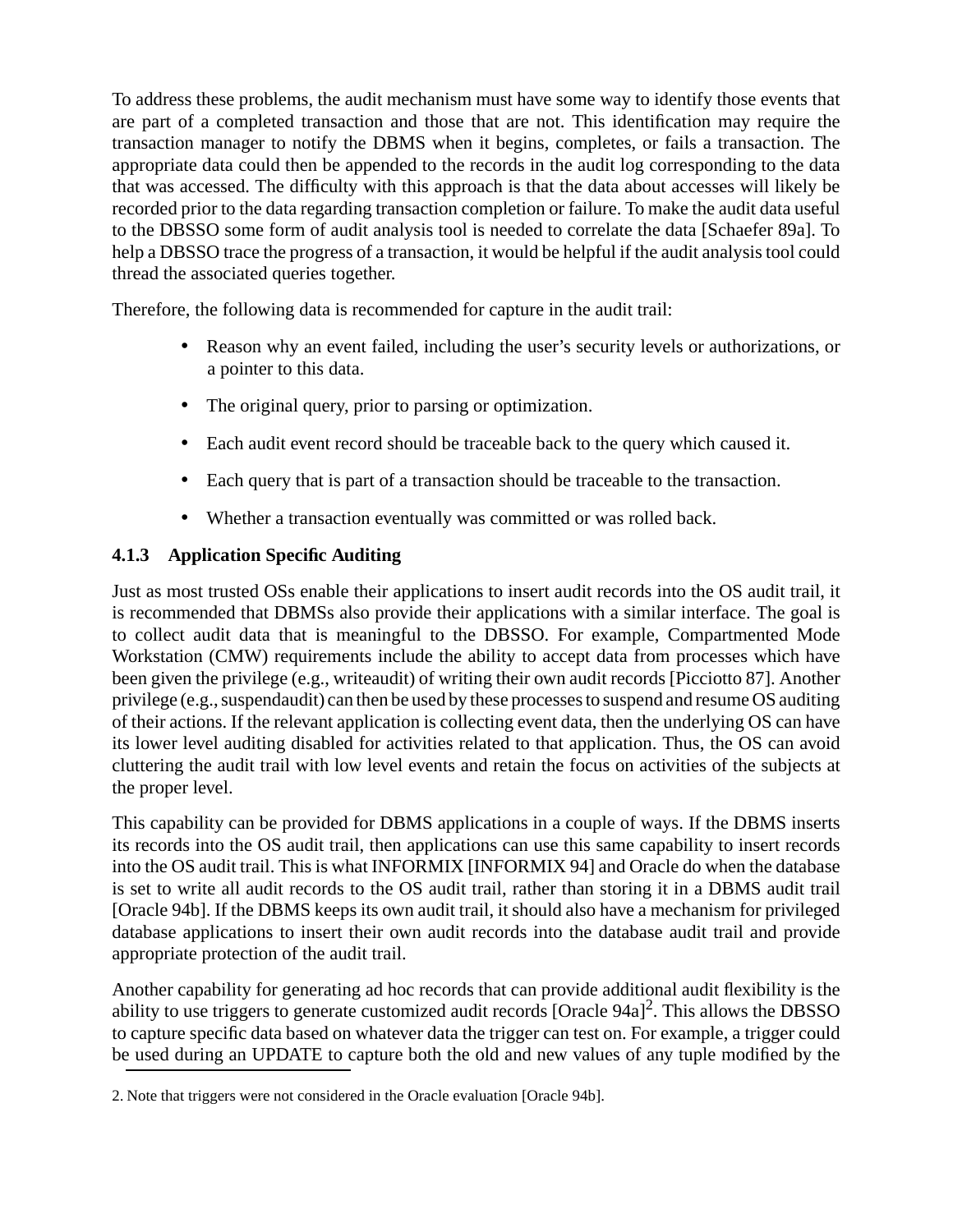To address these problems, the audit mechanism must have some way to identify those events that are part of a completed transaction and those that are not. This identification may require the transaction manager to notify the DBMS when it begins, completes, or fails a transaction. The appropriate data could then be appended to the records in the audit log corresponding to the data that was accessed. The difficulty with this approach is that the data about accesses will likely be recorded prior to the data regarding transaction completion or failure. To make the audit data useful to the DBSSO some form of audit analysis tool is needed to correlate the data [Schaefer 89a]. To help a DBSSO trace the progress of a transaction, it would be helpful if the audit analysis tool could thread the associated queries together.

Therefore, the following data is recommended for capture in the audit trail:

- Reason why an event failed, including the user's security levels or authorizations, or a pointer to this data.
- The original query, prior to parsing or optimization.
- Each audit event record should be traceable back to the query which caused it.
- Each query that is part of a transaction should be traceable to the transaction.
- Whether a transaction eventually was committed or was rolled back.

### **4.1.3 Application Specific Auditing**

Just as most trusted OSs enable their applications to insert audit records into the OS audit trail, it is recommended that DBMSs also provide their applications with a similar interface. The goal is to collect audit data that is meaningful to the DBSSO. For example, Compartmented Mode Workstation (CMW) requirements include the ability to accept data from processes which have been given the privilege (e.g., writeaudit) of writing their own audit records [Picciotto 87]. Another privilege (e.g., suspendaudit) can then be used by these processes to suspend and resume OS auditing of their actions. If the relevant application is collecting event data, then the underlying OS can have its lower level auditing disabled for activities related to that application. Thus, the OS can avoid cluttering the audit trail with low level events and retain the focus on activities of the subjects at the proper level.

This capability can be provided for DBMS applications in a couple of ways. If the DBMS inserts its records into the OS audit trail, then applications can use this same capability to insert records into the OS audit trail. This is what INFORMIX [INFORMIX 94] and Oracle do when the database is set to write all audit records to the OS audit trail, rather than storing it in a DBMS audit trail [Oracle 94b]. If the DBMS keeps its own audit trail, it should also have a mechanism for privileged database applications to insert their own audit records into the database audit trail and provide appropriate protection of the audit trail.

Another capability for generating ad hoc records that can provide additional audit flexibility is the ability to use triggers to generate customized audit records [Oracle 94a]<sup>2</sup>. This allows the DBSSO to capture specific data based on whatever data the trigger can test on. For example, a trigger could be used during an UPDATE to capture both the old and new values of any tuple modified by the

<sup>2.</sup> Note that triggers were not considered in the Oracle evaluation [Oracle 94b].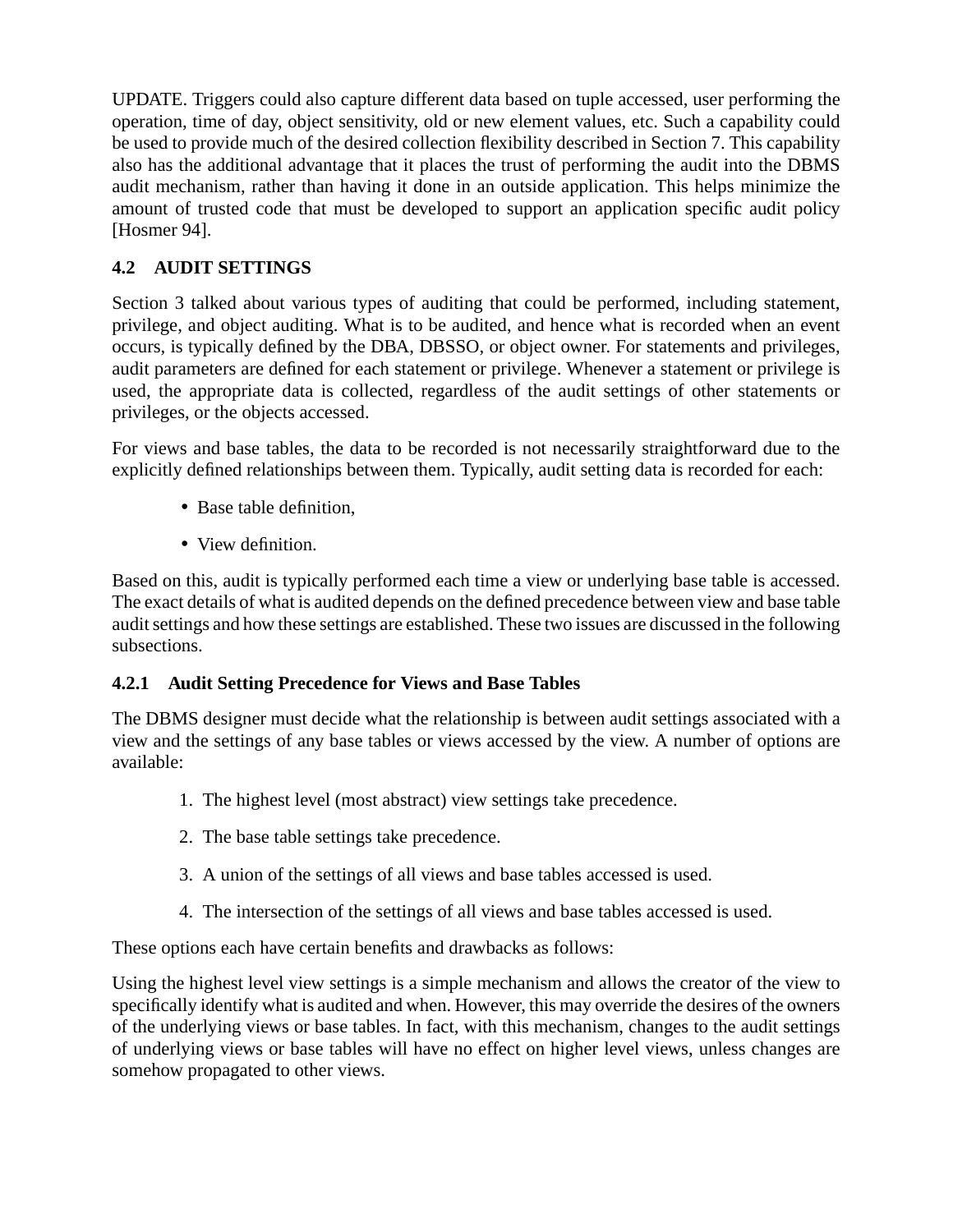UPDATE. Triggers could also capture different data based on tuple accessed, user performing the operation, time of day, object sensitivity, old or new element values, etc. Such a capability could be used to provide much of the desired collection flexibility described in Section 7. This capability also has the additional advantage that it places the trust of performing the audit into the DBMS audit mechanism, rather than having it done in an outside application. This helps minimize the amount of trusted code that must be developed to support an application specific audit policy [Hosmer 94].

## **4.2 AUDIT SETTINGS**

Section 3 talked about various types of auditing that could be performed, including statement, privilege, and object auditing. What is to be audited, and hence what is recorded when an event occurs, is typically defined by the DBA, DBSSO, or object owner. For statements and privileges, audit parameters are defined for each statement or privilege. Whenever a statement or privilege is used, the appropriate data is collected, regardless of the audit settings of other statements or privileges, or the objects accessed.

For views and base tables, the data to be recorded is not necessarily straightforward due to the explicitly defined relationships between them. Typically, audit setting data is recorded for each:

- Base table definition.
- View definition.

Based on this, audit is typically performed each time a view or underlying base table is accessed. The exact details of what is audited depends on the defined precedence between view and base table audit settings and how these settings are established. These two issues are discussed in the following subsections.

#### **4.2.1 Audit Setting Precedence for Views and Base Tables**

The DBMS designer must decide what the relationship is between audit settings associated with a view and the settings of any base tables or views accessed by the view. A number of options are available:

- 1. The highest level (most abstract) view settings take precedence.
- 2. The base table settings take precedence.
- 3. A union of the settings of all views and base tables accessed is used.
- 4. The intersection of the settings of all views and base tables accessed is used.

These options each have certain benefits and drawbacks as follows:

Using the highest level view settings is a simple mechanism and allows the creator of the view to specifically identify what is audited and when. However, this may override the desires of the owners of the underlying views or base tables. In fact, with this mechanism, changes to the audit settings of underlying views or base tables will have no effect on higher level views, unless changes are somehow propagated to other views.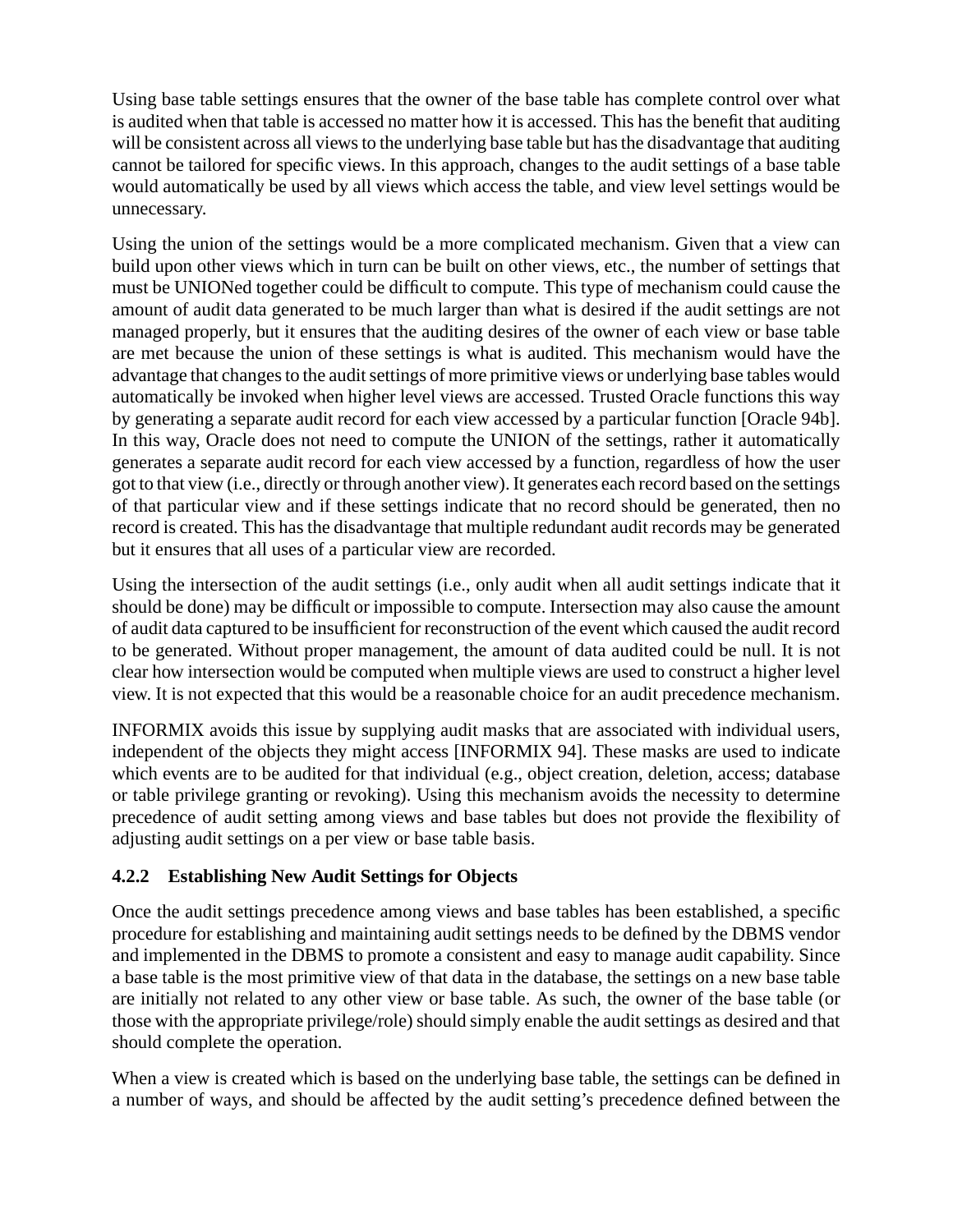Using base table settings ensures that the owner of the base table has complete control over what is audited when that table is accessed no matter how it is accessed. This has the benefit that auditing will be consistent across all views to the underlying base table but has the disadvantage that auditing cannot be tailored for specific views. In this approach, changes to the audit settings of a base table would automatically be used by all views which access the table, and view level settings would be unnecessary.

Using the union of the settings would be a more complicated mechanism. Given that a view can build upon other views which in turn can be built on other views, etc., the number of settings that must be UNIONed together could be difficult to compute. This type of mechanism could cause the amount of audit data generated to be much larger than what is desired if the audit settings are not managed properly, but it ensures that the auditing desires of the owner of each view or base table are met because the union of these settings is what is audited. This mechanism would have the advantage that changes to the audit settings of more primitive views or underlying base tables would automatically be invoked when higher level views are accessed. Trusted Oracle functions this way by generating a separate audit record for each view accessed by a particular function [Oracle 94b]. In this way, Oracle does not need to compute the UNION of the settings, rather it automatically generates a separate audit record for each view accessed by a function, regardless of how the user got to that view (i.e., directly or through another view). It generates each record based on the settings of that particular view and if these settings indicate that no record should be generated, then no record is created. This has the disadvantage that multiple redundant audit records may be generated but it ensures that all uses of a particular view are recorded.

Using the intersection of the audit settings (i.e., only audit when all audit settings indicate that it should be done) may be difficult or impossible to compute. Intersection may also cause the amount of audit data captured to be insufficient for reconstruction of the event which caused the audit record to be generated. Without proper management, the amount of data audited could be null. It is not clear how intersection would be computed when multiple views are used to construct a higher level view. It is not expected that this would be a reasonable choice for an audit precedence mechanism.

INFORMIX avoids this issue by supplying audit masks that are associated with individual users, independent of the objects they might access [INFORMIX 94]. These masks are used to indicate which events are to be audited for that individual (e.g., object creation, deletion, access; database or table privilege granting or revoking). Using this mechanism avoids the necessity to determine precedence of audit setting among views and base tables but does not provide the flexibility of adjusting audit settings on a per view or base table basis.

#### **4.2.2 Establishing New Audit Settings for Objects**

Once the audit settings precedence among views and base tables has been established, a specific procedure for establishing and maintaining audit settings needs to be defined by the DBMS vendor and implemented in the DBMS to promote a consistent and easy to manage audit capability. Since a base table is the most primitive view of that data in the database, the settings on a new base table are initially not related to any other view or base table. As such, the owner of the base table (or those with the appropriate privilege/role) should simply enable the audit settings as desired and that should complete the operation.

When a view is created which is based on the underlying base table, the settings can be defined in a number of ways, and should be affected by the audit setting's precedence defined between the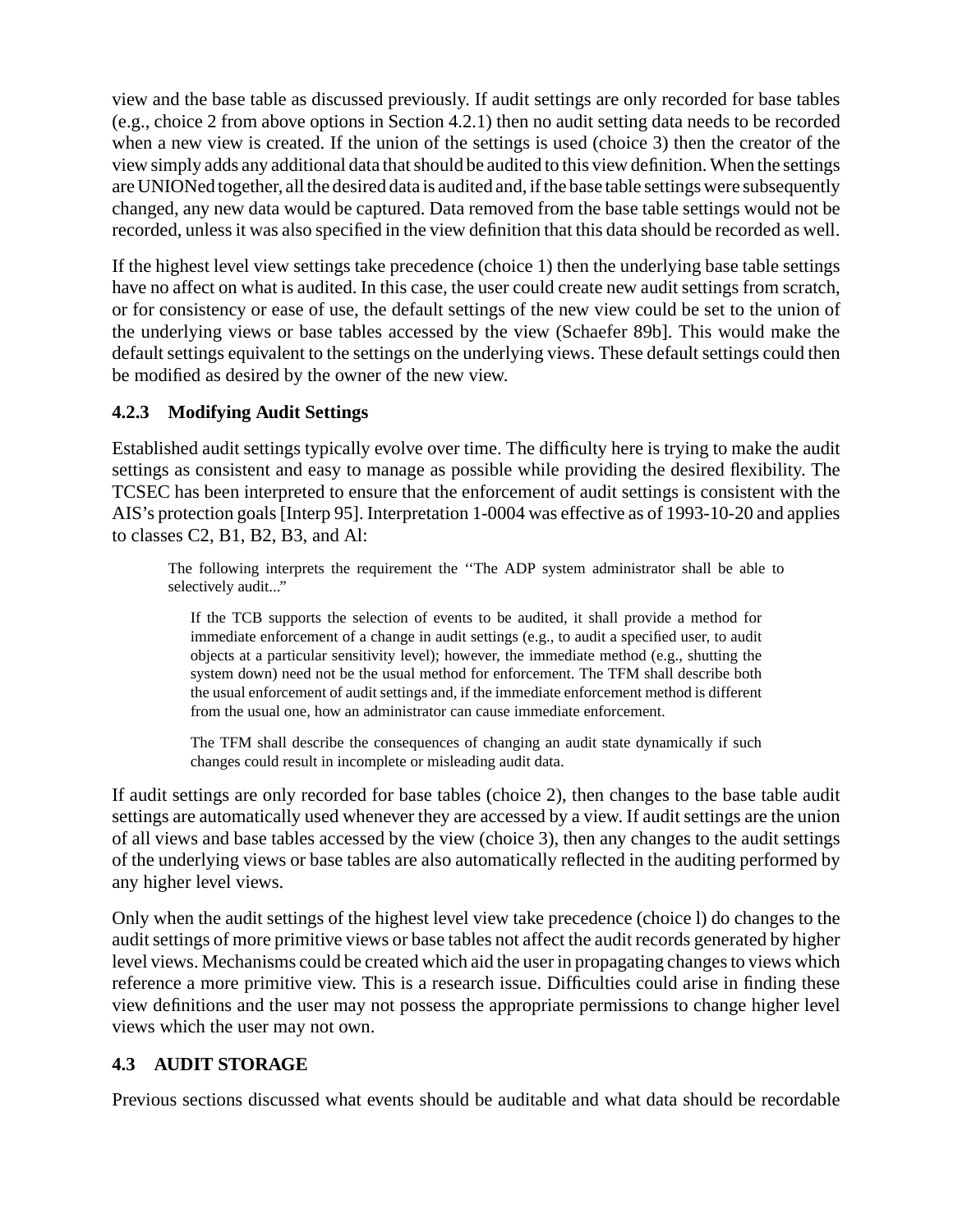view and the base table as discussed previously. If audit settings are only recorded for base tables (e.g., choice 2 from above options in Section 4.2.1) then no audit setting data needs to be recorded when a new view is created. If the union of the settings is used (choice 3) then the creator of the view simply adds any additional data that should be audited to this view definition. When the settings are UNIONed together, all the desired data is audited and, if the base table settings were subsequently changed, any new data would be captured. Data removed from the base table settings would not be recorded, unless it was also specified in the view definition that this data should be recorded as well.

If the highest level view settings take precedence (choice 1) then the underlying base table settings have no affect on what is audited. In this case, the user could create new audit settings from scratch, or for consistency or ease of use, the default settings of the new view could be set to the union of the underlying views or base tables accessed by the view (Schaefer 89b]. This would make the default settings equivalent to the settings on the underlying views. These default settings could then be modified as desired by the owner of the new view.

#### **4.2.3 Modifying Audit Settings**

Established audit settings typically evolve over time. The difficulty here is trying to make the audit settings as consistent and easy to manage as possible while providing the desired flexibility. The TCSEC has been interpreted to ensure that the enforcement of audit settings is consistent with the AIS's protection goals [Interp 95]. Interpretation 1-0004 was effective as of 1993-10-20 and applies to classes C2, B1, B2, B3, and Al:

The following interprets the requirement the ''The ADP system administrator shall be able to selectively audit..."

If the TCB supports the selection of events to be audited, it shall provide a method for immediate enforcement of a change in audit settings (e.g., to audit a specified user, to audit objects at a particular sensitivity level); however, the immediate method (e.g., shutting the system down) need not be the usual method for enforcement. The TFM shall describe both the usual enforcement of audit settings and, if the immediate enforcement method is different from the usual one, how an administrator can cause immediate enforcement.

The TFM shall describe the consequences of changing an audit state dynamically if such changes could result in incomplete or misleading audit data.

If audit settings are only recorded for base tables (choice 2), then changes to the base table audit settings are automatically used whenever they are accessed by a view. If audit settings are the union of all views and base tables accessed by the view (choice 3), then any changes to the audit settings of the underlying views or base tables are also automatically reflected in the auditing performed by any higher level views.

Only when the audit settings of the highest level view take precedence (choice l) do changes to the audit settings of more primitive views or base tables not affect the audit records generated by higher level views. Mechanisms could be created which aid the user in propagating changes to views which reference a more primitive view. This is a research issue. Difficulties could arise in finding these view definitions and the user may not possess the appropriate permissions to change higher level views which the user may not own.

#### **4.3 AUDIT STORAGE**

Previous sections discussed what events should be auditable and what data should be recordable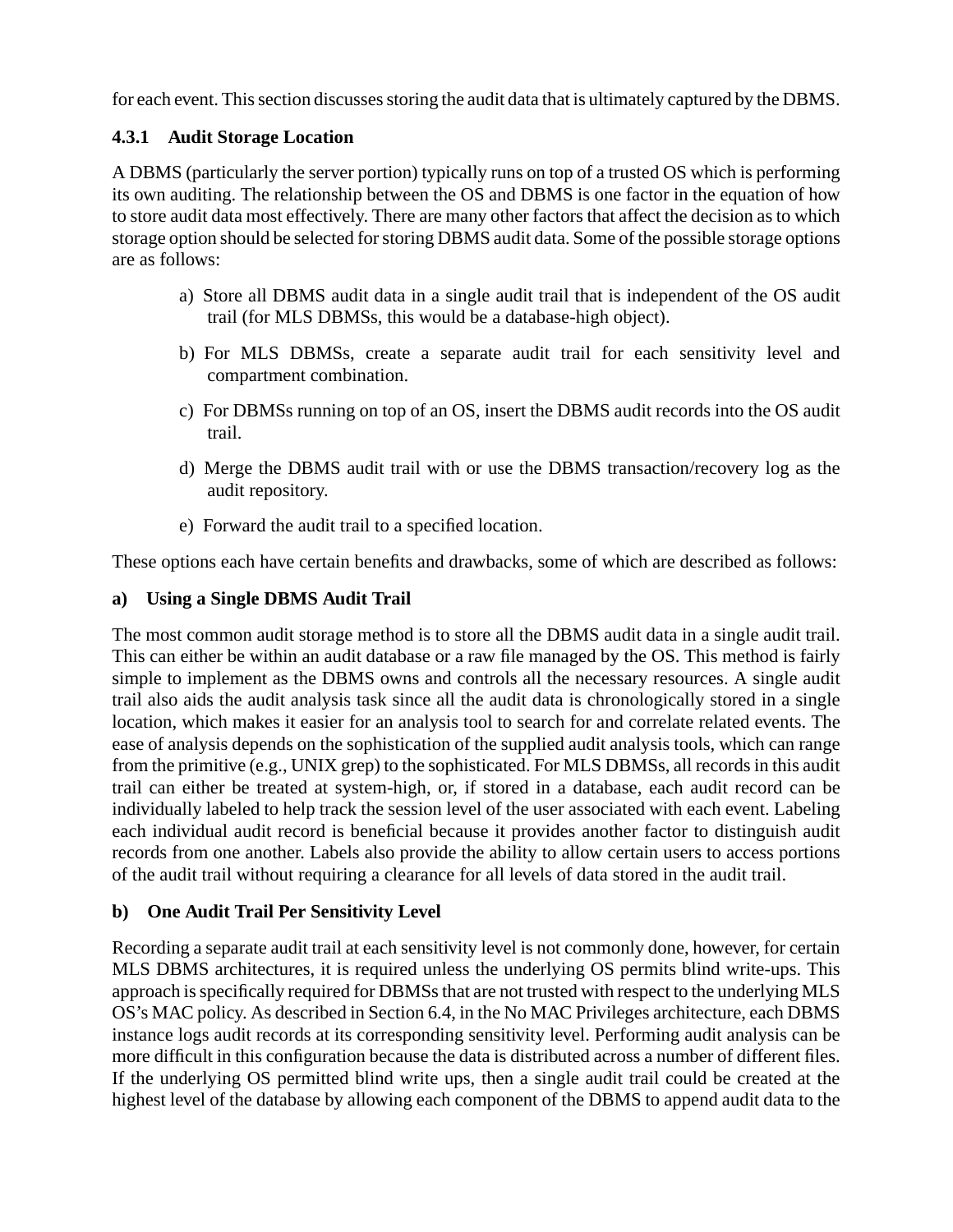for each event. This section discusses storing the audit data that is ultimately captured by the DBMS.

#### **4.3.1 Audit Storage Location**

A DBMS (particularly the server portion) typically runs on top of a trusted OS which is performing its own auditing. The relationship between the OS and DBMS is one factor in the equation of how to store audit data most effectively. There are many other factors that affect the decision as to which storage option should be selected for storing DBMS audit data. Some of the possible storage options are as follows:

- a) Store all DBMS audit data in a single audit trail that is independent of the OS audit trail (for MLS DBMSs, this would be a database-high object).
- b) For MLS DBMSs, create a separate audit trail for each sensitivity level and compartment combination.
- c) For DBMSs running on top of an OS, insert the DBMS audit records into the OS audit trail.
- d) Merge the DBMS audit trail with or use the DBMS transaction/recovery log as the audit repository.
- e) Forward the audit trail to a specified location.

These options each have certain benefits and drawbacks, some of which are described as follows:

#### **a) Using a Single DBMS Audit Trail**

The most common audit storage method is to store all the DBMS audit data in a single audit trail. This can either be within an audit database or a raw file managed by the OS. This method is fairly simple to implement as the DBMS owns and controls all the necessary resources. A single audit trail also aids the audit analysis task since all the audit data is chronologically stored in a single location, which makes it easier for an analysis tool to search for and correlate related events. The ease of analysis depends on the sophistication of the supplied audit analysis tools, which can range from the primitive (e.g., UNIX grep) to the sophisticated. For MLS DBMSs, all records in this audit trail can either be treated at system-high, or, if stored in a database, each audit record can be individually labeled to help track the session level of the user associated with each event. Labeling each individual audit record is beneficial because it provides another factor to distinguish audit records from one another. Labels also provide the ability to allow certain users to access portions of the audit trail without requiring a clearance for all levels of data stored in the audit trail.

#### **b) One Audit Trail Per Sensitivity Level**

Recording a separate audit trail at each sensitivity level is not commonly done, however, for certain MLS DBMS architectures, it is required unless the underlying OS permits blind write-ups. This approach is specifically required for DBMSs that are not trusted with respect to the underlying MLS OS's MAC policy. As described in Section 6.4, in the No MAC Privileges architecture, each DBMS instance logs audit records at its corresponding sensitivity level. Performing audit analysis can be more difficult in this configuration because the data is distributed across a number of different files. If the underlying OS permitted blind write ups, then a single audit trail could be created at the highest level of the database by allowing each component of the DBMS to append audit data to the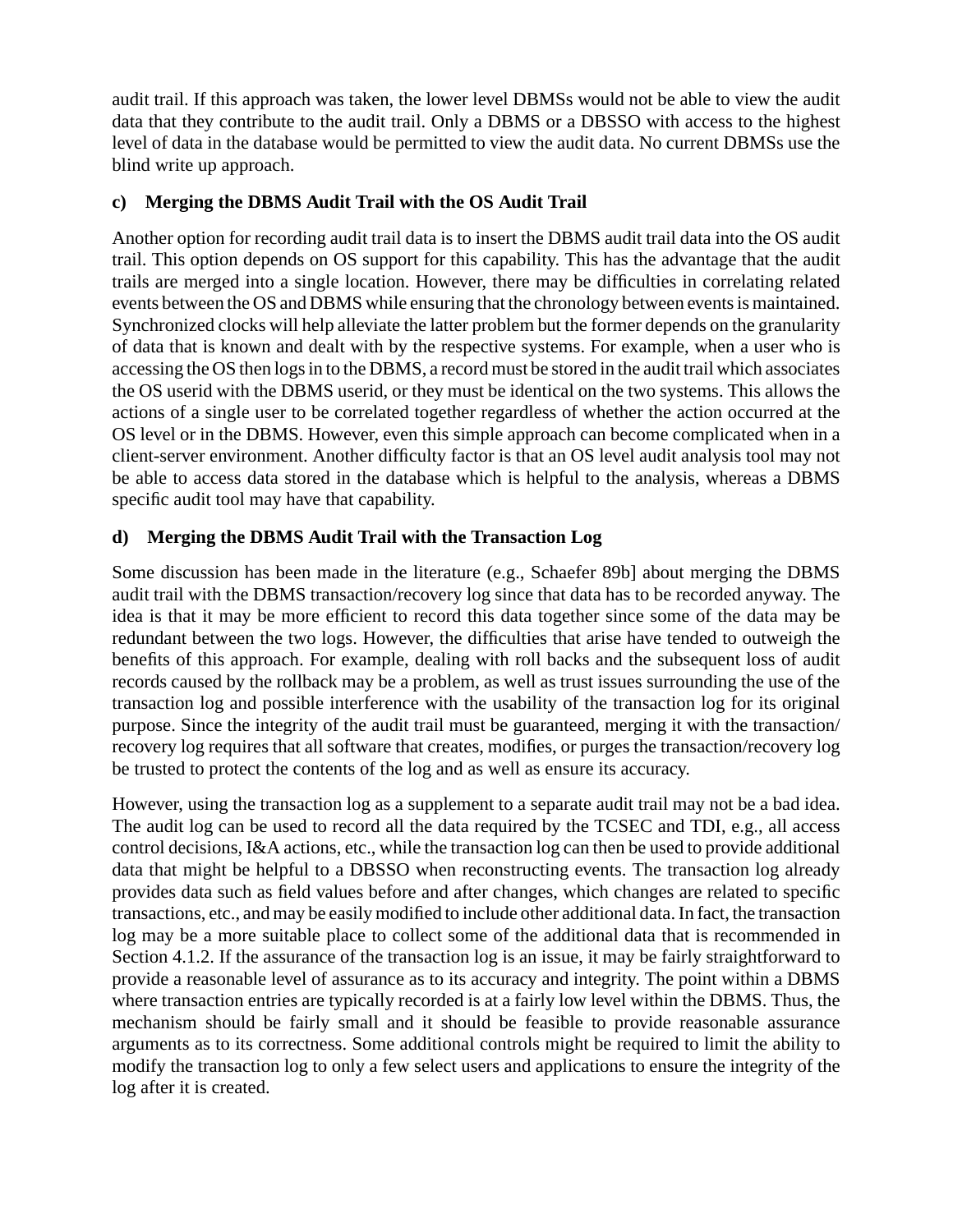audit trail. If this approach was taken, the lower level DBMSs would not be able to view the audit data that they contribute to the audit trail. Only a DBMS or a DBSSO with access to the highest level of data in the database would be permitted to view the audit data. No current DBMSs use the blind write up approach.

#### **c) Merging the DBMS Audit Trail with the OS Audit Trail**

Another option for recording audit trail data is to insert the DBMS audit trail data into the OS audit trail. This option depends on OS support for this capability. This has the advantage that the audit trails are merged into a single location. However, there may be difficulties in correlating related events between the OS and DBMS while ensuring that the chronology between events is maintained. Synchronized clocks will help alleviate the latter problem but the former depends on the granularity of data that is known and dealt with by the respective systems. For example, when a user who is accessing the OS then logs in to the DBMS, a record must be stored in the audit trail which associates the OS userid with the DBMS userid, or they must be identical on the two systems. This allows the actions of a single user to be correlated together regardless of whether the action occurred at the OS level or in the DBMS. However, even this simple approach can become complicated when in a client-server environment. Another difficulty factor is that an OS level audit analysis tool may not be able to access data stored in the database which is helpful to the analysis, whereas a DBMS specific audit tool may have that capability.

#### **d) Merging the DBMS Audit Trail with the Transaction Log**

Some discussion has been made in the literature (e.g., Schaefer 89b] about merging the DBMS audit trail with the DBMS transaction/recovery log since that data has to be recorded anyway. The idea is that it may be more efficient to record this data together since some of the data may be redundant between the two logs. However, the difficulties that arise have tended to outweigh the benefits of this approach. For example, dealing with roll backs and the subsequent loss of audit records caused by the rollback may be a problem, as well as trust issues surrounding the use of the transaction log and possible interference with the usability of the transaction log for its original purpose. Since the integrity of the audit trail must be guaranteed, merging it with the transaction/ recovery log requires that all software that creates, modifies, or purges the transaction/recovery log be trusted to protect the contents of the log and as well as ensure its accuracy.

However, using the transaction log as a supplement to a separate audit trail may not be a bad idea. The audit log can be used to record all the data required by the TCSEC and TDI, e.g., all access control decisions, I&A actions, etc., while the transaction log can then be used to provide additional data that might be helpful to a DBSSO when reconstructing events. The transaction log already provides data such as field values before and after changes, which changes are related to specific transactions, etc., and may be easily modified to include other additional data. In fact, the transaction log may be a more suitable place to collect some of the additional data that is recommended in Section 4.1.2. If the assurance of the transaction log is an issue, it may be fairly straightforward to provide a reasonable level of assurance as to its accuracy and integrity. The point within a DBMS where transaction entries are typically recorded is at a fairly low level within the DBMS. Thus, the mechanism should be fairly small and it should be feasible to provide reasonable assurance arguments as to its correctness. Some additional controls might be required to limit the ability to modify the transaction log to only a few select users and applications to ensure the integrity of the log after it is created.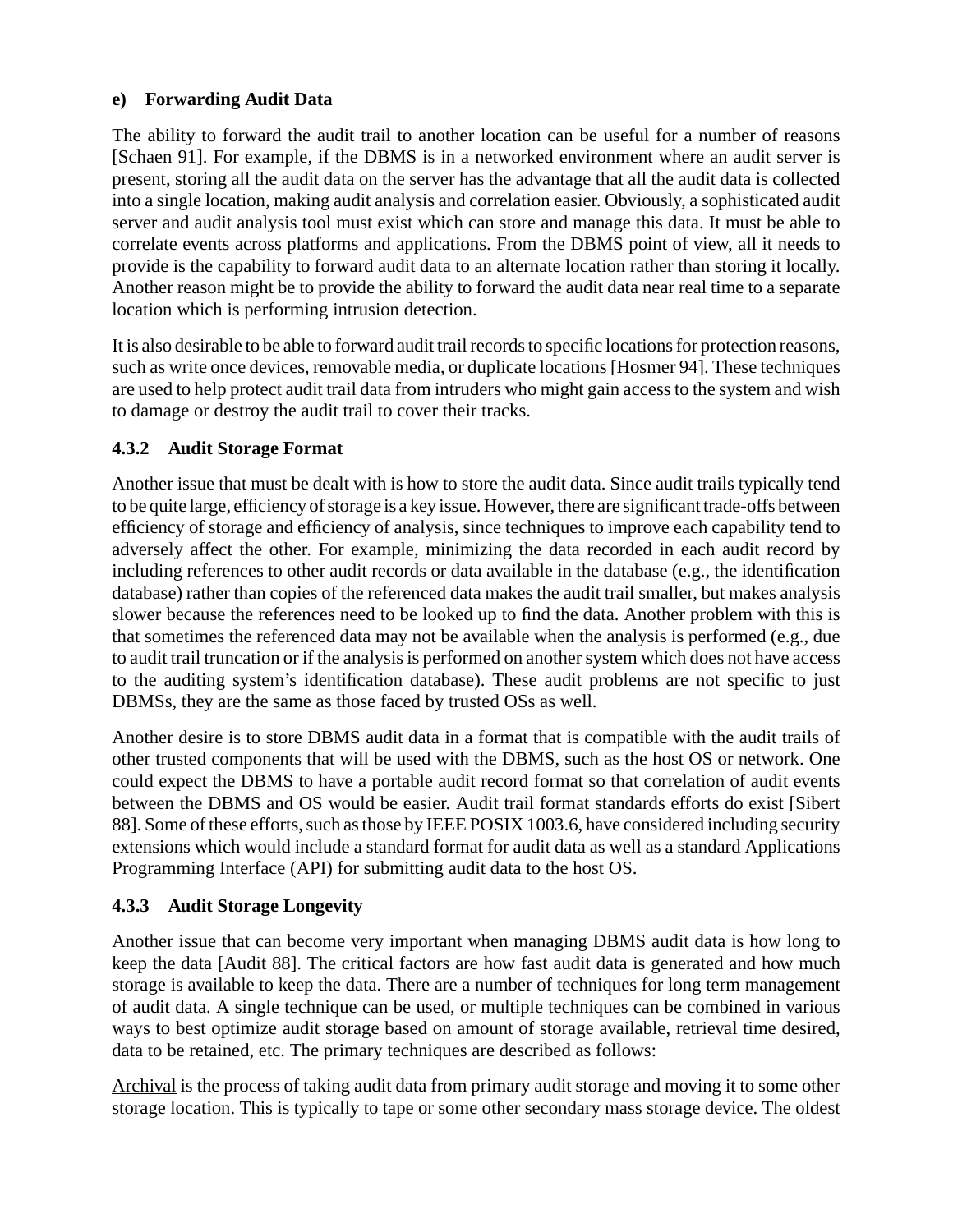#### **e) Forwarding Audit Data**

The ability to forward the audit trail to another location can be useful for a number of reasons [Schaen 91]. For example, if the DBMS is in a networked environment where an audit server is present, storing all the audit data on the server has the advantage that all the audit data is collected into a single location, making audit analysis and correlation easier. Obviously, a sophisticated audit server and audit analysis tool must exist which can store and manage this data. It must be able to correlate events across platforms and applications. From the DBMS point of view, all it needs to provide is the capability to forward audit data to an alternate location rather than storing it locally. Another reason might be to provide the ability to forward the audit data near real time to a separate location which is performing intrusion detection.

It is also desirable to be able to forward audit trail records to specific locations for protection reasons, such as write once devices, removable media, or duplicate locations [Hosmer 94]. These techniques are used to help protect audit trail data from intruders who might gain access to the system and wish to damage or destroy the audit trail to cover their tracks.

#### **4.3.2 Audit Storage Format**

Another issue that must be dealt with is how to store the audit data. Since audit trails typically tend to be quite large, efficiency of storage is a key issue. However, there are significant trade-offs between efficiency of storage and efficiency of analysis, since techniques to improve each capability tend to adversely affect the other. For example, minimizing the data recorded in each audit record by including references to other audit records or data available in the database (e.g., the identification database) rather than copies of the referenced data makes the audit trail smaller, but makes analysis slower because the references need to be looked up to find the data. Another problem with this is that sometimes the referenced data may not be available when the analysis is performed (e.g., due to audit trail truncation or if the analysis is performed on another system which does not have access to the auditing system's identification database). These audit problems are not specific to just DBMSs, they are the same as those faced by trusted OSs as well.

Another desire is to store DBMS audit data in a format that is compatible with the audit trails of other trusted components that will be used with the DBMS, such as the host OS or network. One could expect the DBMS to have a portable audit record format so that correlation of audit events between the DBMS and OS would be easier. Audit trail format standards efforts do exist [Sibert 88]. Some of these efforts, such as those by IEEE POSIX 1003.6, have considered including security extensions which would include a standard format for audit data as well as a standard Applications Programming Interface (API) for submitting audit data to the host OS.

#### **4.3.3 Audit Storage Longevity**

Another issue that can become very important when managing DBMS audit data is how long to keep the data [Audit 88]. The critical factors are how fast audit data is generated and how much storage is available to keep the data. There are a number of techniques for long term management of audit data. A single technique can be used, or multiple techniques can be combined in various ways to best optimize audit storage based on amount of storage available, retrieval time desired, data to be retained, etc. The primary techniques are described as follows:

Archival is the process of taking audit data from primary audit storage and moving it to some other storage location. This is typically to tape or some other secondary mass storage device. The oldest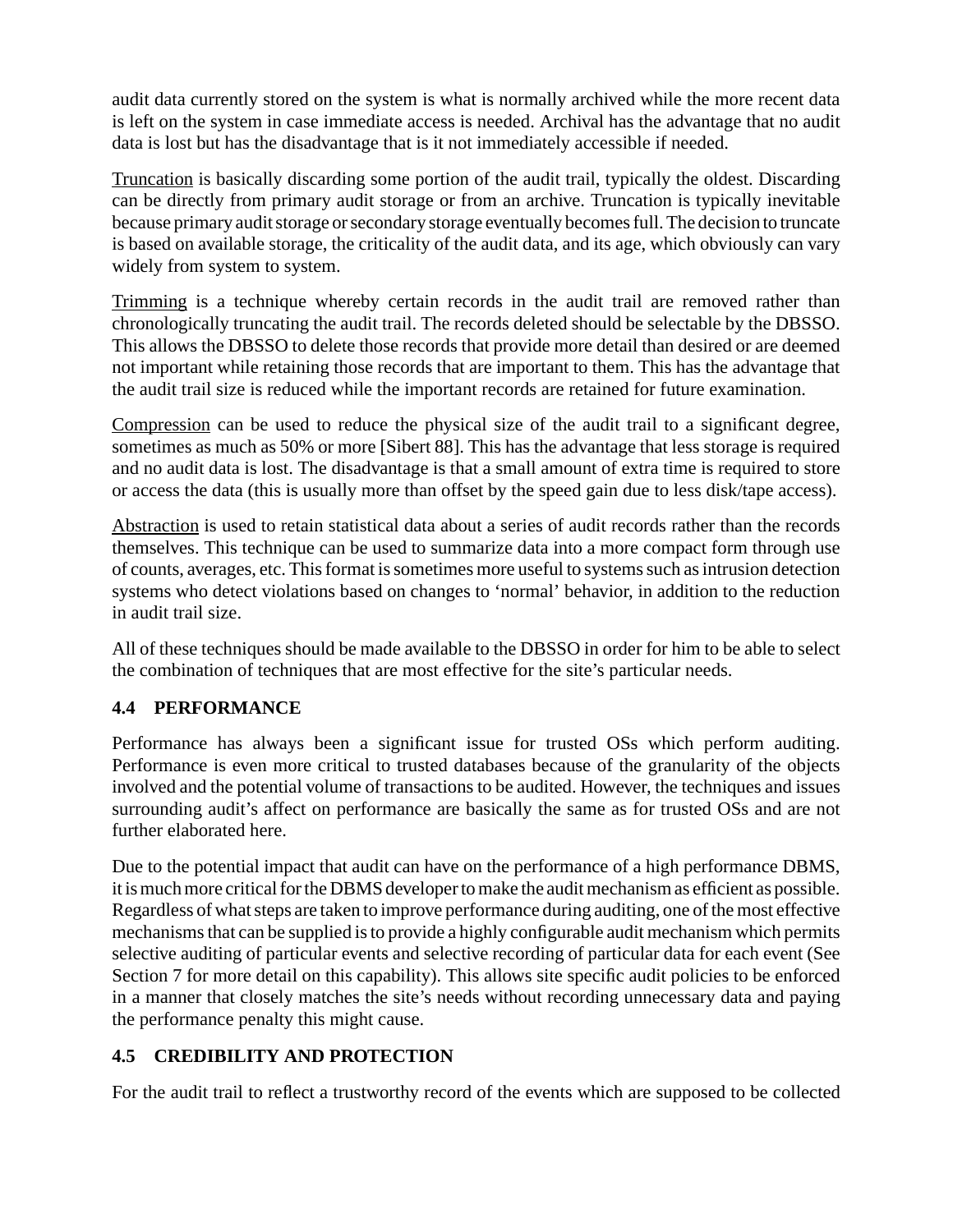audit data currently stored on the system is what is normally archived while the more recent data is left on the system in case immediate access is needed. Archival has the advantage that no audit data is lost but has the disadvantage that is it not immediately accessible if needed.

Truncation is basically discarding some portion of the audit trail, typically the oldest. Discarding can be directly from primary audit storage or from an archive. Truncation is typically inevitable because primary audit storage or secondary storage eventually becomes full. The decision to truncate is based on available storage, the criticality of the audit data, and its age, which obviously can vary widely from system to system.

Trimming is a technique whereby certain records in the audit trail are removed rather than chronologically truncating the audit trail. The records deleted should be selectable by the DBSSO. This allows the DBSSO to delete those records that provide more detail than desired or are deemed not important while retaining those records that are important to them. This has the advantage that the audit trail size is reduced while the important records are retained for future examination.

Compression can be used to reduce the physical size of the audit trail to a significant degree, sometimes as much as 50% or more [Sibert 88]. This has the advantage that less storage is required and no audit data is lost. The disadvantage is that a small amount of extra time is required to store or access the data (this is usually more than offset by the speed gain due to less disk/tape access).

Abstraction is used to retain statistical data about a series of audit records rather than the records themselves. This technique can be used to summarize data into a more compact form through use of counts, averages, etc. This format is sometimes more useful to systems such as intrusion detection systems who detect violations based on changes to 'normal' behavior, in addition to the reduction in audit trail size.

All of these techniques should be made available to the DBSSO in order for him to be able to select the combination of techniques that are most effective for the site's particular needs.

#### **4.4 PERFORMANCE**

Performance has always been a significant issue for trusted OSs which perform auditing. Performance is even more critical to trusted databases because of the granularity of the objects involved and the potential volume of transactions to be audited. However, the techniques and issues surrounding audit's affect on performance are basically the same as for trusted OSs and are not further elaborated here.

Due to the potential impact that audit can have on the performance of a high performance DBMS, it is much more critical for the DBMS developer to make the audit mechanism as efficient as possible. Regardless of what steps are taken to improve performance during auditing, one of the most effective mechanisms that can be supplied is to provide a highly configurable audit mechanism which permits selective auditing of particular events and selective recording of particular data for each event (See Section 7 for more detail on this capability). This allows site specific audit policies to be enforced in a manner that closely matches the site's needs without recording unnecessary data and paying the performance penalty this might cause.

## **4.5 CREDIBILITY AND PROTECTION**

For the audit trail to reflect a trustworthy record of the events which are supposed to be collected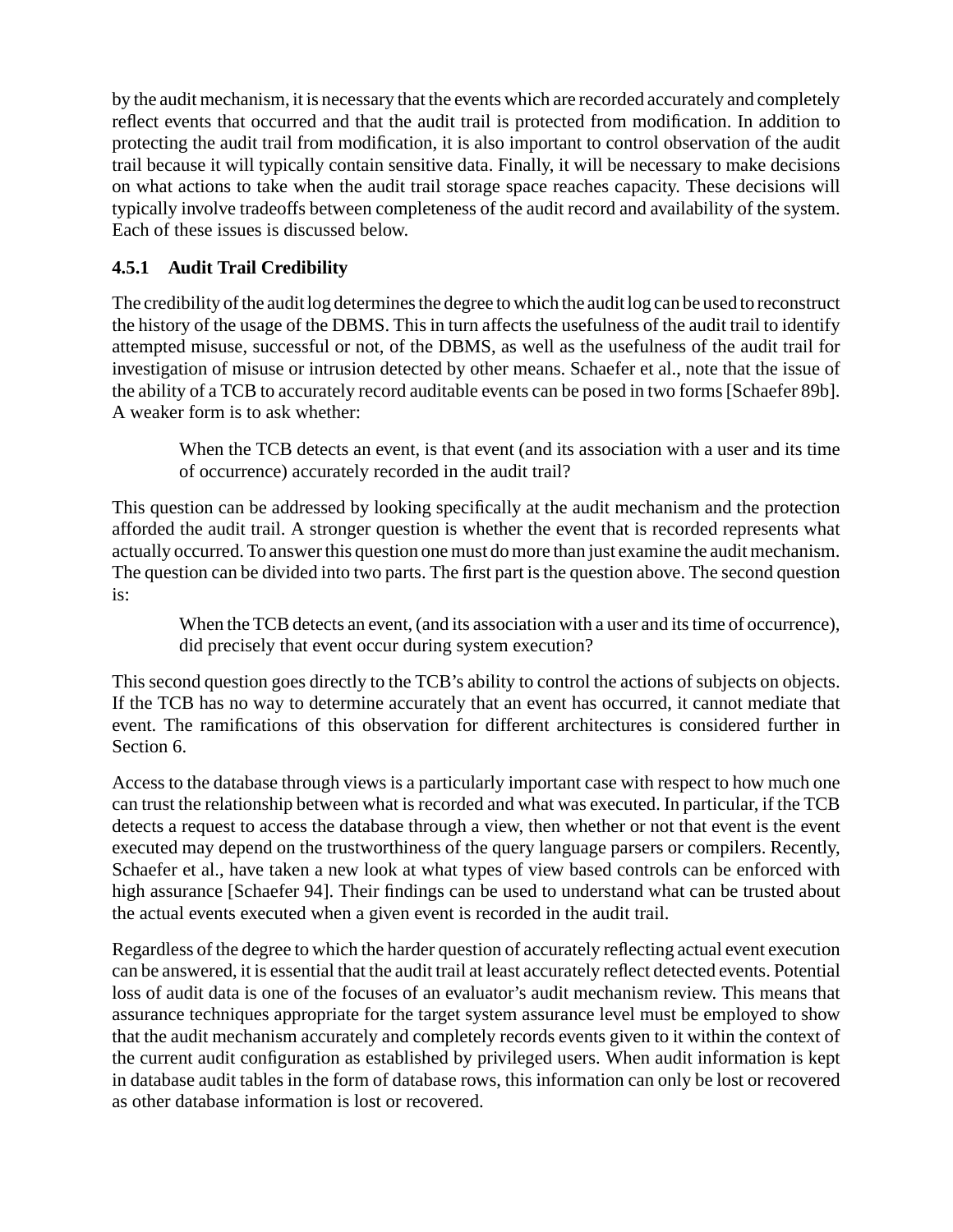by the audit mechanism, it is necessary that the events which are recorded accurately and completely reflect events that occurred and that the audit trail is protected from modification. In addition to protecting the audit trail from modification, it is also important to control observation of the audit trail because it will typically contain sensitive data. Finally, it will be necessary to make decisions on what actions to take when the audit trail storage space reaches capacity. These decisions will typically involve tradeoffs between completeness of the audit record and availability of the system. Each of these issues is discussed below.

### **4.5.1 Audit Trail Credibility**

The credibility of the audit log determines the degree to which the audit log can be used to reconstruct the history of the usage of the DBMS. This in turn affects the usefulness of the audit trail to identify attempted misuse, successful or not, of the DBMS, as well as the usefulness of the audit trail for investigation of misuse or intrusion detected by other means. Schaefer et al., note that the issue of the ability of a TCB to accurately record auditable events can be posed in two forms [Schaefer 89b]. A weaker form is to ask whether:

When the TCB detects an event, is that event (and its association with a user and its time of occurrence) accurately recorded in the audit trail?

This question can be addressed by looking specifically at the audit mechanism and the protection afforded the audit trail. A stronger question is whether the event that is recorded represents what actually occurred. To answer this question one must do more than just examine the audit mechanism. The question can be divided into two parts. The first part is the question above. The second question is:

When the TCB detects an event, (and its association with a user and its time of occurrence), did precisely that event occur during system execution?

This second question goes directly to the TCB's ability to control the actions of subjects on objects. If the TCB has no way to determine accurately that an event has occurred, it cannot mediate that event. The ramifications of this observation for different architectures is considered further in Section 6.

Access to the database through views is a particularly important case with respect to how much one can trust the relationship between what is recorded and what was executed. In particular, if the TCB detects a request to access the database through a view, then whether or not that event is the event executed may depend on the trustworthiness of the query language parsers or compilers. Recently, Schaefer et al., have taken a new look at what types of view based controls can be enforced with high assurance [Schaefer 94]. Their findings can be used to understand what can be trusted about the actual events executed when a given event is recorded in the audit trail.

Regardless of the degree to which the harder question of accurately reflecting actual event execution can be answered, it is essential that the audit trail at least accurately reflect detected events. Potential loss of audit data is one of the focuses of an evaluator's audit mechanism review. This means that assurance techniques appropriate for the target system assurance level must be employed to show that the audit mechanism accurately and completely records events given to it within the context of the current audit configuration as established by privileged users. When audit information is kept in database audit tables in the form of database rows, this information can only be lost or recovered as other database information is lost or recovered.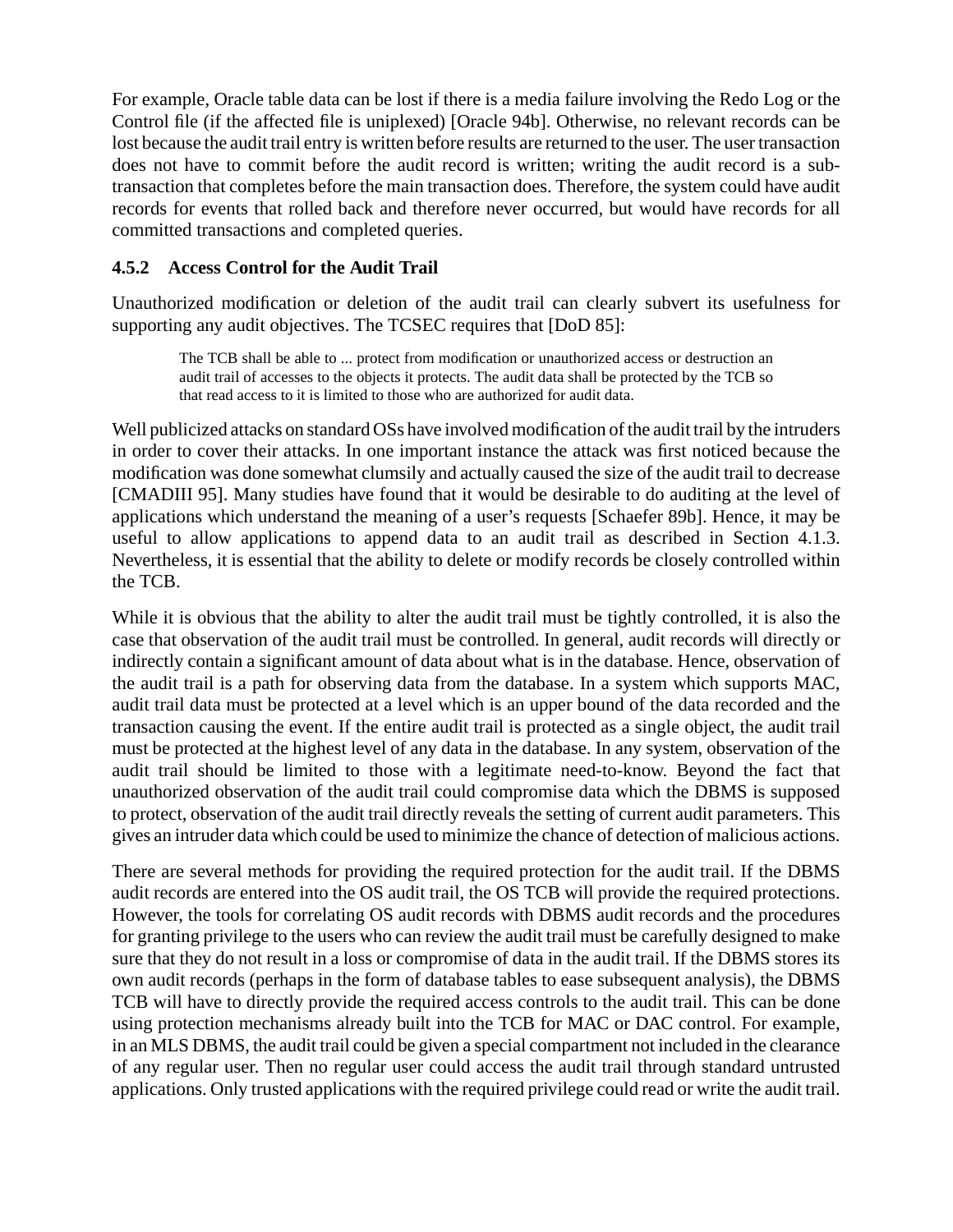For example, Oracle table data can be lost if there is a media failure involving the Redo Log or the Control file (if the affected file is uniplexed) [Oracle 94b]. Otherwise, no relevant records can be lost because the audit trail entry is written before results are returned to the user. The user transaction does not have to commit before the audit record is written; writing the audit record is a subtransaction that completes before the main transaction does. Therefore, the system could have audit records for events that rolled back and therefore never occurred, but would have records for all committed transactions and completed queries.

#### **4.5.2 Access Control for the Audit Trail**

Unauthorized modification or deletion of the audit trail can clearly subvert its usefulness for supporting any audit objectives. The TCSEC requires that [DoD 85]:

The TCB shall be able to ... protect from modification or unauthorized access or destruction an audit trail of accesses to the objects it protects. The audit data shall be protected by the TCB so that read access to it is limited to those who are authorized for audit data.

Well publicized attacks on standard OSs have involved modification of the audit trail by the intruders in order to cover their attacks. In one important instance the attack was first noticed because the modification was done somewhat clumsily and actually caused the size of the audit trail to decrease [CMADIII 95]. Many studies have found that it would be desirable to do auditing at the level of applications which understand the meaning of a user's requests [Schaefer 89b]. Hence, it may be useful to allow applications to append data to an audit trail as described in Section 4.1.3. Nevertheless, it is essential that the ability to delete or modify records be closely controlled within the TCB.

While it is obvious that the ability to alter the audit trail must be tightly controlled, it is also the case that observation of the audit trail must be controlled. In general, audit records will directly or indirectly contain a significant amount of data about what is in the database. Hence, observation of the audit trail is a path for observing data from the database. In a system which supports MAC, audit trail data must be protected at a level which is an upper bound of the data recorded and the transaction causing the event. If the entire audit trail is protected as a single object, the audit trail must be protected at the highest level of any data in the database. In any system, observation of the audit trail should be limited to those with a legitimate need-to-know. Beyond the fact that unauthorized observation of the audit trail could compromise data which the DBMS is supposed to protect, observation of the audit trail directly reveals the setting of current audit parameters. This gives an intruder data which could be used to minimize the chance of detection of malicious actions.

There are several methods for providing the required protection for the audit trail. If the DBMS audit records are entered into the OS audit trail, the OS TCB will provide the required protections. However, the tools for correlating OS audit records with DBMS audit records and the procedures for granting privilege to the users who can review the audit trail must be carefully designed to make sure that they do not result in a loss or compromise of data in the audit trail. If the DBMS stores its own audit records (perhaps in the form of database tables to ease subsequent analysis), the DBMS TCB will have to directly provide the required access controls to the audit trail. This can be done using protection mechanisms already built into the TCB for MAC or DAC control. For example, in an MLS DBMS, the audit trail could be given a special compartment not included in the clearance of any regular user. Then no regular user could access the audit trail through standard untrusted applications. Only trusted applications with the required privilege could read or write the audit trail.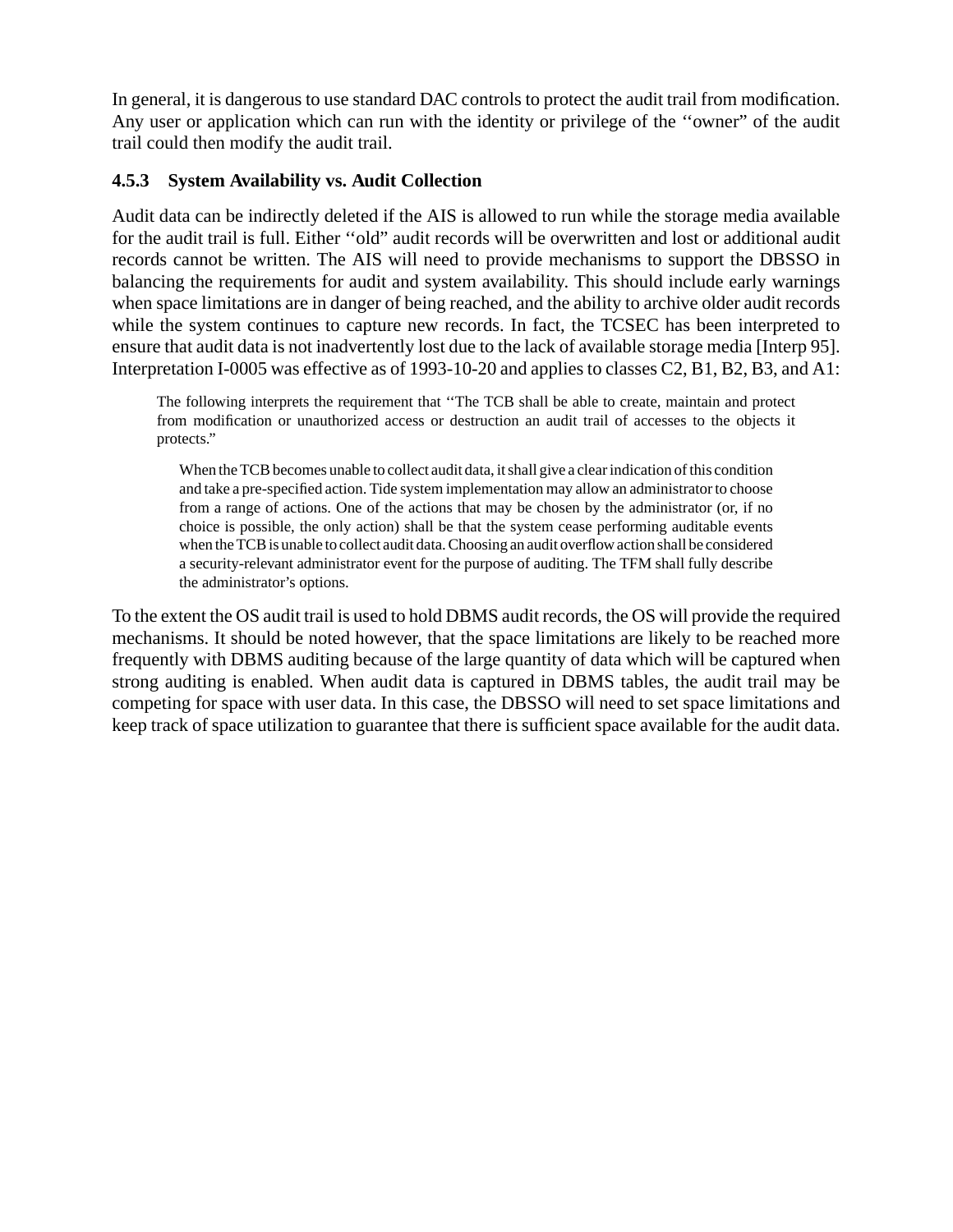In general, it is dangerous to use standard DAC controls to protect the audit trail from modification. Any user or application which can run with the identity or privilege of the ''owner" of the audit trail could then modify the audit trail.

#### **4.5.3 System Availability vs. Audit Collection**

Audit data can be indirectly deleted if the AIS is allowed to run while the storage media available for the audit trail is full. Either ''old" audit records will be overwritten and lost or additional audit records cannot be written. The AIS will need to provide mechanisms to support the DBSSO in balancing the requirements for audit and system availability. This should include early warnings when space limitations are in danger of being reached, and the ability to archive older audit records while the system continues to capture new records. In fact, the TCSEC has been interpreted to ensure that audit data is not inadvertently lost due to the lack of available storage media [Interp 95]. Interpretation I-0005 was effective as of 1993-10-20 and applies to classes C2, B1, B2, B3, and A1:

The following interprets the requirement that ''The TCB shall be able to create, maintain and protect from modification or unauthorized access or destruction an audit trail of accesses to the objects it protects."

When the TCB becomes unable to collect audit data, it shall give a clear indication of this condition and take a pre-specified action. Tide system implementation may allow an administrator to choose from a range of actions. One of the actions that may be chosen by the administrator (or, if no choice is possible, the only action) shall be that the system cease performing auditable events when the TCB is unable to collect audit data. Choosing an audit overflow action shall be considered a security-relevant administrator event for the purpose of auditing. The TFM shall fully describe the administrator's options.

To the extent the OS audit trail is used to hold DBMS audit records, the OS will provide the required mechanisms. It should be noted however, that the space limitations are likely to be reached more frequently with DBMS auditing because of the large quantity of data which will be captured when strong auditing is enabled. When audit data is captured in DBMS tables, the audit trail may be competing for space with user data. In this case, the DBSSO will need to set space limitations and keep track of space utilization to guarantee that there is sufficient space available for the audit data.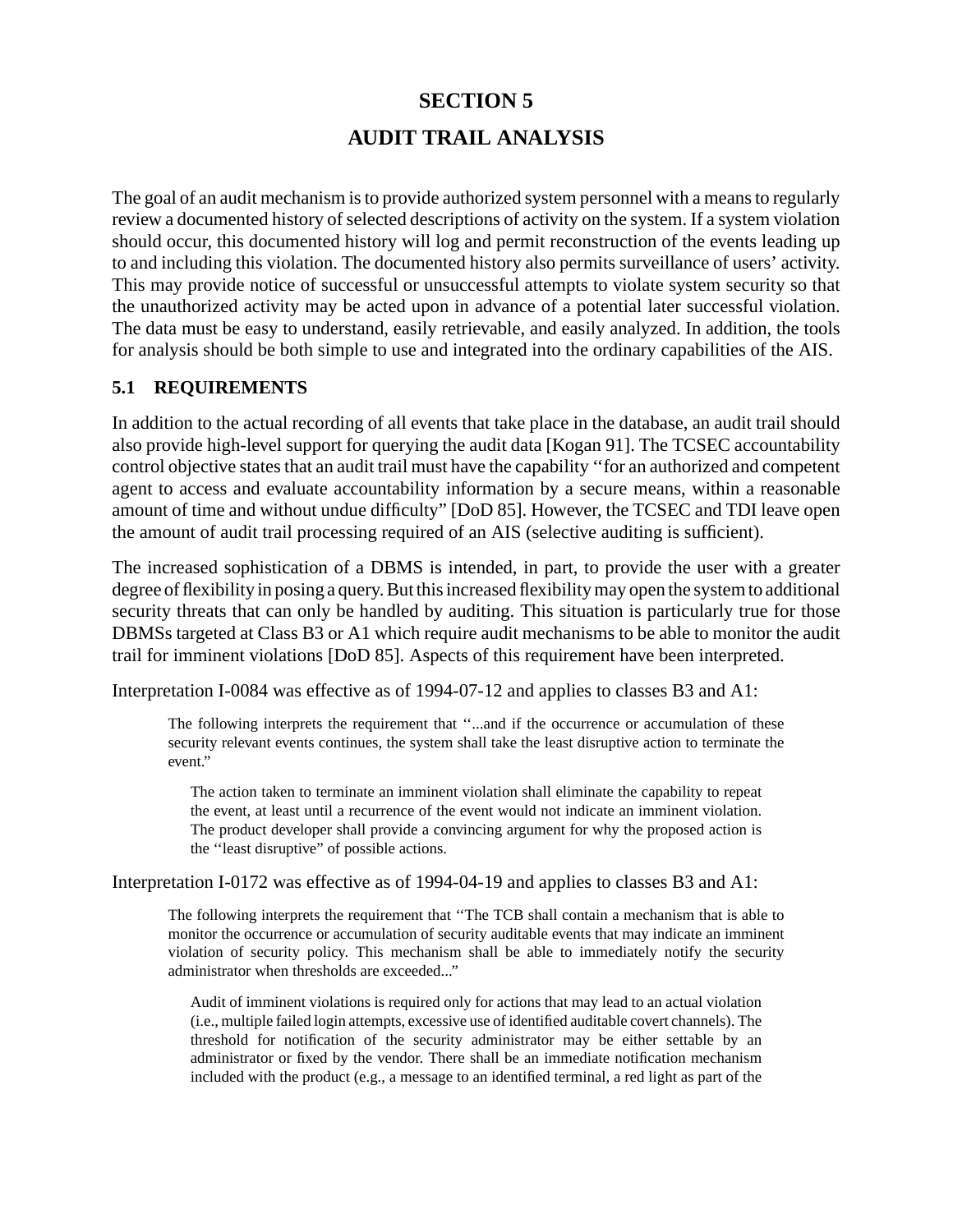# **SECTION 5 AUDIT TRAIL ANALYSIS**

The goal of an audit mechanism is to provide authorized system personnel with a means to regularly review a documented history of selected descriptions of activity on the system. If a system violation should occur, this documented history will log and permit reconstruction of the events leading up to and including this violation. The documented history also permits surveillance of users' activity. This may provide notice of successful or unsuccessful attempts to violate system security so that the unauthorized activity may be acted upon in advance of a potential later successful violation. The data must be easy to understand, easily retrievable, and easily analyzed. In addition, the tools for analysis should be both simple to use and integrated into the ordinary capabilities of the AIS.

#### **5.1 REQUIREMENTS**

In addition to the actual recording of all events that take place in the database, an audit trail should also provide high-level support for querying the audit data [Kogan 91]. The TCSEC accountability control objective states that an audit trail must have the capability ''for an authorized and competent agent to access and evaluate accountability information by a secure means, within a reasonable amount of time and without undue difficulty" [DoD 85]. However, the TCSEC and TDI leave open the amount of audit trail processing required of an AIS (selective auditing is sufficient).

The increased sophistication of a DBMS is intended, in part, to provide the user with a greater degree of flexibility in posing a query. But this increased flexibility may open the system to additional security threats that can only be handled by auditing. This situation is particularly true for those DBMSs targeted at Class B3 or A1 which require audit mechanisms to be able to monitor the audit trail for imminent violations [DoD 85]. Aspects of this requirement have been interpreted.

Interpretation I-0084 was effective as of 1994-07-12 and applies to classes B3 and A1:

The following interprets the requirement that ''...and if the occurrence or accumulation of these security relevant events continues, the system shall take the least disruptive action to terminate the event."

The action taken to terminate an imminent violation shall eliminate the capability to repeat the event, at least until a recurrence of the event would not indicate an imminent violation. The product developer shall provide a convincing argument for why the proposed action is the ''least disruptive" of possible actions.

Interpretation I-0172 was effective as of 1994-04-19 and applies to classes B3 and A1:

The following interprets the requirement that ''The TCB shall contain a mechanism that is able to monitor the occurrence or accumulation of security auditable events that may indicate an imminent violation of security policy. This mechanism shall be able to immediately notify the security administrator when thresholds are exceeded..."

Audit of imminent violations is required only for actions that may lead to an actual violation (i.e., multiple failed login attempts, excessive use of identified auditable covert channels). The threshold for notification of the security administrator may be either settable by an administrator or fixed by the vendor. There shall be an immediate notification mechanism included with the product (e.g., a message to an identified terminal, a red light as part of the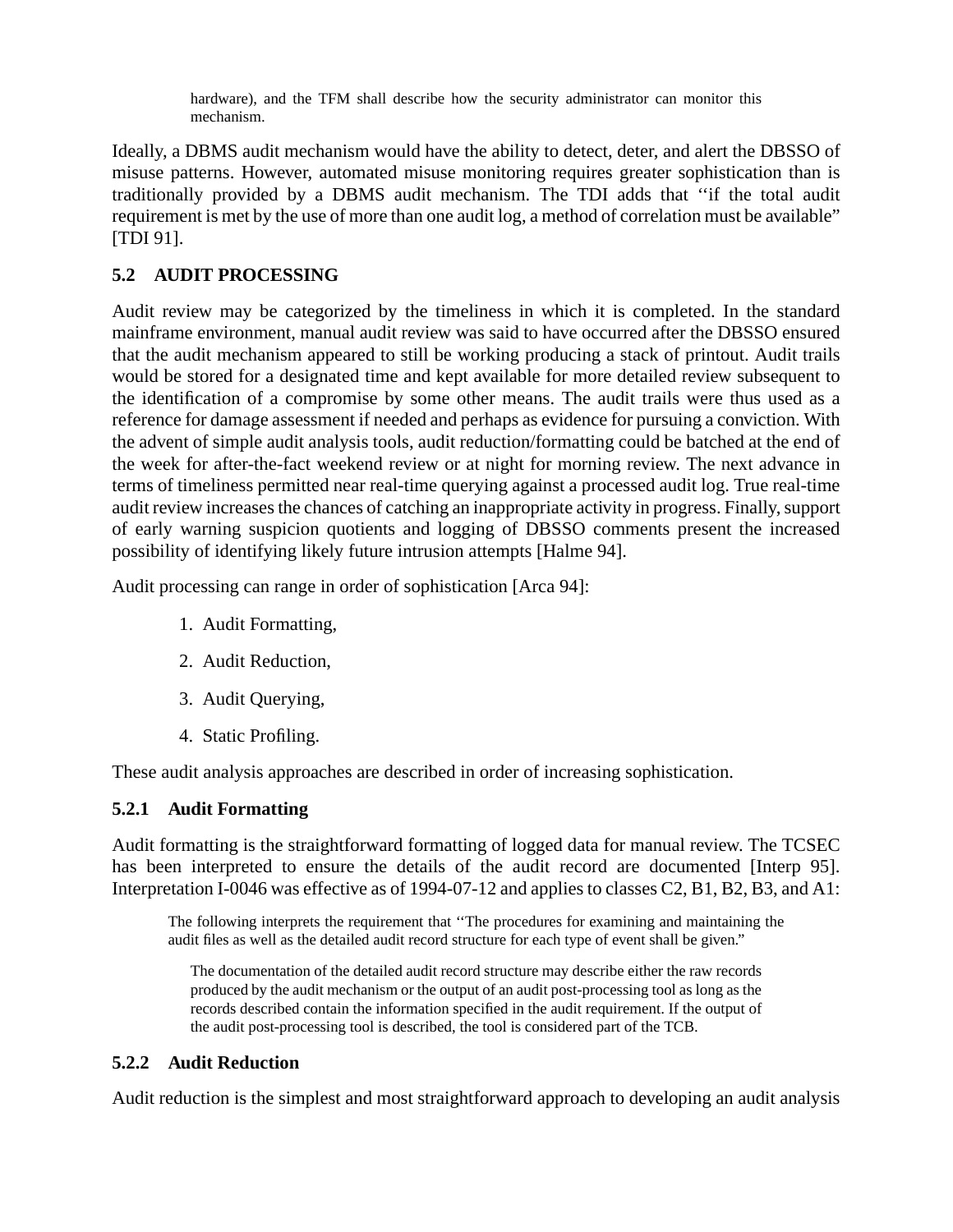hardware), and the TFM shall describe how the security administrator can monitor this mechanism.

Ideally, a DBMS audit mechanism would have the ability to detect, deter, and alert the DBSSO of misuse patterns. However, automated misuse monitoring requires greater sophistication than is traditionally provided by a DBMS audit mechanism. The TDI adds that ''if the total audit requirement is met by the use of more than one audit log, a method of correlation must be available" [TDI 91].

#### **5.2 AUDIT PROCESSING**

Audit review may be categorized by the timeliness in which it is completed. In the standard mainframe environment, manual audit review was said to have occurred after the DBSSO ensured that the audit mechanism appeared to still be working producing a stack of printout. Audit trails would be stored for a designated time and kept available for more detailed review subsequent to the identification of a compromise by some other means. The audit trails were thus used as a reference for damage assessment if needed and perhaps as evidence for pursuing a conviction. With the advent of simple audit analysis tools, audit reduction/formatting could be batched at the end of the week for after-the-fact weekend review or at night for morning review. The next advance in terms of timeliness permitted near real-time querying against a processed audit log. True real-time audit review increases the chances of catching an inappropriate activity in progress. Finally, support of early warning suspicion quotients and logging of DBSSO comments present the increased possibility of identifying likely future intrusion attempts [Halme 94].

Audit processing can range in order of sophistication [Arca 94]:

- 1. Audit Formatting,
- 2. Audit Reduction,
- 3. Audit Querying,
- 4. Static Profiling.

These audit analysis approaches are described in order of increasing sophistication.

#### **5.2.1 Audit Formatting**

Audit formatting is the straightforward formatting of logged data for manual review. The TCSEC has been interpreted to ensure the details of the audit record are documented [Interp 95]. Interpretation I-0046 was effective as of 1994-07-12 and applies to classes C2, B1, B2, B3, and A1:

The following interprets the requirement that ''The procedures for examining and maintaining the audit files as well as the detailed audit record structure for each type of event shall be given."

The documentation of the detailed audit record structure may describe either the raw records produced by the audit mechanism or the output of an audit post-processing tool as long as the records described contain the information specified in the audit requirement. If the output of the audit post-processing tool is described, the tool is considered part of the TCB.

#### **5.2.2 Audit Reduction**

Audit reduction is the simplest and most straightforward approach to developing an audit analysis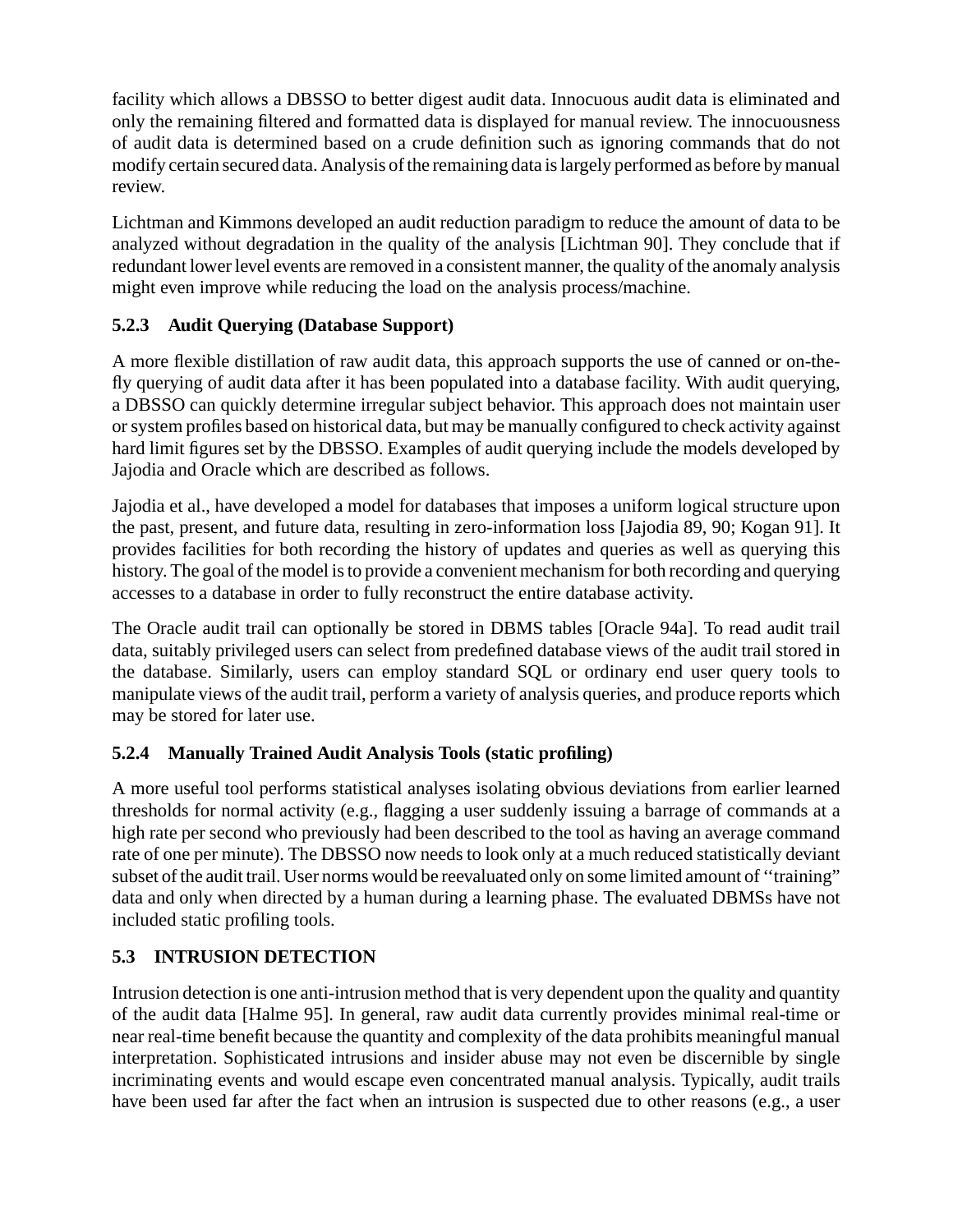facility which allows a DBSSO to better digest audit data. Innocuous audit data is eliminated and only the remaining filtered and formatted data is displayed for manual review. The innocuousness of audit data is determined based on a crude definition such as ignoring commands that do not modify certain secured data. Analysis of the remaining data is largely performed as before by manual review.

Lichtman and Kimmons developed an audit reduction paradigm to reduce the amount of data to be analyzed without degradation in the quality of the analysis [Lichtman 90]. They conclude that if redundant lower level events are removed in a consistent manner, the quality of the anomaly analysis might even improve while reducing the load on the analysis process/machine.

#### **5.2.3 Audit Querying (Database Support)**

A more flexible distillation of raw audit data, this approach supports the use of canned or on-thefly querying of audit data after it has been populated into a database facility. With audit querying, a DBSSO can quickly determine irregular subject behavior. This approach does not maintain user or system profiles based on historical data, but may be manually configured to check activity against hard limit figures set by the DBSSO. Examples of audit querying include the models developed by Jajodia and Oracle which are described as follows.

Jajodia et al., have developed a model for databases that imposes a uniform logical structure upon the past, present, and future data, resulting in zero-information loss [Jajodia 89, 90; Kogan 91]. It provides facilities for both recording the history of updates and queries as well as querying this history. The goal of the model is to provide a convenient mechanism for both recording and querying accesses to a database in order to fully reconstruct the entire database activity.

The Oracle audit trail can optionally be stored in DBMS tables [Oracle 94a]. To read audit trail data, suitably privileged users can select from predefined database views of the audit trail stored in the database. Similarly, users can employ standard SQL or ordinary end user query tools to manipulate views of the audit trail, perform a variety of analysis queries, and produce reports which may be stored for later use.

#### **5.2.4 Manually Trained Audit Analysis Tools (static profiling)**

A more useful tool performs statistical analyses isolating obvious deviations from earlier learned thresholds for normal activity (e.g., flagging a user suddenly issuing a barrage of commands at a high rate per second who previously had been described to the tool as having an average command rate of one per minute). The DBSSO now needs to look only at a much reduced statistically deviant subset of the audit trail. User norms would be reevaluated only on some limited amount of ''training" data and only when directed by a human during a learning phase. The evaluated DBMSs have not included static profiling tools.

## **5.3 INTRUSION DETECTION**

Intrusion detection is one anti-intrusion method that is very dependent upon the quality and quantity of the audit data [Halme 95]. In general, raw audit data currently provides minimal real-time or near real-time benefit because the quantity and complexity of the data prohibits meaningful manual interpretation. Sophisticated intrusions and insider abuse may not even be discernible by single incriminating events and would escape even concentrated manual analysis. Typically, audit trails have been used far after the fact when an intrusion is suspected due to other reasons (e.g., a user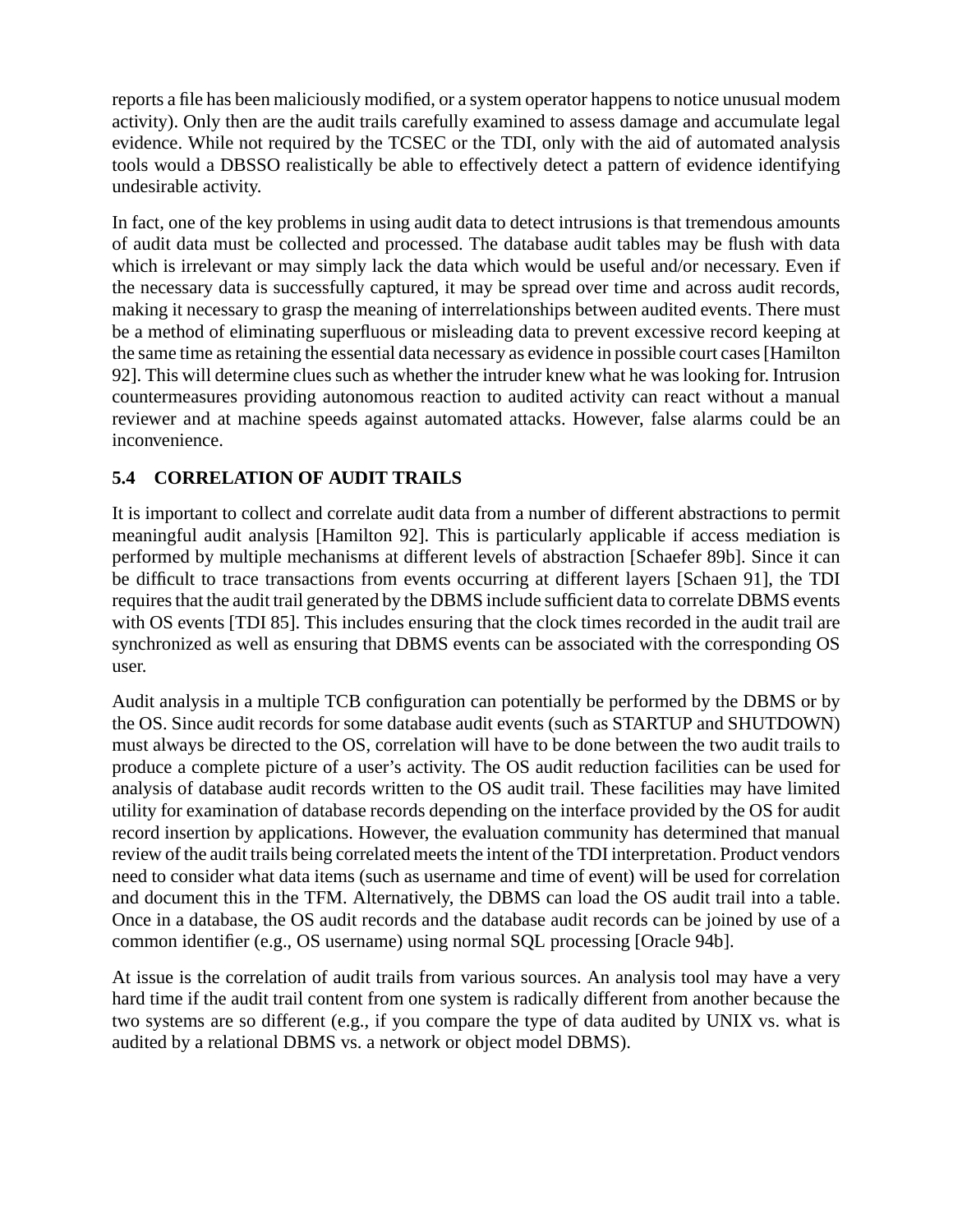reports a file has been maliciously modified, or a system operator happens to notice unusual modem activity). Only then are the audit trails carefully examined to assess damage and accumulate legal evidence. While not required by the TCSEC or the TDI, only with the aid of automated analysis tools would a DBSSO realistically be able to effectively detect a pattern of evidence identifying undesirable activity.

In fact, one of the key problems in using audit data to detect intrusions is that tremendous amounts of audit data must be collected and processed. The database audit tables may be flush with data which is irrelevant or may simply lack the data which would be useful and/or necessary. Even if the necessary data is successfully captured, it may be spread over time and across audit records, making it necessary to grasp the meaning of interrelationships between audited events. There must be a method of eliminating superfluous or misleading data to prevent excessive record keeping at the same time as retaining the essential data necessary as evidence in possible court cases [Hamilton 92]. This will determine clues such as whether the intruder knew what he was looking for. Intrusion countermeasures providing autonomous reaction to audited activity can react without a manual reviewer and at machine speeds against automated attacks. However, false alarms could be an inconvenience.

### **5.4 CORRELATION OF AUDIT TRAILS**

It is important to collect and correlate audit data from a number of different abstractions to permit meaningful audit analysis [Hamilton 92]. This is particularly applicable if access mediation is performed by multiple mechanisms at different levels of abstraction [Schaefer 89b]. Since it can be difficult to trace transactions from events occurring at different layers [Schaen 91], the TDI requires that the audit trail generated by the DBMS include sufficient data to correlate DBMS events with OS events [TDI 85]. This includes ensuring that the clock times recorded in the audit trail are synchronized as well as ensuring that DBMS events can be associated with the corresponding OS user.

Audit analysis in a multiple TCB configuration can potentially be performed by the DBMS or by the OS. Since audit records for some database audit events (such as STARTUP and SHUTDOWN) must always be directed to the OS, correlation will have to be done between the two audit trails to produce a complete picture of a user's activity. The OS audit reduction facilities can be used for analysis of database audit records written to the OS audit trail. These facilities may have limited utility for examination of database records depending on the interface provided by the OS for audit record insertion by applications. However, the evaluation community has determined that manual review of the audit trails being correlated meets the intent of the TDI interpretation. Product vendors need to consider what data items (such as username and time of event) will be used for correlation and document this in the TFM. Alternatively, the DBMS can load the OS audit trail into a table. Once in a database, the OS audit records and the database audit records can be joined by use of a common identifier (e.g., OS username) using normal SQL processing [Oracle 94b].

At issue is the correlation of audit trails from various sources. An analysis tool may have a very hard time if the audit trail content from one system is radically different from another because the two systems are so different (e.g., if you compare the type of data audited by UNIX vs. what is audited by a relational DBMS vs. a network or object model DBMS).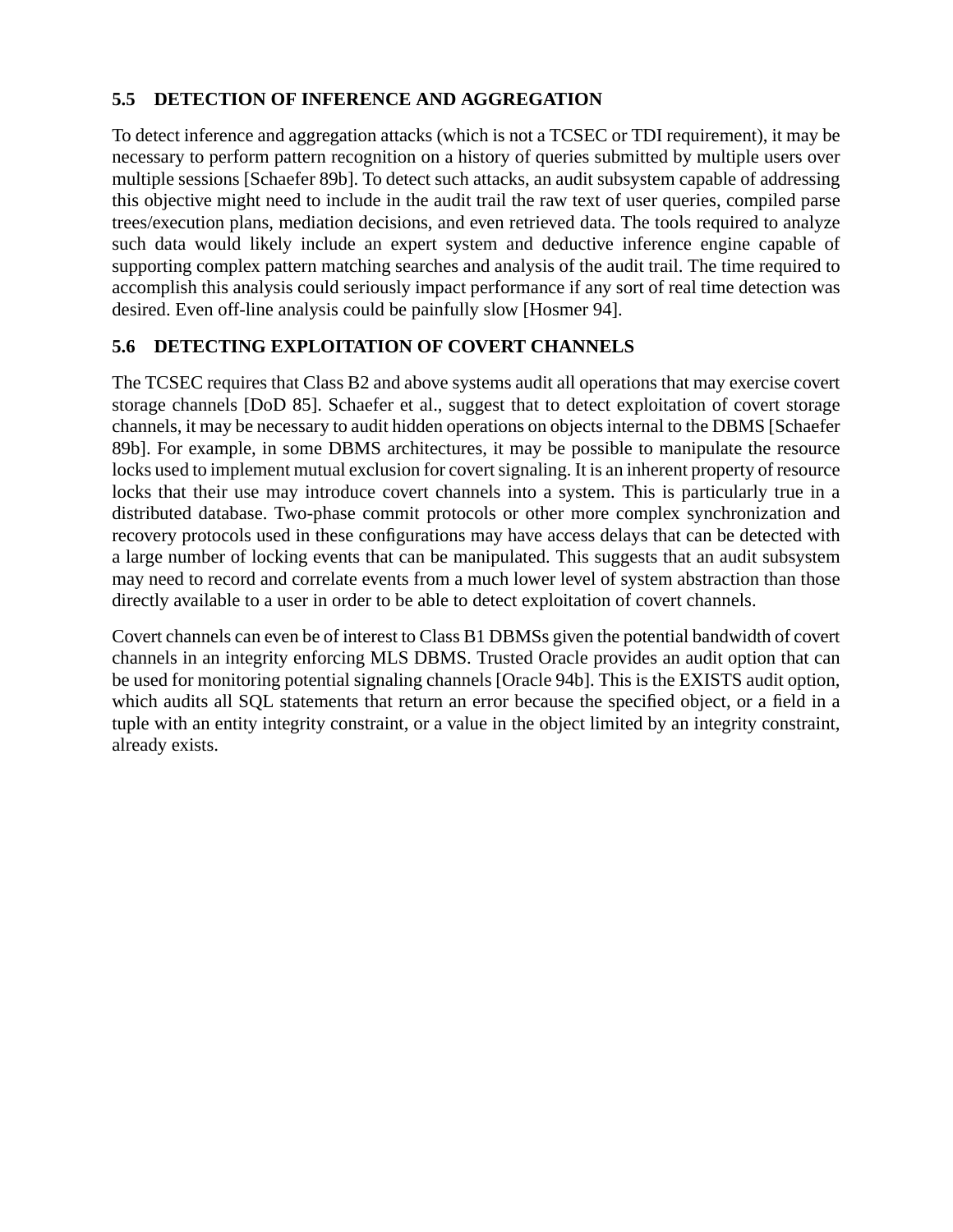#### **5.5 DETECTION OF INFERENCE AND AGGREGATION**

To detect inference and aggregation attacks (which is not a TCSEC or TDI requirement), it may be necessary to perform pattern recognition on a history of queries submitted by multiple users over multiple sessions [Schaefer 89b]. To detect such attacks, an audit subsystem capable of addressing this objective might need to include in the audit trail the raw text of user queries, compiled parse trees/execution plans, mediation decisions, and even retrieved data. The tools required to analyze such data would likely include an expert system and deductive inference engine capable of supporting complex pattern matching searches and analysis of the audit trail. The time required to accomplish this analysis could seriously impact performance if any sort of real time detection was desired. Even off-line analysis could be painfully slow [Hosmer 94].

#### **5.6 DETECTING EXPLOITATION OF COVERT CHANNELS**

The TCSEC requires that Class B2 and above systems audit all operations that may exercise covert storage channels [DoD 85]. Schaefer et al., suggest that to detect exploitation of covert storage channels, it may be necessary to audit hidden operations on objects internal to the DBMS [Schaefer 89b]. For example, in some DBMS architectures, it may be possible to manipulate the resource locks used to implement mutual exclusion for covert signaling. It is an inherent property of resource locks that their use may introduce covert channels into a system. This is particularly true in a distributed database. Two-phase commit protocols or other more complex synchronization and recovery protocols used in these configurations may have access delays that can be detected with a large number of locking events that can be manipulated. This suggests that an audit subsystem may need to record and correlate events from a much lower level of system abstraction than those directly available to a user in order to be able to detect exploitation of covert channels.

Covert channels can even be of interest to Class B1 DBMSs given the potential bandwidth of covert channels in an integrity enforcing MLS DBMS. Trusted Oracle provides an audit option that can be used for monitoring potential signaling channels [Oracle 94b]. This is the EXISTS audit option, which audits all SQL statements that return an error because the specified object, or a field in a tuple with an entity integrity constraint, or a value in the object limited by an integrity constraint, already exists.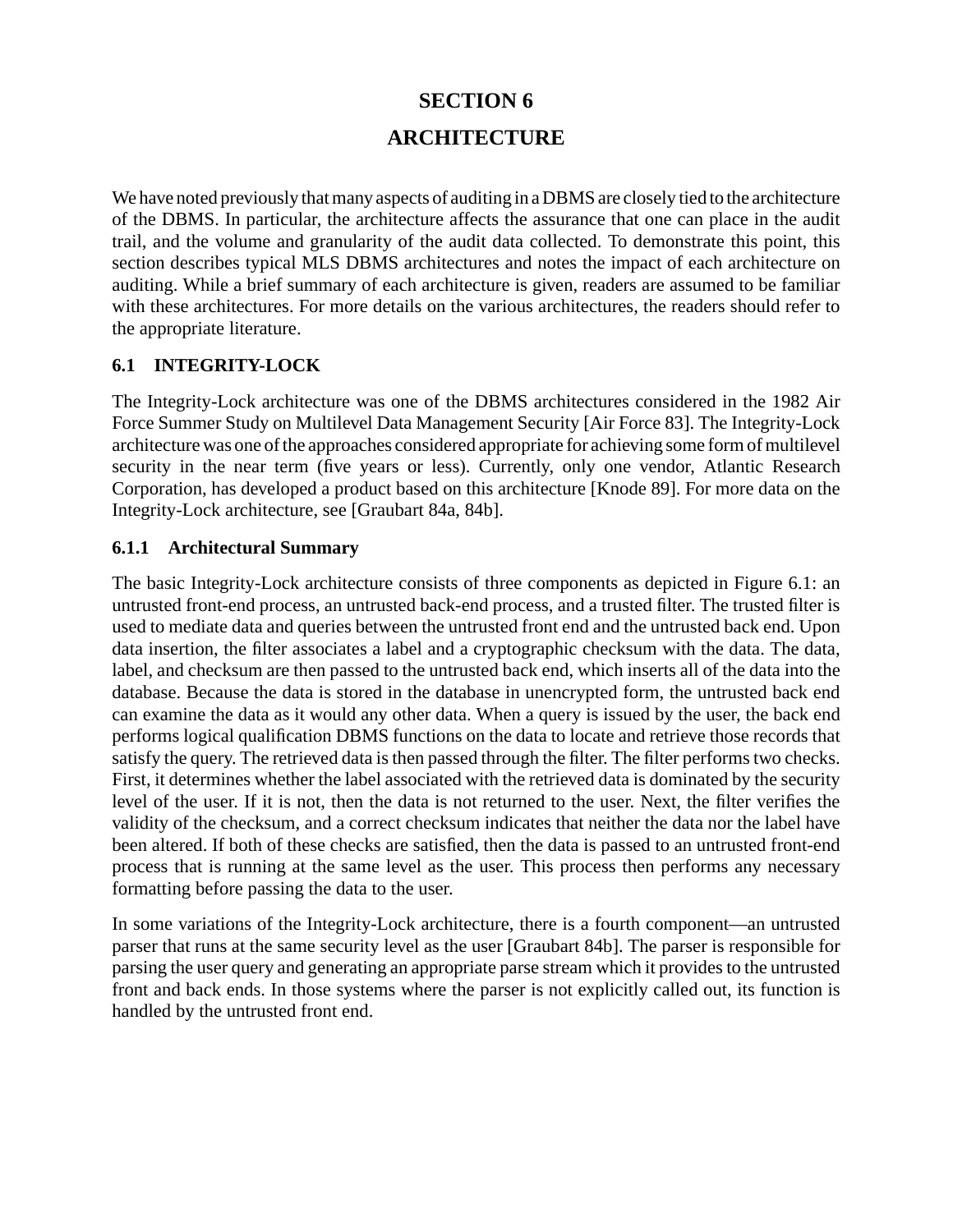# **SECTION 6 ARCHITECTURE**

We have noted previously that many aspects of auditing in a DBMS are closely tied to the architecture of the DBMS. In particular, the architecture affects the assurance that one can place in the audit trail, and the volume and granularity of the audit data collected. To demonstrate this point, this section describes typical MLS DBMS architectures and notes the impact of each architecture on auditing. While a brief summary of each architecture is given, readers are assumed to be familiar with these architectures. For more details on the various architectures, the readers should refer to the appropriate literature.

#### **6.1 INTEGRITY-LOCK**

The Integrity-Lock architecture was one of the DBMS architectures considered in the 1982 Air Force Summer Study on Multilevel Data Management Security [Air Force 83]. The Integrity-Lock architecture was one of the approaches considered appropriate for achieving some form of multilevel security in the near term (five years or less). Currently, only one vendor, Atlantic Research Corporation, has developed a product based on this architecture [Knode 89]. For more data on the Integrity-Lock architecture, see [Graubart 84a, 84b].

#### **6.1.1 Architectural Summary**

The basic Integrity-Lock architecture consists of three components as depicted in Figure 6.1: an untrusted front-end process, an untrusted back-end process, and a trusted filter. The trusted filter is used to mediate data and queries between the untrusted front end and the untrusted back end. Upon data insertion, the filter associates a label and a cryptographic checksum with the data. The data, label, and checksum are then passed to the untrusted back end, which inserts all of the data into the database. Because the data is stored in the database in unencrypted form, the untrusted back end can examine the data as it would any other data. When a query is issued by the user, the back end performs logical qualification DBMS functions on the data to locate and retrieve those records that satisfy the query. The retrieved data is then passed through the filter. The filter performs two checks. First, it determines whether the label associated with the retrieved data is dominated by the security level of the user. If it is not, then the data is not returned to the user. Next, the filter verifies the validity of the checksum, and a correct checksum indicates that neither the data nor the label have been altered. If both of these checks are satisfied, then the data is passed to an untrusted front-end process that is running at the same level as the user. This process then performs any necessary formatting before passing the data to the user.

In some variations of the Integrity-Lock architecture, there is a fourth component—an untrusted parser that runs at the same security level as the user [Graubart 84b]. The parser is responsible for parsing the user query and generating an appropriate parse stream which it provides to the untrusted front and back ends. In those systems where the parser is not explicitly called out, its function is handled by the untrusted front end.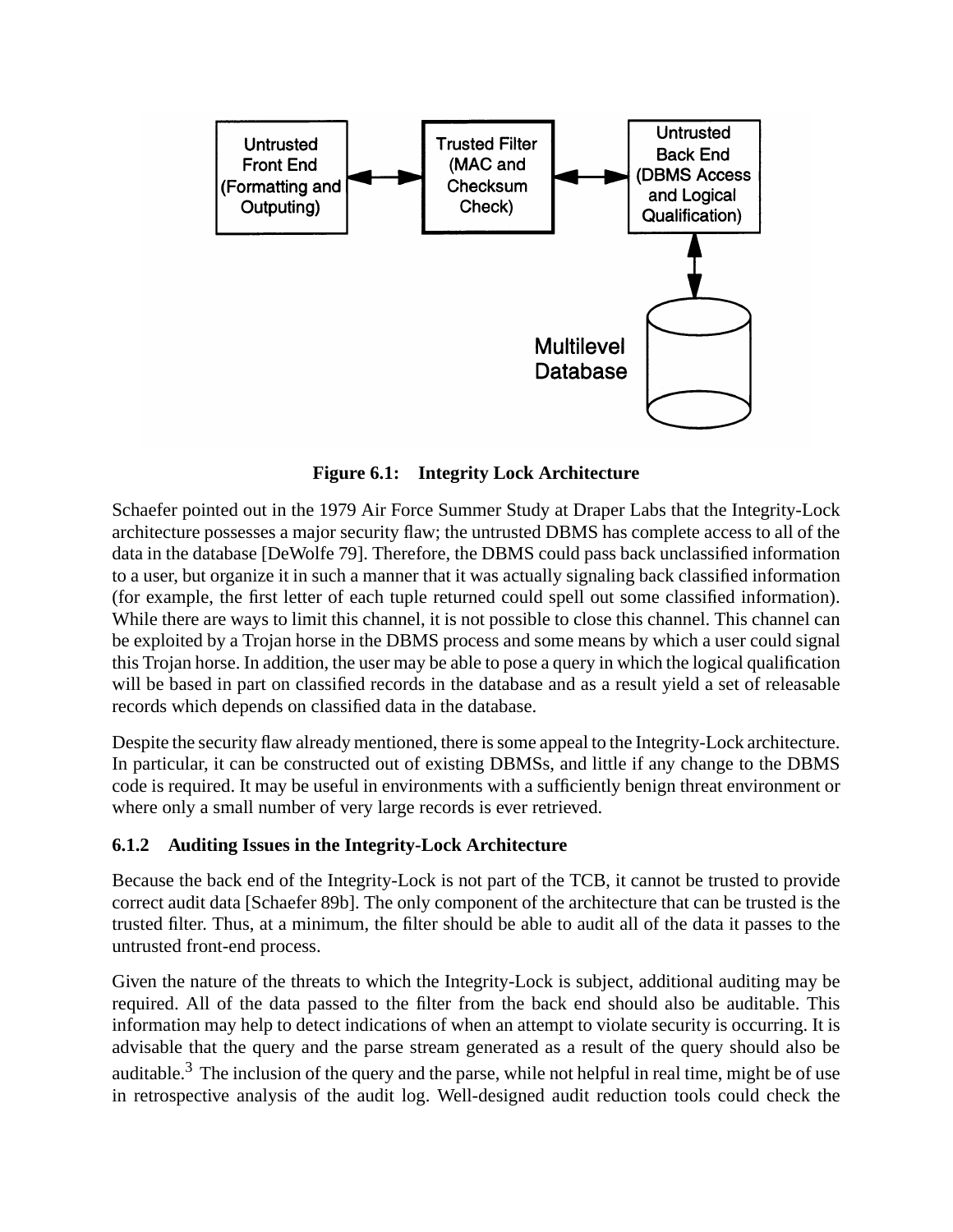

**Figure 6.1: Integrity Lock Architecture**

Schaefer pointed out in the 1979 Air Force Summer Study at Draper Labs that the Integrity-Lock architecture possesses a major security flaw; the untrusted DBMS has complete access to all of the data in the database [DeWolfe 79]. Therefore, the DBMS could pass back unclassified information to a user, but organize it in such a manner that it was actually signaling back classified information (for example, the first letter of each tuple returned could spell out some classified information). While there are ways to limit this channel, it is not possible to close this channel. This channel can be exploited by a Trojan horse in the DBMS process and some means by which a user could signal this Trojan horse. In addition, the user may be able to pose a query in which the logical qualification will be based in part on classified records in the database and as a result yield a set of releasable records which depends on classified data in the database.

Despite the security flaw already mentioned, there is some appeal to the Integrity-Lock architecture. In particular, it can be constructed out of existing DBMSs, and little if any change to the DBMS code is required. It may be useful in environments with a sufficiently benign threat environment or where only a small number of very large records is ever retrieved.

#### **6.1.2 Auditing Issues in the Integrity-Lock Architecture**

Because the back end of the Integrity-Lock is not part of the TCB, it cannot be trusted to provide correct audit data [Schaefer 89b]. The only component of the architecture that can be trusted is the trusted filter. Thus, at a minimum, the filter should be able to audit all of the data it passes to the untrusted front-end process.

Given the nature of the threats to which the Integrity-Lock is subject, additional auditing may be required. All of the data passed to the filter from the back end should also be auditable. This information may help to detect indications of when an attempt to violate security is occurring. It is advisable that the query and the parse stream generated as a result of the query should also be auditable.<sup>3</sup> The inclusion of the query and the parse, while not helpful in real time, might be of use in retrospective analysis of the audit log. Well-designed audit reduction tools could check the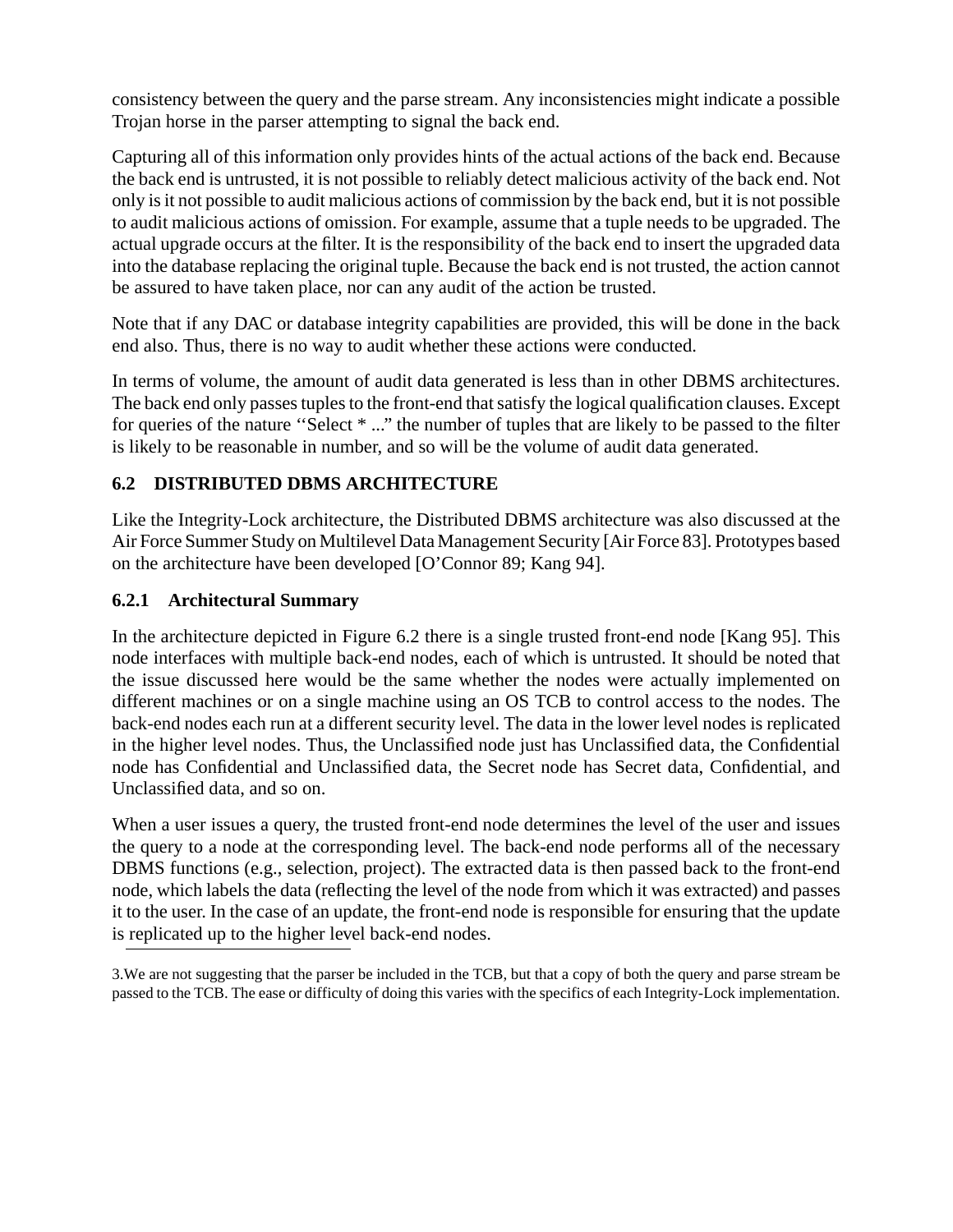consistency between the query and the parse stream. Any inconsistencies might indicate a possible Trojan horse in the parser attempting to signal the back end.

Capturing all of this information only provides hints of the actual actions of the back end. Because the back end is untrusted, it is not possible to reliably detect malicious activity of the back end. Not only is it not possible to audit malicious actions of commission by the back end, but it is not possible to audit malicious actions of omission. For example, assume that a tuple needs to be upgraded. The actual upgrade occurs at the filter. It is the responsibility of the back end to insert the upgraded data into the database replacing the original tuple. Because the back end is not trusted, the action cannot be assured to have taken place, nor can any audit of the action be trusted.

Note that if any DAC or database integrity capabilities are provided, this will be done in the back end also. Thus, there is no way to audit whether these actions were conducted.

In terms of volume, the amount of audit data generated is less than in other DBMS architectures. The back end only passes tuples to the front-end that satisfy the logical qualification clauses. Except for queries of the nature ''Select \* ..." the number of tuples that are likely to be passed to the filter is likely to be reasonable in number, and so will be the volume of audit data generated.

### **6.2 DISTRIBUTED DBMS ARCHITECTURE**

Like the Integrity-Lock architecture, the Distributed DBMS architecture was also discussed at the Air Force Summer Study on Multilevel Data Management Security [Air Force 83]. Prototypes based on the architecture have been developed [O'Connor 89; Kang 94].

#### **6.2.1 Architectural Summary**

In the architecture depicted in Figure 6.2 there is a single trusted front-end node [Kang 95]. This node interfaces with multiple back-end nodes, each of which is untrusted. It should be noted that the issue discussed here would be the same whether the nodes were actually implemented on different machines or on a single machine using an OS TCB to control access to the nodes. The back-end nodes each run at a different security level. The data in the lower level nodes is replicated in the higher level nodes. Thus, the Unclassified node just has Unclassified data, the Confidential node has Confidential and Unclassified data, the Secret node has Secret data, Confidential, and Unclassified data, and so on.

When a user issues a query, the trusted front-end node determines the level of the user and issues the query to a node at the corresponding level. The back-end node performs all of the necessary DBMS functions (e.g., selection, project). The extracted data is then passed back to the front-end node, which labels the data (reflecting the level of the node from which it was extracted) and passes it to the user. In the case of an update, the front-end node is responsible for ensuring that the update is replicated up to the higher level back-end nodes.

3.We are not suggesting that the parser be included in the TCB, but that a copy of both the query and parse stream be passed to the TCB. The ease or difficulty of doing this varies with the specifics of each Integrity-Lock implementation.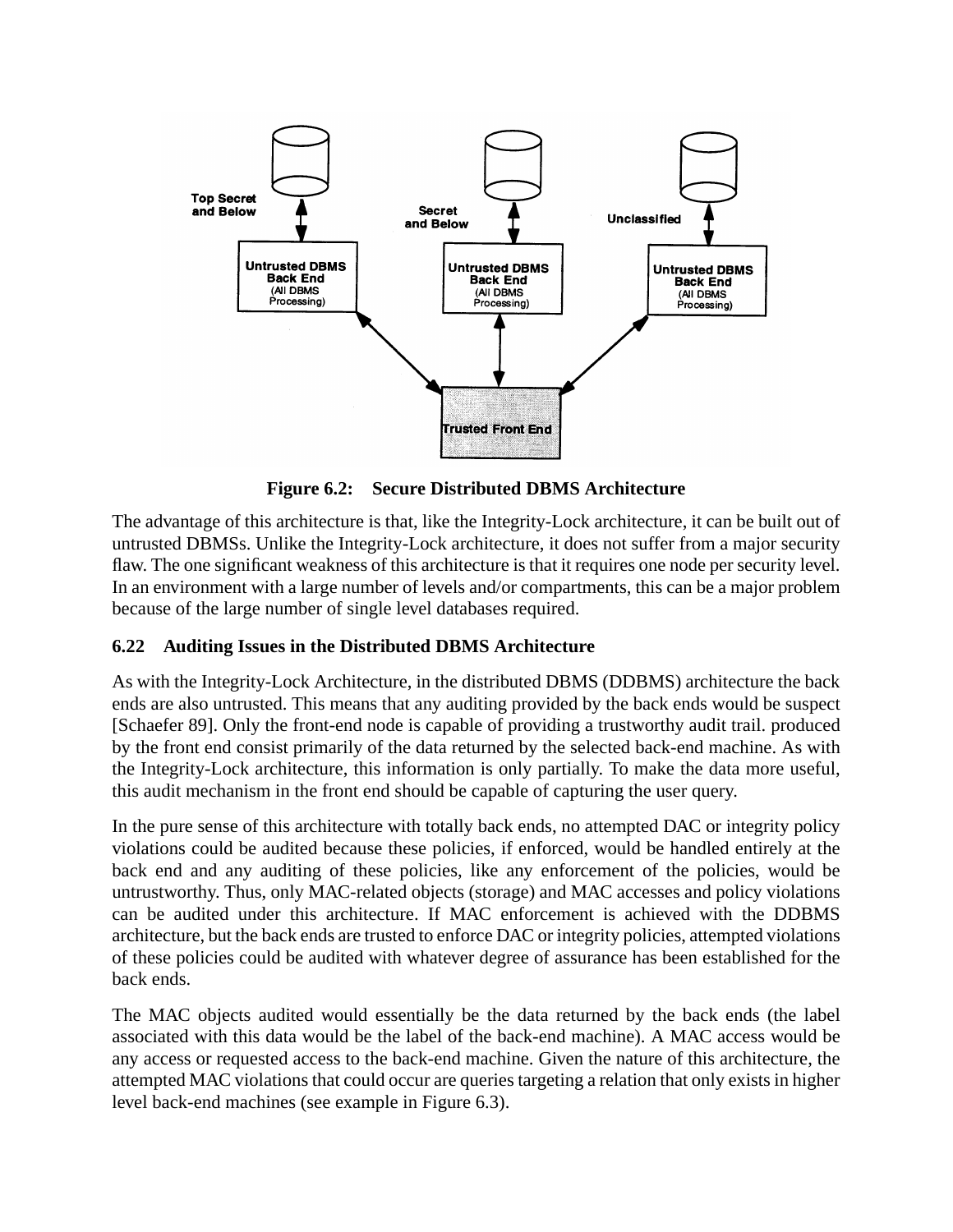

**Figure 6.2: Secure Distributed DBMS Architecture**

The advantage of this architecture is that, like the Integrity-Lock architecture, it can be built out of untrusted DBMSs. Unlike the Integrity-Lock architecture, it does not suffer from a major security flaw. The one significant weakness of this architecture is that it requires one node per security level. In an environment with a large number of levels and/or compartments, this can be a major problem because of the large number of single level databases required.

#### **6.22 Auditing Issues in the Distributed DBMS Architecture**

As with the Integrity-Lock Architecture, in the distributed DBMS (DDBMS) architecture the back ends are also untrusted. This means that any auditing provided by the back ends would be suspect [Schaefer 89]. Only the front-end node is capable of providing a trustworthy audit trail. produced by the front end consist primarily of the data returned by the selected back-end machine. As with the Integrity-Lock architecture, this information is only partially. To make the data more useful, this audit mechanism in the front end should be capable of capturing the user query.

In the pure sense of this architecture with totally back ends, no attempted DAC or integrity policy violations could be audited because these policies, if enforced, would be handled entirely at the back end and any auditing of these policies, like any enforcement of the policies, would be untrustworthy. Thus, only MAC-related objects (storage) and MAC accesses and policy violations can be audited under this architecture. If MAC enforcement is achieved with the DDBMS architecture, but the back ends are trusted to enforce DAC or integrity policies, attempted violations of these policies could be audited with whatever degree of assurance has been established for the back ends.

The MAC objects audited would essentially be the data returned by the back ends (the label associated with this data would be the label of the back-end machine). A MAC access would be any access or requested access to the back-end machine. Given the nature of this architecture, the attempted MAC violations that could occur are queries targeting a relation that only exists in higher level back-end machines (see example in Figure 6.3).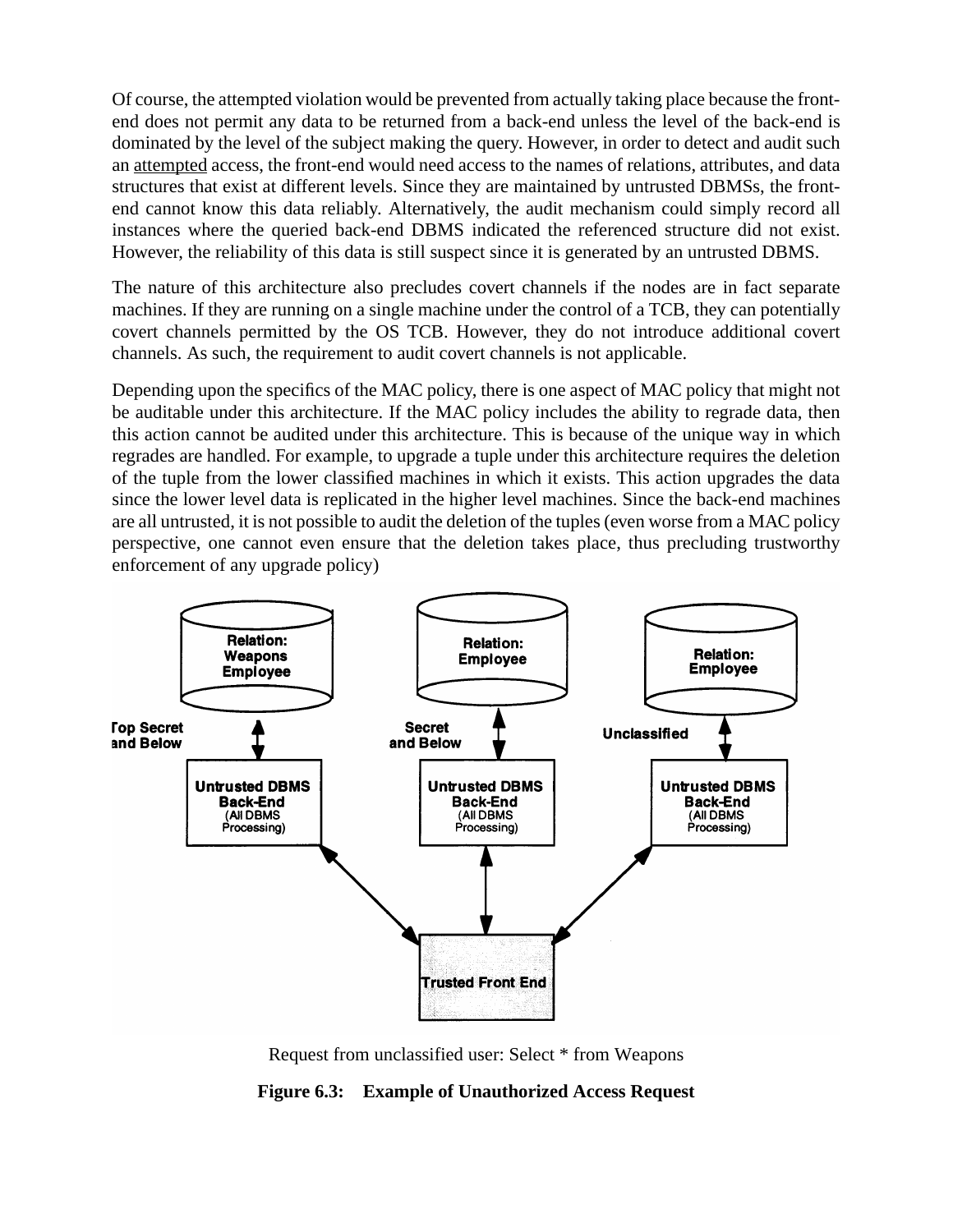Of course, the attempted violation would be prevented from actually taking place because the frontend does not permit any data to be returned from a back-end unless the level of the back-end is dominated by the level of the subject making the query. However, in order to detect and audit such an attempted access, the front-end would need access to the names of relations, attributes, and data structures that exist at different levels. Since they are maintained by untrusted DBMSs, the frontend cannot know this data reliably. Alternatively, the audit mechanism could simply record all instances where the queried back-end DBMS indicated the referenced structure did not exist. However, the reliability of this data is still suspect since it is generated by an untrusted DBMS.

The nature of this architecture also precludes covert channels if the nodes are in fact separate machines. If they are running on a single machine under the control of a TCB, they can potentially covert channels permitted by the OS TCB. However, they do not introduce additional covert channels. As such, the requirement to audit covert channels is not applicable.

Depending upon the specifics of the MAC policy, there is one aspect of MAC policy that might not be auditable under this architecture. If the MAC policy includes the ability to regrade data, then this action cannot be audited under this architecture. This is because of the unique way in which regrades are handled. For example, to upgrade a tuple under this architecture requires the deletion of the tuple from the lower classified machines in which it exists. This action upgrades the data since the lower level data is replicated in the higher level machines. Since the back-end machines are all untrusted, it is not possible to audit the deletion of the tuples (even worse from a MAC policy perspective, one cannot even ensure that the deletion takes place, thus precluding trustworthy enforcement of any upgrade policy)



Request from unclassified user: Select \* from Weapons

**Figure 6.3: Example of Unauthorized Access Request**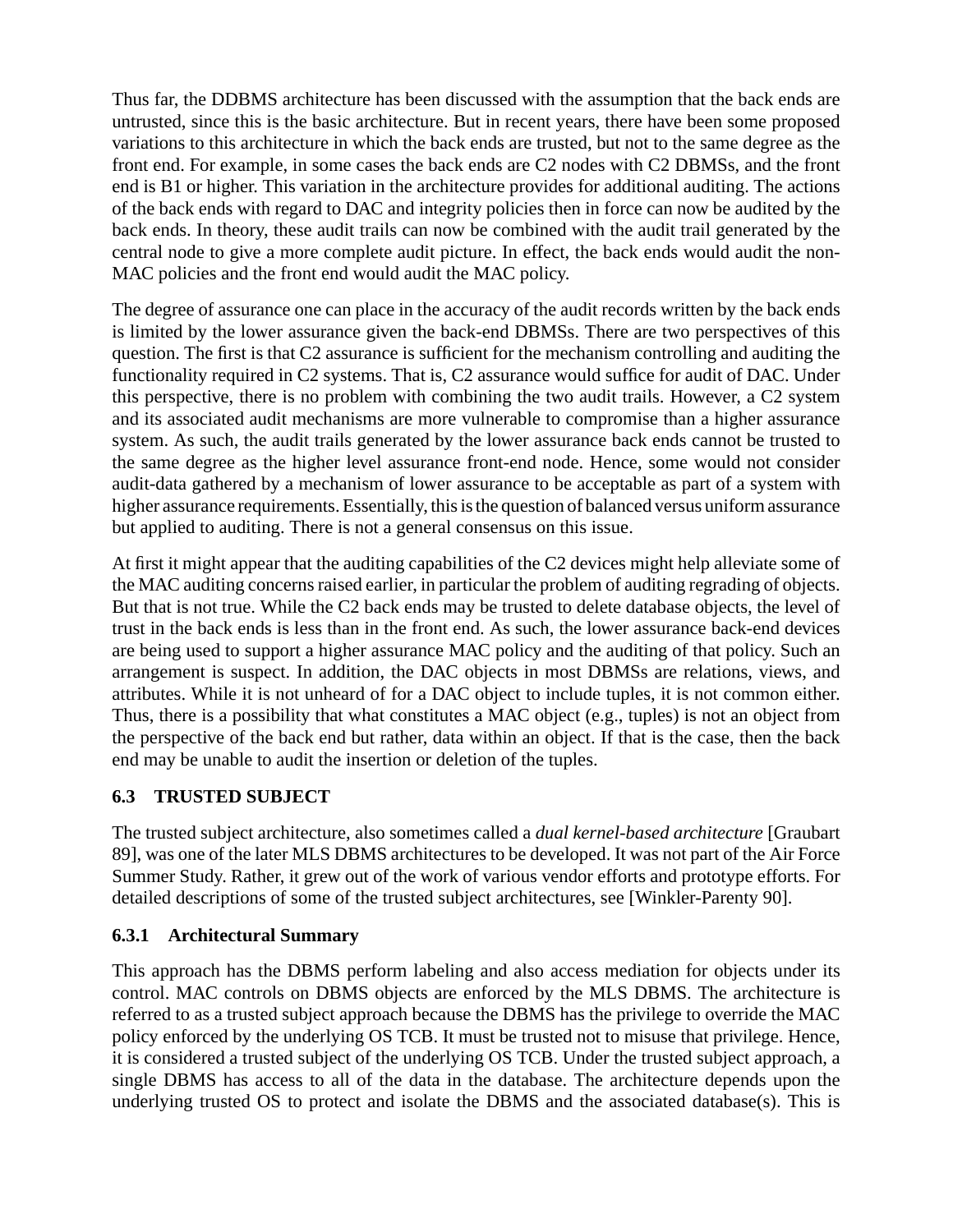Thus far, the DDBMS architecture has been discussed with the assumption that the back ends are untrusted, since this is the basic architecture. But in recent years, there have been some proposed variations to this architecture in which the back ends are trusted, but not to the same degree as the front end. For example, in some cases the back ends are C2 nodes with C2 DBMSs, and the front end is B1 or higher. This variation in the architecture provides for additional auditing. The actions of the back ends with regard to DAC and integrity policies then in force can now be audited by the back ends. In theory, these audit trails can now be combined with the audit trail generated by the central node to give a more complete audit picture. In effect, the back ends would audit the non-MAC policies and the front end would audit the MAC policy.

The degree of assurance one can place in the accuracy of the audit records written by the back ends is limited by the lower assurance given the back-end DBMSs. There are two perspectives of this question. The first is that C2 assurance is sufficient for the mechanism controlling and auditing the functionality required in C2 systems. That is, C2 assurance would suffice for audit of DAC. Under this perspective, there is no problem with combining the two audit trails. However, a C2 system and its associated audit mechanisms are more vulnerable to compromise than a higher assurance system. As such, the audit trails generated by the lower assurance back ends cannot be trusted to the same degree as the higher level assurance front-end node. Hence, some would not consider audit-data gathered by a mechanism of lower assurance to be acceptable as part of a system with higher assurance requirements. Essentially, this is the question of balanced versus uniform assurance but applied to auditing. There is not a general consensus on this issue.

At first it might appear that the auditing capabilities of the C2 devices might help alleviate some of the MAC auditing concerns raised earlier, in particular the problem of auditing regrading of objects. But that is not true. While the C2 back ends may be trusted to delete database objects, the level of trust in the back ends is less than in the front end. As such, the lower assurance back-end devices are being used to support a higher assurance MAC policy and the auditing of that policy. Such an arrangement is suspect. In addition, the DAC objects in most DBMSs are relations, views, and attributes. While it is not unheard of for a DAC object to include tuples, it is not common either. Thus, there is a possibility that what constitutes a MAC object (e.g., tuples) is not an object from the perspective of the back end but rather, data within an object. If that is the case, then the back end may be unable to audit the insertion or deletion of the tuples.

#### **6.3 TRUSTED SUBJECT**

The trusted subject architecture, also sometimes called a *dual kernel-based architecture* [Graubart 89], was one of the later MLS DBMS architectures to be developed. It was not part of the Air Force Summer Study. Rather, it grew out of the work of various vendor efforts and prototype efforts. For detailed descriptions of some of the trusted subject architectures, see [Winkler-Parenty 90].

#### **6.3.1 Architectural Summary**

This approach has the DBMS perform labeling and also access mediation for objects under its control. MAC controls on DBMS objects are enforced by the MLS DBMS. The architecture is referred to as a trusted subject approach because the DBMS has the privilege to override the MAC policy enforced by the underlying OS TCB. It must be trusted not to misuse that privilege. Hence, it is considered a trusted subject of the underlying OS TCB. Under the trusted subject approach, a single DBMS has access to all of the data in the database. The architecture depends upon the underlying trusted OS to protect and isolate the DBMS and the associated database(s). This is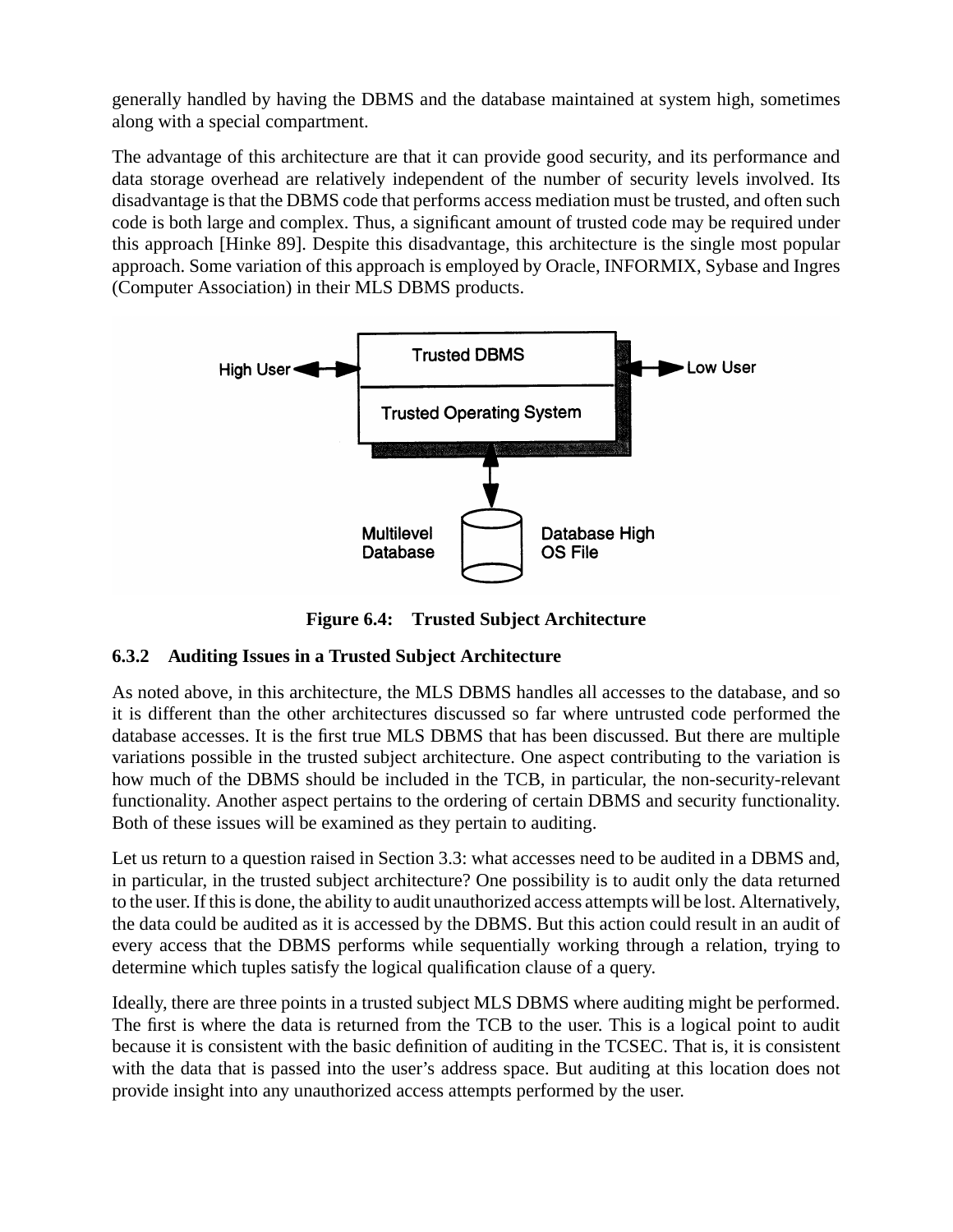generally handled by having the DBMS and the database maintained at system high, sometimes along with a special compartment.

The advantage of this architecture are that it can provide good security, and its performance and data storage overhead are relatively independent of the number of security levels involved. Its disadvantage is that the DBMS code that performs access mediation must be trusted, and often such code is both large and complex. Thus, a significant amount of trusted code may be required under this approach [Hinke 89]. Despite this disadvantage, this architecture is the single most popular approach. Some variation of this approach is employed by Oracle, INFORMIX, Sybase and Ingres (Computer Association) in their MLS DBMS products.



**Figure 6.4: Trusted Subject Architecture**

#### **6.3.2 Auditing Issues in a Trusted Subject Architecture**

As noted above, in this architecture, the MLS DBMS handles all accesses to the database, and so it is different than the other architectures discussed so far where untrusted code performed the database accesses. It is the first true MLS DBMS that has been discussed. But there are multiple variations possible in the trusted subject architecture. One aspect contributing to the variation is how much of the DBMS should be included in the TCB, in particular, the non-security-relevant functionality. Another aspect pertains to the ordering of certain DBMS and security functionality. Both of these issues will be examined as they pertain to auditing.

Let us return to a question raised in Section 3.3: what accesses need to be audited in a DBMS and, in particular, in the trusted subject architecture? One possibility is to audit only the data returned to the user. If this is done, the ability to audit unauthorized access attempts will be lost. Alternatively, the data could be audited as it is accessed by the DBMS. But this action could result in an audit of every access that the DBMS performs while sequentially working through a relation, trying to determine which tuples satisfy the logical qualification clause of a query.

Ideally, there are three points in a trusted subject MLS DBMS where auditing might be performed. The first is where the data is returned from the TCB to the user. This is a logical point to audit because it is consistent with the basic definition of auditing in the TCSEC. That is, it is consistent with the data that is passed into the user's address space. But auditing at this location does not provide insight into any unauthorized access attempts performed by the user.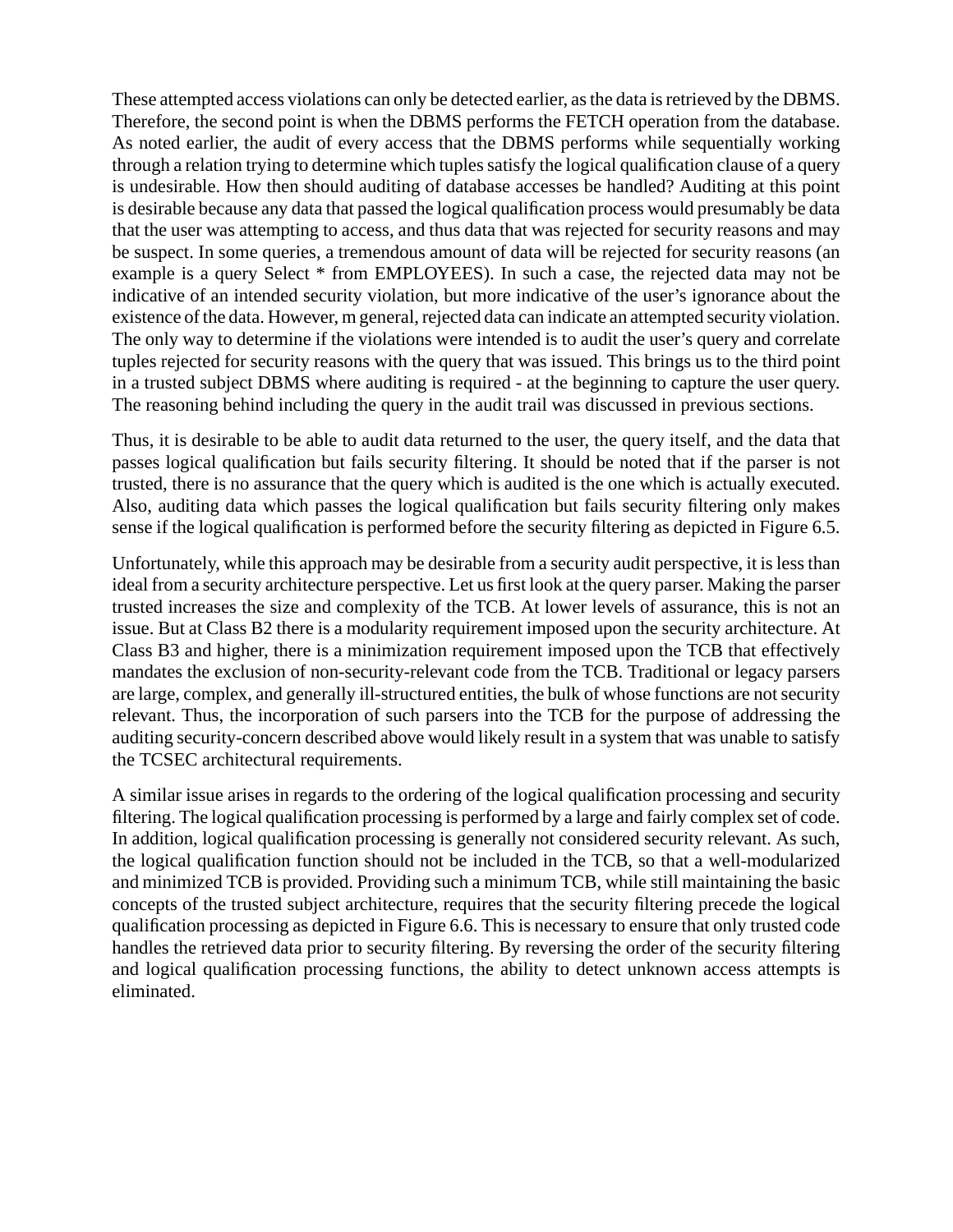These attempted access violations can only be detected earlier, as the data is retrieved by the DBMS. Therefore, the second point is when the DBMS performs the FETCH operation from the database. As noted earlier, the audit of every access that the DBMS performs while sequentially working through a relation trying to determine which tuples satisfy the logical qualification clause of a query is undesirable. How then should auditing of database accesses be handled? Auditing at this point is desirable because any data that passed the logical qualification process would presumably be data that the user was attempting to access, and thus data that was rejected for security reasons and may be suspect. In some queries, a tremendous amount of data will be rejected for security reasons (an example is a query Select \* from EMPLOYEES). In such a case, the rejected data may not be indicative of an intended security violation, but more indicative of the user's ignorance about the existence of the data. However, m general, rejected data can indicate an attempted security violation. The only way to determine if the violations were intended is to audit the user's query and correlate tuples rejected for security reasons with the query that was issued. This brings us to the third point in a trusted subject DBMS where auditing is required - at the beginning to capture the user query. The reasoning behind including the query in the audit trail was discussed in previous sections.

Thus, it is desirable to be able to audit data returned to the user, the query itself, and the data that passes logical qualification but fails security filtering. It should be noted that if the parser is not trusted, there is no assurance that the query which is audited is the one which is actually executed. Also, auditing data which passes the logical qualification but fails security filtering only makes sense if the logical qualification is performed before the security filtering as depicted in Figure 6.5.

Unfortunately, while this approach may be desirable from a security audit perspective, it is less than ideal from a security architecture perspective. Let us first look at the query parser. Making the parser trusted increases the size and complexity of the TCB. At lower levels of assurance, this is not an issue. But at Class B2 there is a modularity requirement imposed upon the security architecture. At Class B3 and higher, there is a minimization requirement imposed upon the TCB that effectively mandates the exclusion of non-security-relevant code from the TCB. Traditional or legacy parsers are large, complex, and generally ill-structured entities, the bulk of whose functions are not security relevant. Thus, the incorporation of such parsers into the TCB for the purpose of addressing the auditing security-concern described above would likely result in a system that was unable to satisfy the TCSEC architectural requirements.

A similar issue arises in regards to the ordering of the logical qualification processing and security filtering. The logical qualification processing is performed by a large and fairly complex set of code. In addition, logical qualification processing is generally not considered security relevant. As such, the logical qualification function should not be included in the TCB, so that a well-modularized and minimized TCB is provided. Providing such a minimum TCB, while still maintaining the basic concepts of the trusted subject architecture, requires that the security filtering precede the logical qualification processing as depicted in Figure 6.6. This is necessary to ensure that only trusted code handles the retrieved data prior to security filtering. By reversing the order of the security filtering and logical qualification processing functions, the ability to detect unknown access attempts is eliminated.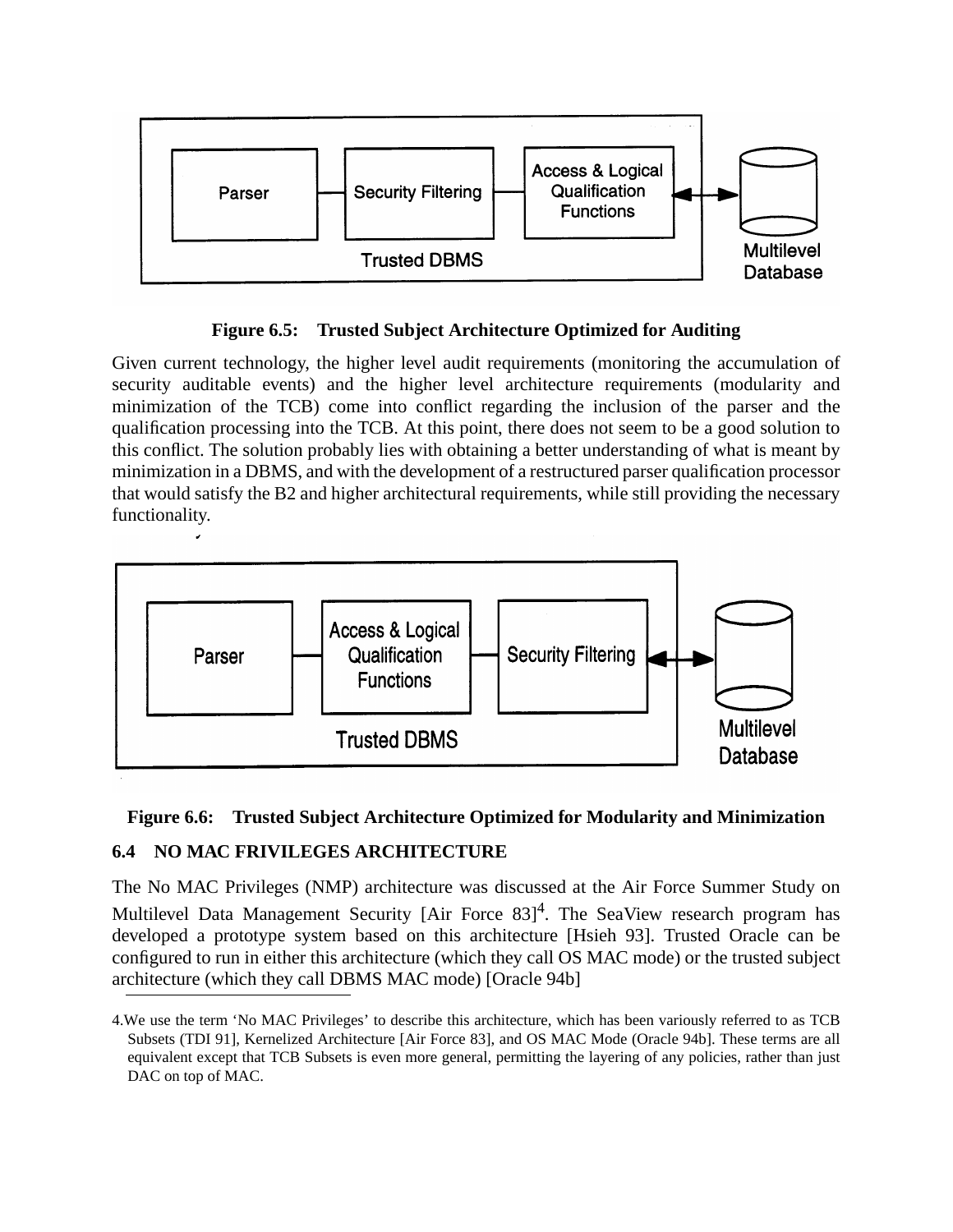

**Figure 6.5: Trusted Subject Architecture Optimized for Auditing**

Given current technology, the higher level audit requirements (monitoring the accumulation of security auditable events) and the higher level architecture requirements (modularity and minimization of the TCB) come into conflict regarding the inclusion of the parser and the qualification processing into the TCB. At this point, there does not seem to be a good solution to this conflict. The solution probably lies with obtaining a better understanding of what is meant by minimization in a DBMS, and with the development of a restructured parser qualification processor that would satisfy the B2 and higher architectural requirements, while still providing the necessary functionality.



## **Figure 6.6: Trusted Subject Architecture Optimized for Modularity and Minimization**

## **6.4 NO MAC FRIVILEGES ARCHITECTURE**

The No MAC Privileges (NMP) architecture was discussed at the Air Force Summer Study on Multilevel Data Management Security [Air Force 83]<sup>4</sup>. The SeaView research program has developed a prototype system based on this architecture [Hsieh 93]. Trusted Oracle can be configured to run in either this architecture (which they call OS MAC mode) or the trusted subject architecture (which they call DBMS MAC mode) [Oracle 94b]

<sup>4.</sup>We use the term 'No MAC Privileges' to describe this architecture, which has been variously referred to as TCB Subsets (TDI 91], Kernelized Architecture [Air Force 83], and OS MAC Mode (Oracle 94b]. These terms are all equivalent except that TCB Subsets is even more general, permitting the layering of any policies, rather than just DAC on top of MAC.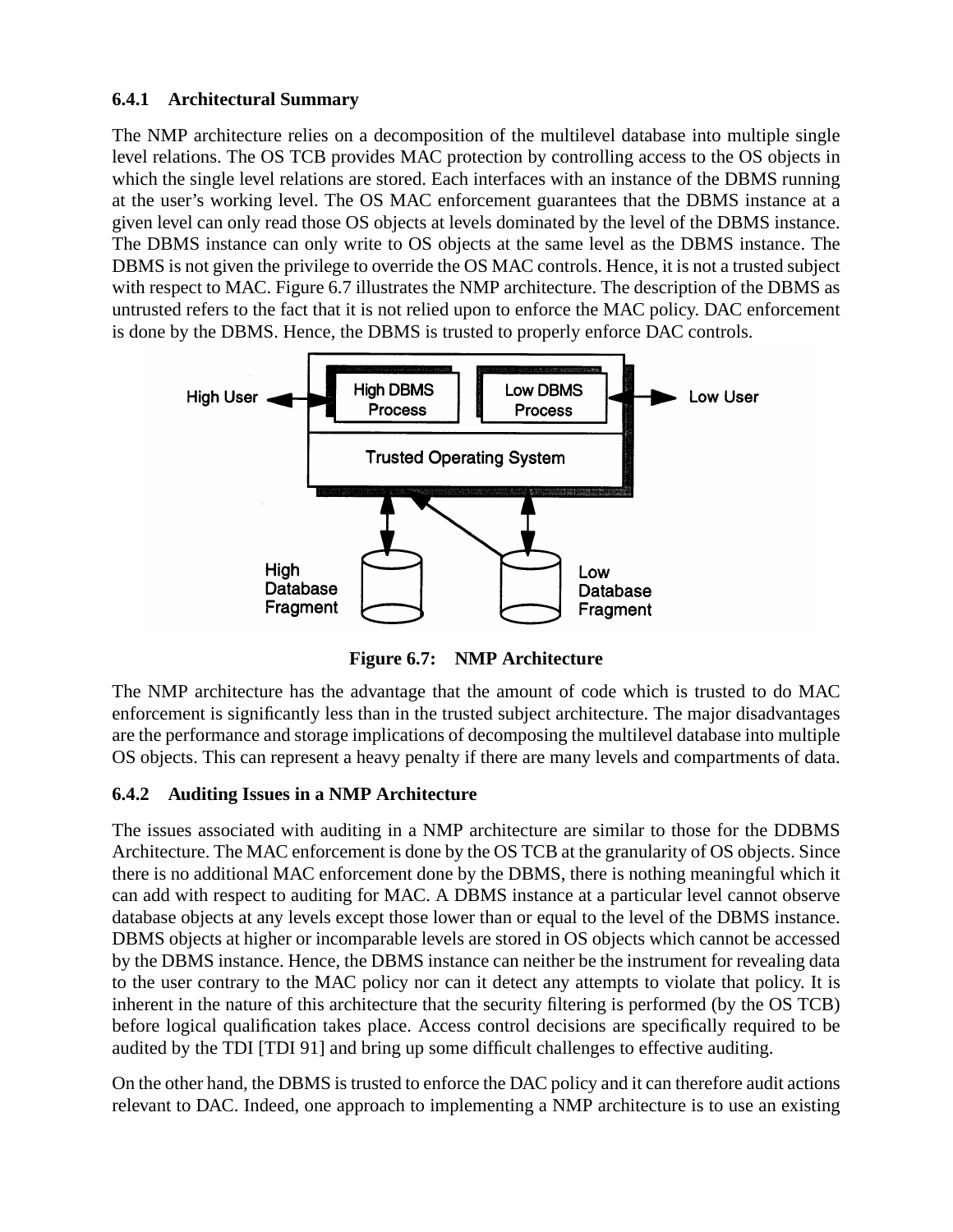#### **6.4.1 Architectural Summary**

The NMP architecture relies on a decomposition of the multilevel database into multiple single level relations. The OS TCB provides MAC protection by controlling access to the OS objects in which the single level relations are stored. Each interfaces with an instance of the DBMS running at the user's working level. The OS MAC enforcement guarantees that the DBMS instance at a given level can only read those OS objects at levels dominated by the level of the DBMS instance. The DBMS instance can only write to OS objects at the same level as the DBMS instance. The DBMS is not given the privilege to override the OS MAC controls. Hence, it is not a trusted subject with respect to MAC. Figure 6.7 illustrates the NMP architecture. The description of the DBMS as untrusted refers to the fact that it is not relied upon to enforce the MAC policy. DAC enforcement is done by the DBMS. Hence, the DBMS is trusted to properly enforce DAC controls.



**Figure 6.7: NMP Architecture**

The NMP architecture has the advantage that the amount of code which is trusted to do MAC enforcement is significantly less than in the trusted subject architecture. The major disadvantages are the performance and storage implications of decomposing the multilevel database into multiple OS objects. This can represent a heavy penalty if there are many levels and compartments of data.

#### **6.4.2 Auditing Issues in a NMP Architecture**

The issues associated with auditing in a NMP architecture are similar to those for the DDBMS Architecture. The MAC enforcement is done by the OS TCB at the granularity of OS objects. Since there is no additional MAC enforcement done by the DBMS, there is nothing meaningful which it can add with respect to auditing for MAC. A DBMS instance at a particular level cannot observe database objects at any levels except those lower than or equal to the level of the DBMS instance. DBMS objects at higher or incomparable levels are stored in OS objects which cannot be accessed by the DBMS instance. Hence, the DBMS instance can neither be the instrument for revealing data to the user contrary to the MAC policy nor can it detect any attempts to violate that policy. It is inherent in the nature of this architecture that the security filtering is performed (by the OS TCB) before logical qualification takes place. Access control decisions are specifically required to be audited by the TDI [TDI 91] and bring up some difficult challenges to effective auditing.

On the other hand, the DBMS is trusted to enforce the DAC policy and it can therefore audit actions relevant to DAC. Indeed, one approach to implementing a NMP architecture is to use an existing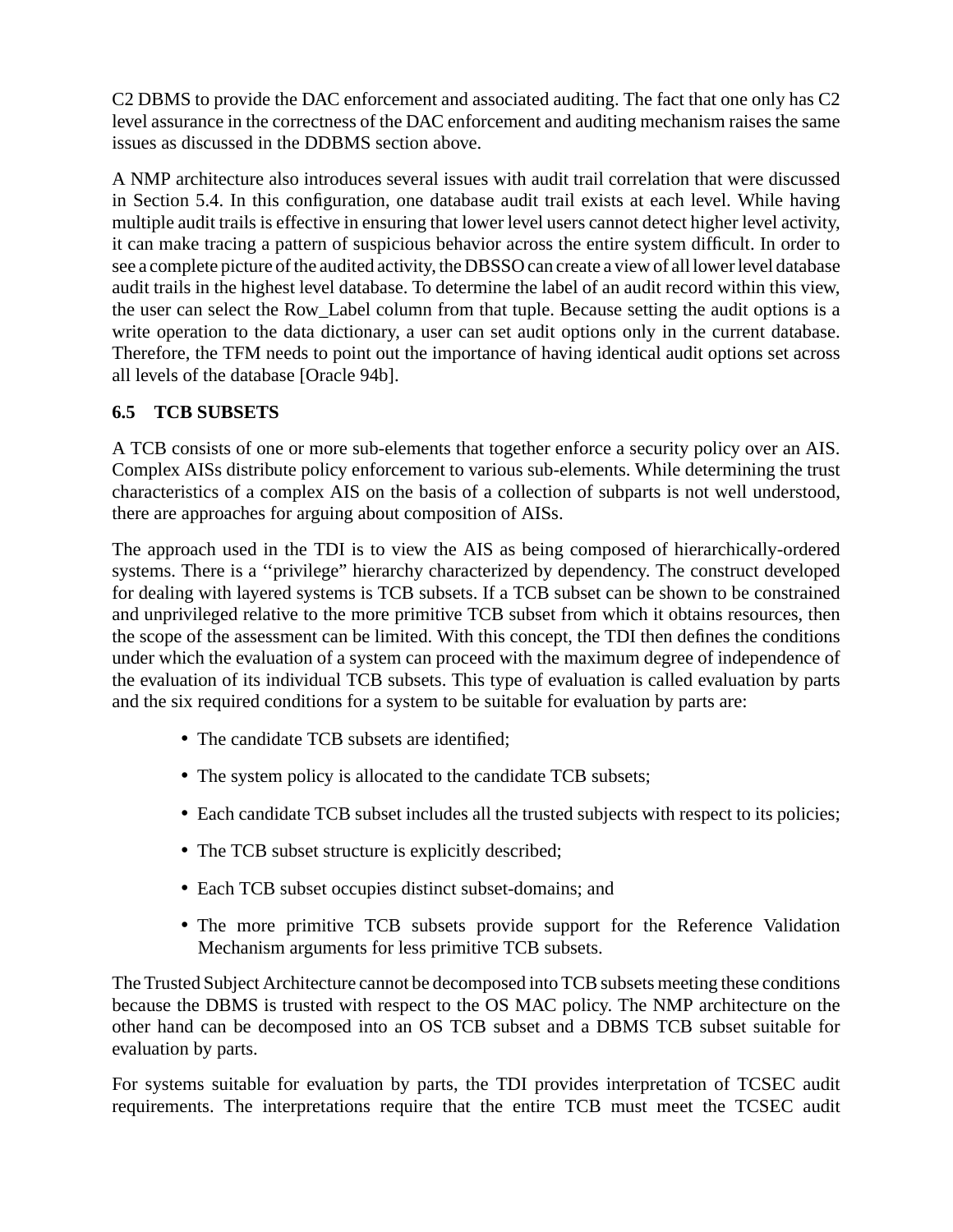C2 DBMS to provide the DAC enforcement and associated auditing. The fact that one only has C2 level assurance in the correctness of the DAC enforcement and auditing mechanism raises the same issues as discussed in the DDBMS section above.

A NMP architecture also introduces several issues with audit trail correlation that were discussed in Section 5.4. In this configuration, one database audit trail exists at each level. While having multiple audit trails is effective in ensuring that lower level users cannot detect higher level activity, it can make tracing a pattern of suspicious behavior across the entire system difficult. In order to see a complete picture of the audited activity, the DBSSO can create a view of all lower level database audit trails in the highest level database. To determine the label of an audit record within this view, the user can select the Row\_Label column from that tuple. Because setting the audit options is a write operation to the data dictionary, a user can set audit options only in the current database. Therefore, the TFM needs to point out the importance of having identical audit options set across all levels of the database [Oracle 94b].

#### **6.5 TCB SUBSETS**

A TCB consists of one or more sub-elements that together enforce a security policy over an AIS. Complex AISs distribute policy enforcement to various sub-elements. While determining the trust characteristics of a complex AIS on the basis of a collection of subparts is not well understood, there are approaches for arguing about composition of AISs.

The approach used in the TDI is to view the AIS as being composed of hierarchically-ordered systems. There is a ''privilege" hierarchy characterized by dependency. The construct developed for dealing with layered systems is TCB subsets. If a TCB subset can be shown to be constrained and unprivileged relative to the more primitive TCB subset from which it obtains resources, then the scope of the assessment can be limited. With this concept, the TDI then defines the conditions under which the evaluation of a system can proceed with the maximum degree of independence of the evaluation of its individual TCB subsets. This type of evaluation is called evaluation by parts and the six required conditions for a system to be suitable for evaluation by parts are:

- The candidate TCB subsets are identified:
- The system policy is allocated to the candidate TCB subsets;
- Each candidate TCB subset includes all the trusted subjects with respect to its policies;
- The TCB subset structure is explicitly described;
- Each TCB subset occupies distinct subset-domains; and
- The more primitive TCB subsets provide support for the Reference Validation Mechanism arguments for less primitive TCB subsets.

The Trusted Subject Architecture cannot be decomposed into TCB subsets meeting these conditions because the DBMS is trusted with respect to the OS MAC policy. The NMP architecture on the other hand can be decomposed into an OS TCB subset and a DBMS TCB subset suitable for evaluation by parts.

For systems suitable for evaluation by parts, the TDI provides interpretation of TCSEC audit requirements. The interpretations require that the entire TCB must meet the TCSEC audit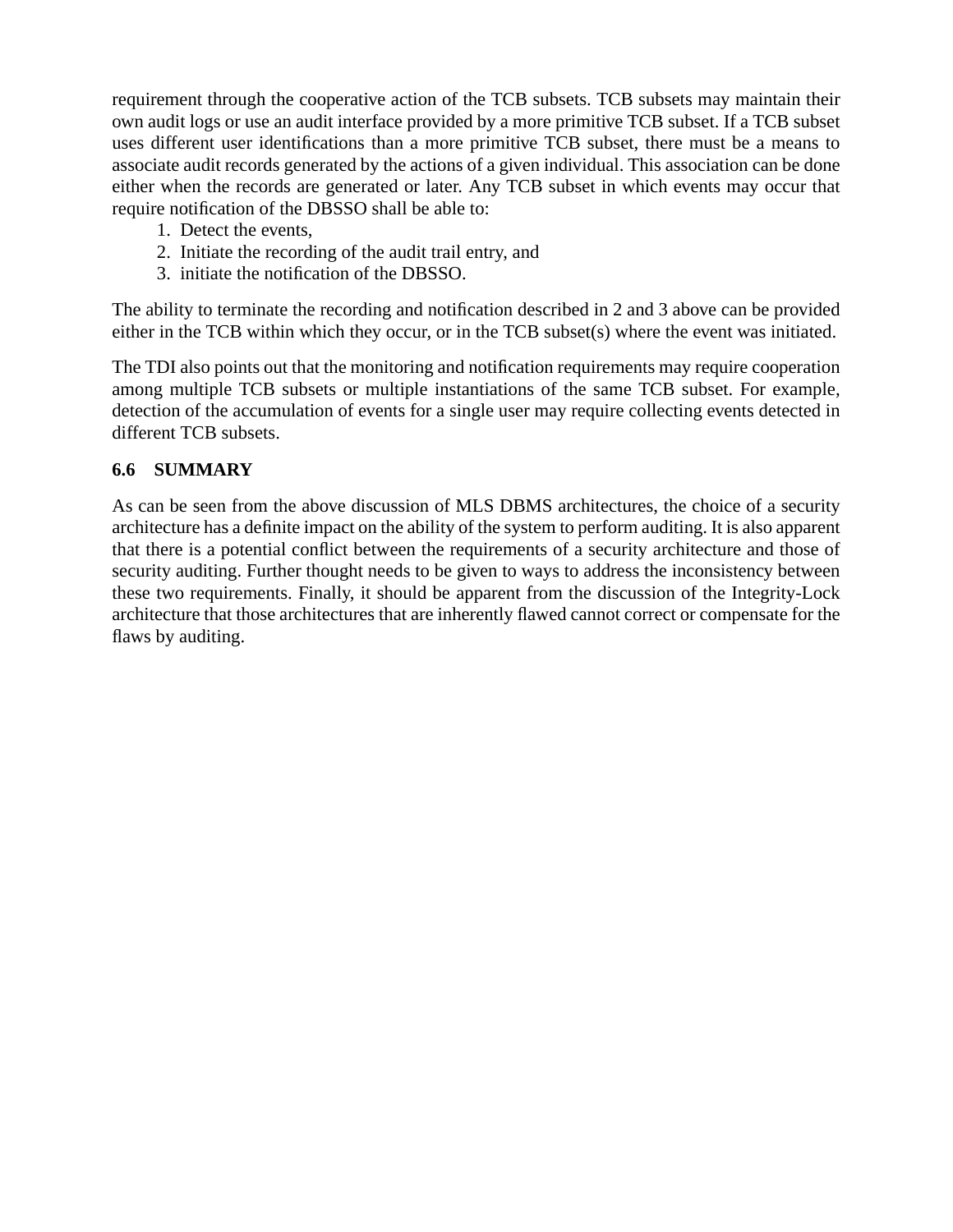requirement through the cooperative action of the TCB subsets. TCB subsets may maintain their own audit logs or use an audit interface provided by a more primitive TCB subset. If a TCB subset uses different user identifications than a more primitive TCB subset, there must be a means to associate audit records generated by the actions of a given individual. This association can be done either when the records are generated or later. Any TCB subset in which events may occur that require notification of the DBSSO shall be able to:

- 1. Detect the events,
- 2. Initiate the recording of the audit trail entry, and
- 3. initiate the notification of the DBSSO.

The ability to terminate the recording and notification described in 2 and 3 above can be provided either in the TCB within which they occur, or in the TCB subset(s) where the event was initiated.

The TDI also points out that the monitoring and notification requirements may require cooperation among multiple TCB subsets or multiple instantiations of the same TCB subset. For example, detection of the accumulation of events for a single user may require collecting events detected in different TCB subsets.

#### **6.6 SUMMARY**

As can be seen from the above discussion of MLS DBMS architectures, the choice of a security architecture has a definite impact on the ability of the system to perform auditing. It is also apparent that there is a potential conflict between the requirements of a security architecture and those of security auditing. Further thought needs to be given to ways to address the inconsistency between these two requirements. Finally, it should be apparent from the discussion of the Integrity-Lock architecture that those architectures that are inherently flawed cannot correct or compensate for the flaws by auditing.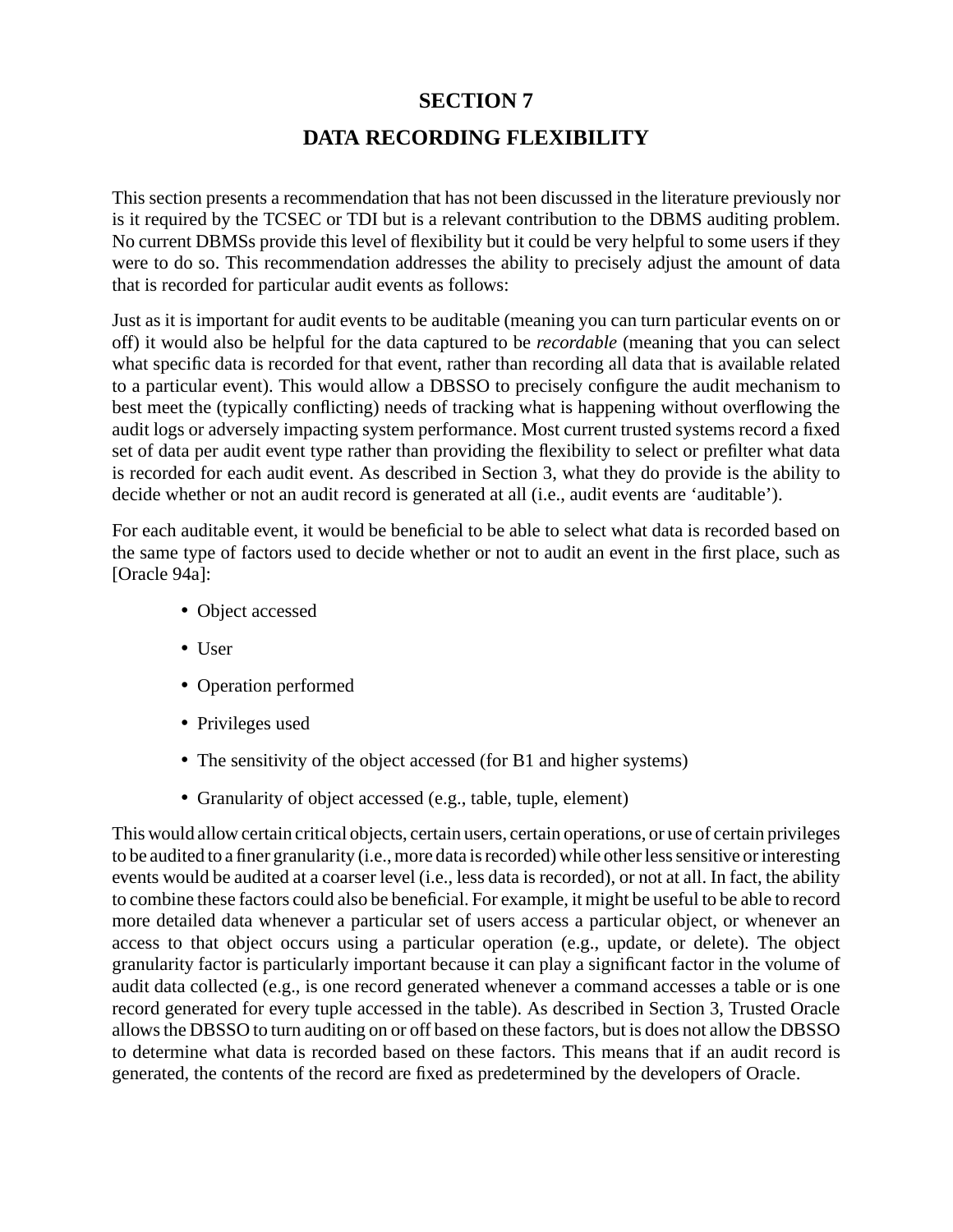### **SECTION 7**

## **DATA RECORDING FLEXIBILITY**

This section presents a recommendation that has not been discussed in the literature previously nor is it required by the TCSEC or TDI but is a relevant contribution to the DBMS auditing problem. No current DBMSs provide this level of flexibility but it could be very helpful to some users if they were to do so. This recommendation addresses the ability to precisely adjust the amount of data that is recorded for particular audit events as follows:

Just as it is important for audit events to be auditable (meaning you can turn particular events on or off) it would also be helpful for the data captured to be *recordable* (meaning that you can select what specific data is recorded for that event, rather than recording all data that is available related to a particular event). This would allow a DBSSO to precisely configure the audit mechanism to best meet the (typically conflicting) needs of tracking what is happening without overflowing the audit logs or adversely impacting system performance. Most current trusted systems record a fixed set of data per audit event type rather than providing the flexibility to select or prefilter what data is recorded for each audit event. As described in Section 3, what they do provide is the ability to decide whether or not an audit record is generated at all (i.e., audit events are 'auditable').

For each auditable event, it would be beneficial to be able to select what data is recorded based on the same type of factors used to decide whether or not to audit an event in the first place, such as [Oracle 94a]:

- Object accessed
- User
- Operation performed
- Privileges used
- The sensitivity of the object accessed (for B1 and higher systems)
- Granularity of object accessed (e.g., table, tuple, element)

This would allow certain critical objects, certain users, certain operations, or use of certain privileges to be audited to a finer granularity (i.e., more data is recorded) while other less sensitive or interesting events would be audited at a coarser level (i.e., less data is recorded), or not at all. In fact, the ability to combine these factors could also be beneficial. For example, it might be useful to be able to record more detailed data whenever a particular set of users access a particular object, or whenever an access to that object occurs using a particular operation (e.g., update, or delete). The object granularity factor is particularly important because it can play a significant factor in the volume of audit data collected (e.g., is one record generated whenever a command accesses a table or is one record generated for every tuple accessed in the table). As described in Section 3, Trusted Oracle allows the DBSSO to turn auditing on or off based on these factors, but is does not allow the DBSSO to determine what data is recorded based on these factors. This means that if an audit record is generated, the contents of the record are fixed as predetermined by the developers of Oracle.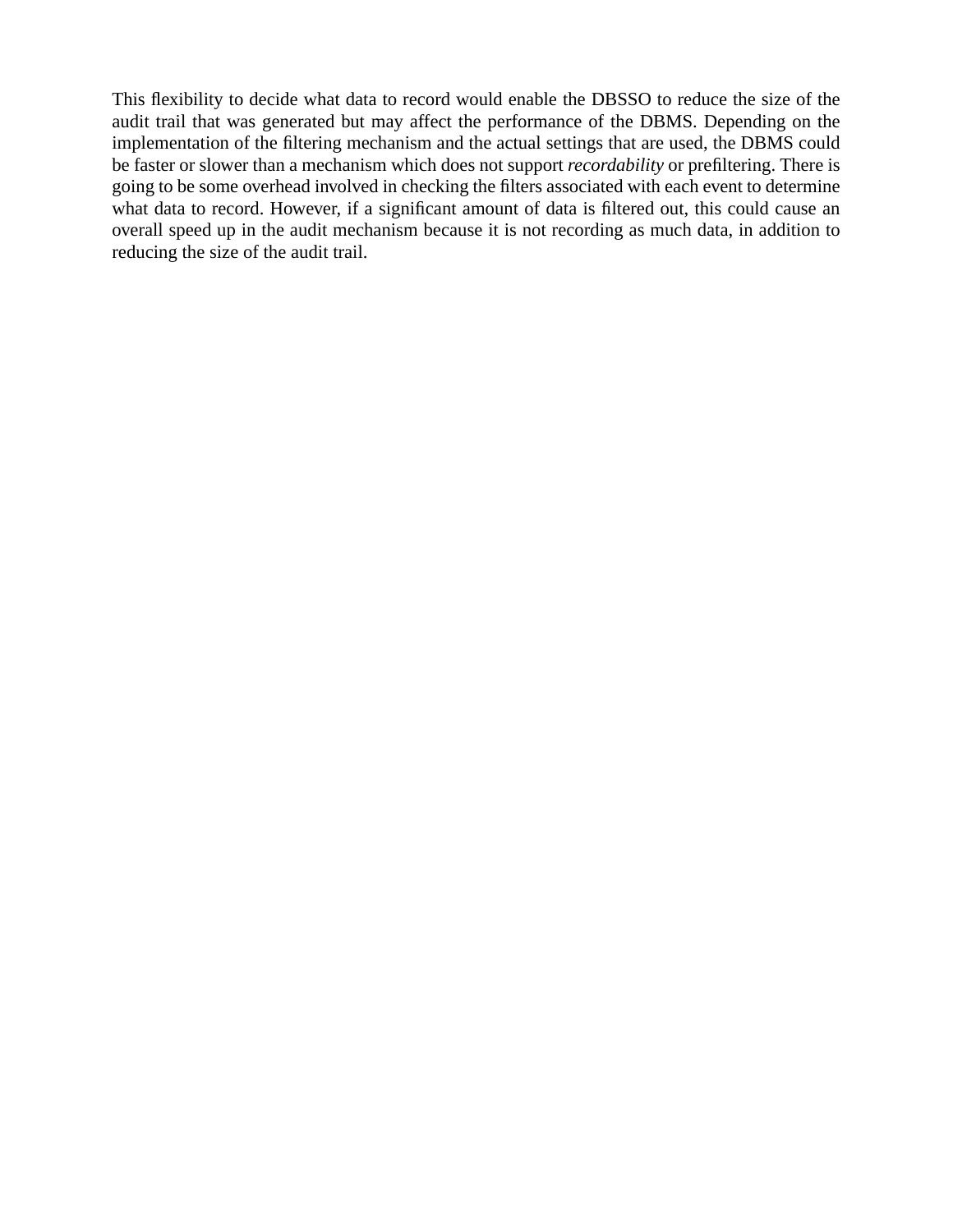This flexibility to decide what data to record would enable the DBSSO to reduce the size of the audit trail that was generated but may affect the performance of the DBMS. Depending on the implementation of the filtering mechanism and the actual settings that are used, the DBMS could be faster or slower than a mechanism which does not support *recordability* or prefiltering. There is going to be some overhead involved in checking the filters associated with each event to determine what data to record. However, if a significant amount of data is filtered out, this could cause an overall speed up in the audit mechanism because it is not recording as much data, in addition to reducing the size of the audit trail.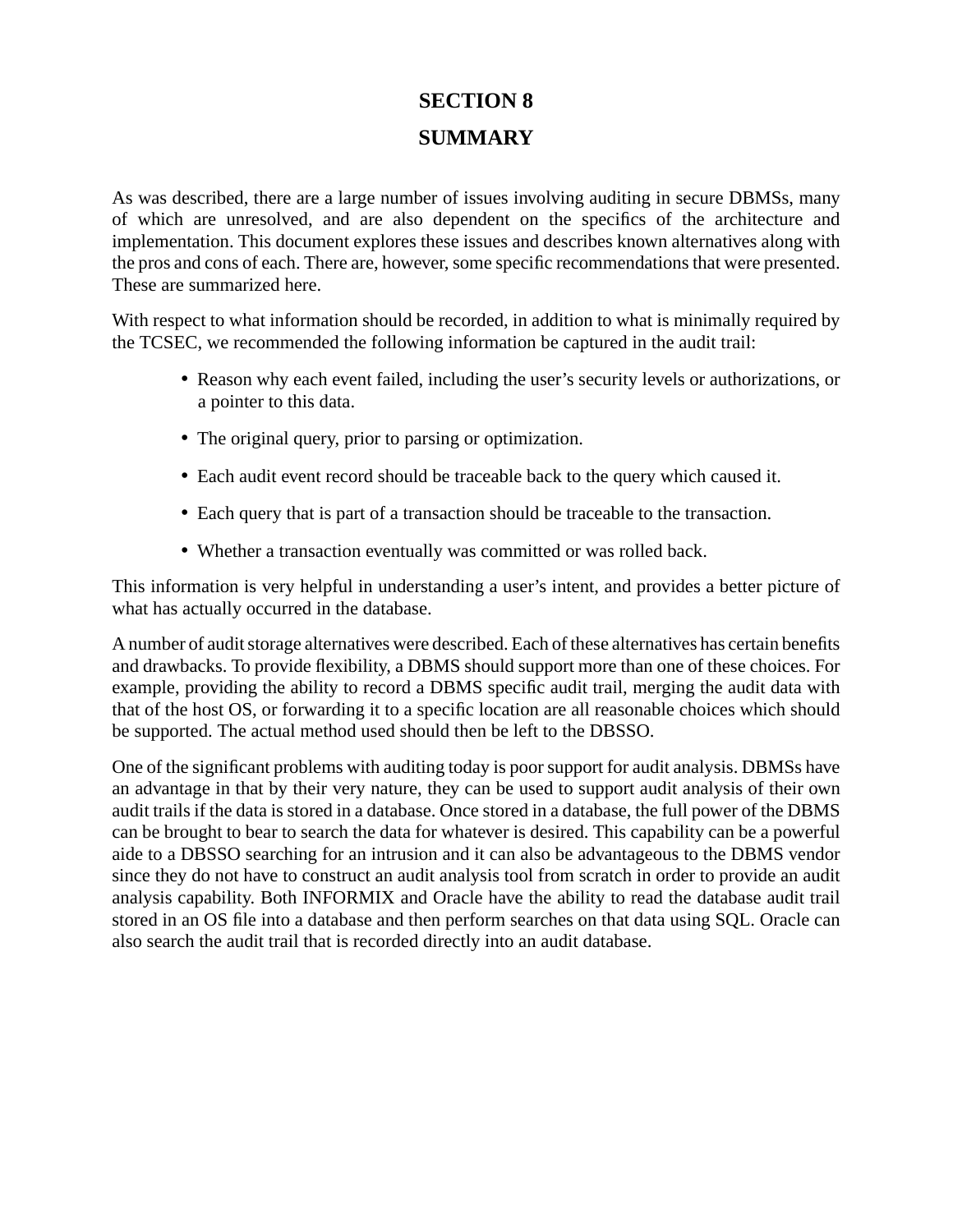# **SECTION 8 SUMMARY**

As was described, there are a large number of issues involving auditing in secure DBMSs, many of which are unresolved, and are also dependent on the specifics of the architecture and implementation. This document explores these issues and describes known alternatives along with the pros and cons of each. There are, however, some specific recommendations that were presented. These are summarized here.

With respect to what information should be recorded, in addition to what is minimally required by the TCSEC, we recommended the following information be captured in the audit trail:

- Reason why each event failed, including the user's security levels or authorizations, or a pointer to this data.
- The original query, prior to parsing or optimization.
- Each audit event record should be traceable back to the query which caused it.
- Each query that is part of a transaction should be traceable to the transaction.
- Whether a transaction eventually was committed or was rolled back.

This information is very helpful in understanding a user's intent, and provides a better picture of what has actually occurred in the database.

A number of audit storage alternatives were described. Each of these alternatives has certain benefits and drawbacks. To provide flexibility, a DBMS should support more than one of these choices. For example, providing the ability to record a DBMS specific audit trail, merging the audit data with that of the host OS, or forwarding it to a specific location are all reasonable choices which should be supported. The actual method used should then be left to the DBSSO.

One of the significant problems with auditing today is poor support for audit analysis. DBMSs have an advantage in that by their very nature, they can be used to support audit analysis of their own audit trails if the data is stored in a database. Once stored in a database, the full power of the DBMS can be brought to bear to search the data for whatever is desired. This capability can be a powerful aide to a DBSSO searching for an intrusion and it can also be advantageous to the DBMS vendor since they do not have to construct an audit analysis tool from scratch in order to provide an audit analysis capability. Both INFORMIX and Oracle have the ability to read the database audit trail stored in an OS file into a database and then perform searches on that data using SQL. Oracle can also search the audit trail that is recorded directly into an audit database.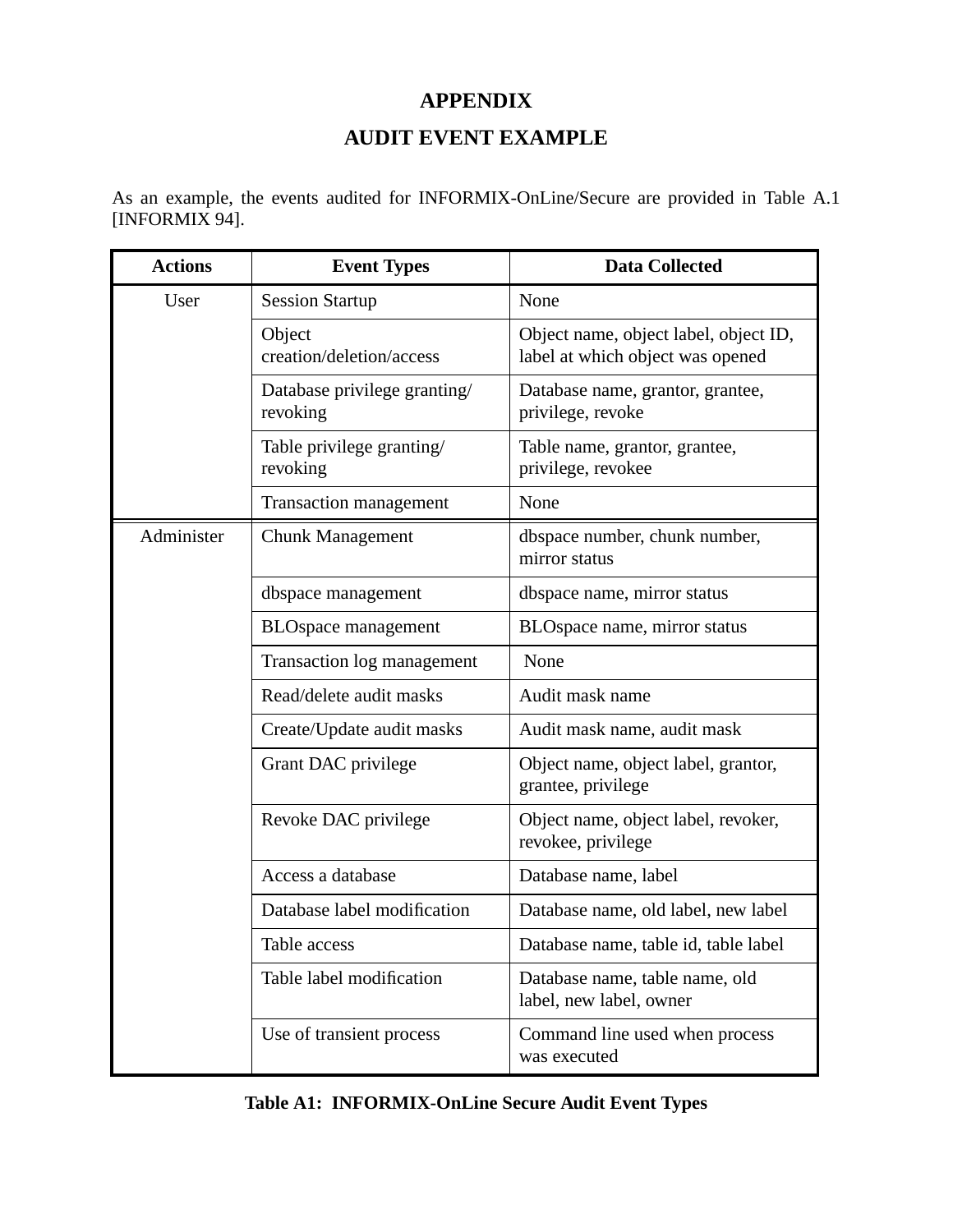# **APPENDIX**

## **AUDIT EVENT EXAMPLE**

As an example, the events audited for INFORMIX-OnLine/Secure are provided in Table A.1 [INFORMIX 94].

| <b>Actions</b> | <b>Event Types</b>                       | <b>Data Collected</b>                                                     |
|----------------|------------------------------------------|---------------------------------------------------------------------------|
| User           | <b>Session Startup</b>                   | None                                                                      |
|                | Object<br>creation/deletion/access       | Object name, object label, object ID,<br>label at which object was opened |
|                | Database privilege granting/<br>revoking | Database name, grantor, grantee,<br>privilege, revoke                     |
|                | Table privilege granting/<br>revoking    | Table name, grantor, grantee,<br>privilege, revokee                       |
|                | <b>Transaction management</b>            | None                                                                      |
| Administer     | <b>Chunk Management</b>                  | dbspace number, chunk number,<br>mirror status                            |
|                | dbspace management                       | dbspace name, mirror status                                               |
|                | <b>BLOspace</b> management               | BLOspace name, mirror status                                              |
|                | Transaction log management               | None                                                                      |
|                | Read/delete audit masks                  | Audit mask name                                                           |
|                | Create/Update audit masks                | Audit mask name, audit mask                                               |
|                | Grant DAC privilege                      | Object name, object label, grantor,<br>grantee, privilege                 |
|                | Revoke DAC privilege                     | Object name, object label, revoker,<br>revokee, privilege                 |
|                | Access a database                        | Database name, label                                                      |
|                | Database label modification              | Database name, old label, new label                                       |
|                | Table access                             | Database name, table id, table label                                      |
|                | Table label modification                 | Database name, table name, old<br>label, new label, owner                 |
|                | Use of transient process                 | Command line used when process<br>was executed                            |

|  | <b>Table A1: INFORMIX-OnLine Secure Audit Event Types</b> |  |
|--|-----------------------------------------------------------|--|
|--|-----------------------------------------------------------|--|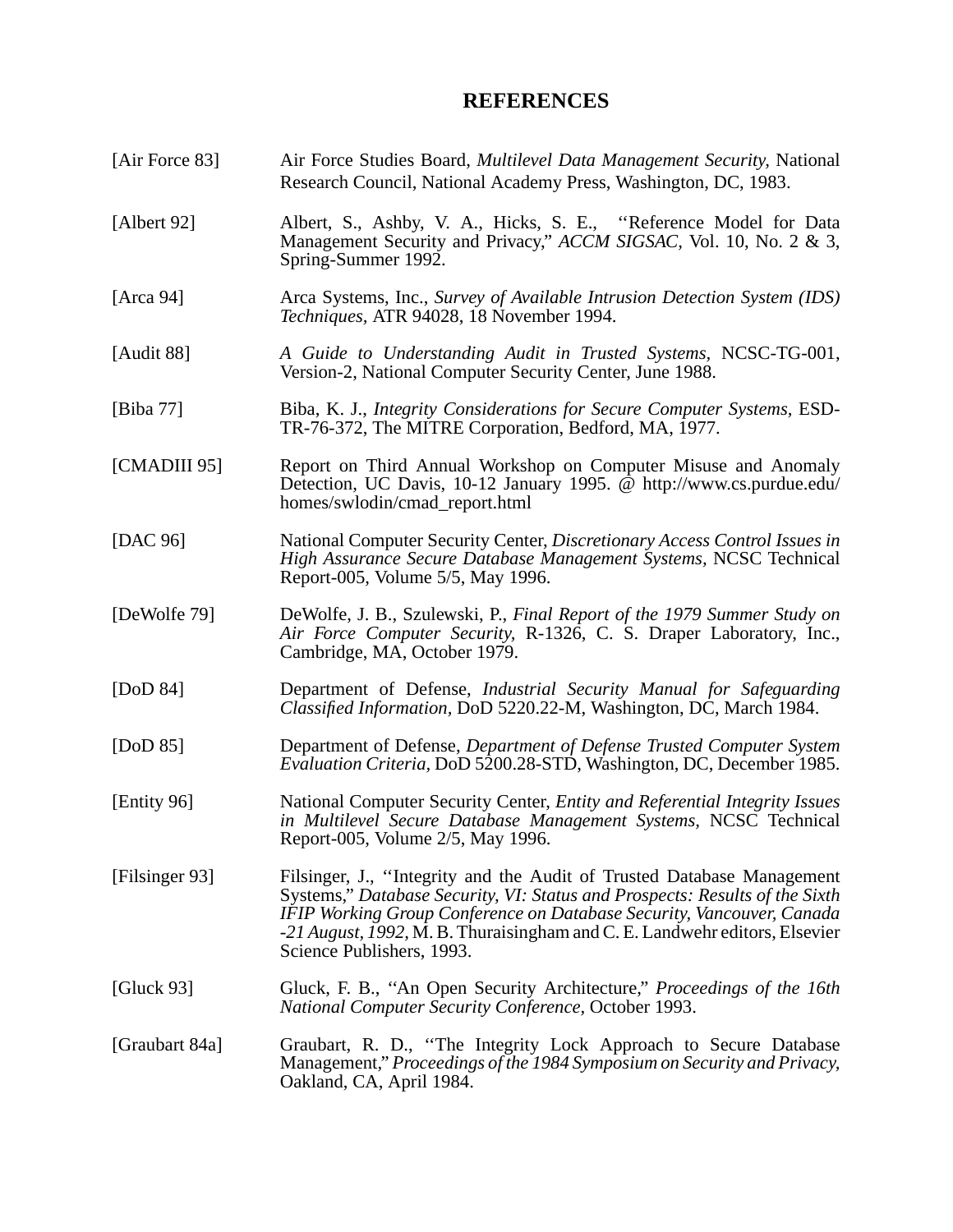#### **REFERENCES**

[Air Force 83] Air Force Studies Board, *Multilevel Data Management Security,* National Research Council, National Academy Press, Washington, DC, 1983. [Albert 92] Albert, S., Ashby, V. A., Hicks, S. E., ''Reference Model for Data Management Security and Privacy," *ACCM SIGSAC,* Vol. 10, No. 2 & 3, Spring-Summer 1992. [Arca 94] Arca Systems, Inc., *Survey of Available Intrusion Detection System (IDS) Techniques,* ATR 94028, 18 November 1994. [Audit 88] *A Guide to Understanding Audit in Trusted Systems,* NCSC-TG-001, Version-2, National Computer Security Center, June 1988. [Biba 77] Biba, K. J., *Integrity Considerations for Secure Computer Systems,* ESD-TR-76-372, The MITRE Corporation, Bedford, MA, 1977. [CMADIII 95] Report on Third Annual Workshop on Computer Misuse and Anomaly Detection, UC Davis, 10-12 January 1995. @ http://www.cs.purdue.edu/ homes/swlodin/cmad\_report.html [DAC 96] National Computer Security Center, *Discretionary Access Control Issues in High Assurance Secure Database Management Systems,* NCSC Technical Report-005, Volume 5/5, May 1996. [DeWolfe 79] DeWolfe, J. B., Szulewski, P., *Final Report of the 1979 Summer Study on Air Force Computer Security,* R-1326, C. S. Draper Laboratory, Inc., Cambridge, MA, October 1979. [DoD 84] Department of Defense, *Industrial Security Manual for Safeguarding Classified Information,* DoD 5220.22-M, Washington, DC, March 1984. [DoD 85] Department of Defense, *Department of Defense Trusted Computer System Evaluation Criteria,* DoD 5200.28-STD, Washington, DC, December 1985. [Entity 96] National Computer Security Center, *Entity and Referential Integrity Issues in Multilevel Secure Database Management Systems,* NCSC Technical Report-005, Volume 2/5, May 1996. [Filsinger 93] Filsinger, J., ''Integrity and the Audit of Trusted Database Management Systems," *Database Security, VI: Status and Prospects: Results of the Sixth IFIP Working Group Conference on Database Security, Vancouver, Canada -21 August, 1992,* M. B. Thuraisingham and C. E. Landwehr editors, Elsevier Science Publishers, 1993. [Gluck 93] Gluck, F. B., ''An Open Security Architecture," *Proceedings of the 16th National Computer Security Conference,* October 1993. [Graubart 84a] Graubart, R. D., ''The Integrity Lock Approach to Secure Database Management," *Proceedings of the 1984 Symposium on Security and Privacy,* Oakland, CA, April 1984.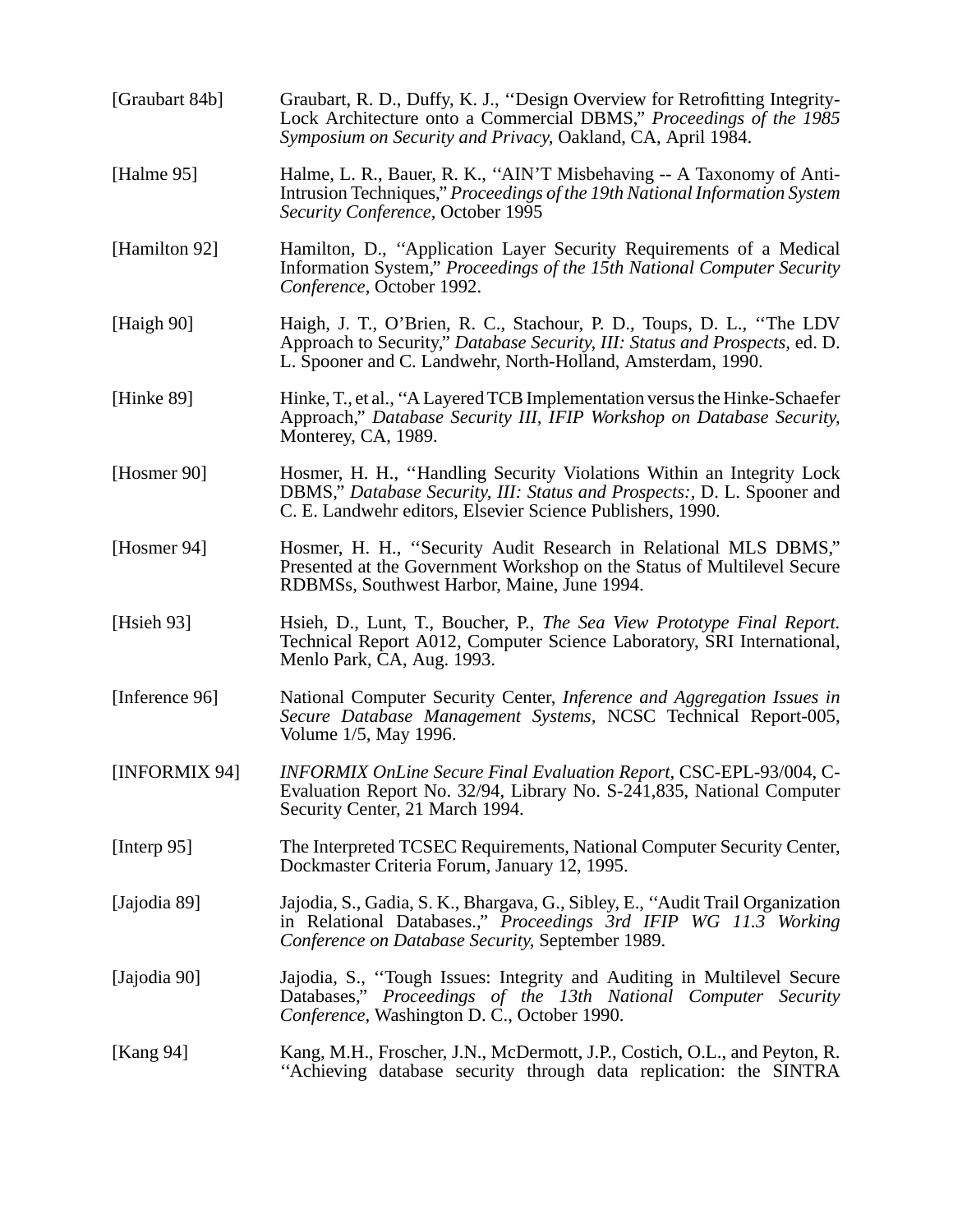| [Graubart 84b] | Graubart, R. D., Duffy, K. J., "Design Overview for Retrofitting Integrity-<br>Lock Architecture onto a Commercial DBMS," Proceedings of the 1985<br>Symposium on Security and Privacy, Oakland, CA, April 1984.    |
|----------------|---------------------------------------------------------------------------------------------------------------------------------------------------------------------------------------------------------------------|
| [Halme 95]     | Halme, L. R., Bauer, R. K., "AIN'T Misbehaving -- A Taxonomy of Anti-<br>Intrusion Techniques," Proceedings of the 19th National Information System<br>Security Conference, October 1995                            |
| [Hamilton 92]  | Hamilton, D., "Application Layer Security Requirements of a Medical<br>Information System," Proceedings of the 15th National Computer Security<br>Conference, October 1992.                                         |
| [Haigh 90]     | Haigh, J. T., O'Brien, R. C., Stachour, P. D., Toups, D. L., "The LDV<br>Approach to Security," Database Security, III: Status and Prospects, ed. D.<br>L. Spooner and C. Landwehr, North-Holland, Amsterdam, 1990. |
| [Hinke $89$ ]  | Hinke, T., et al., "A Layered TCB Implementation versus the Hinke-Schaefer<br>Approach," Database Security III, IFIP Workshop on Database Security,<br>Monterey, CA, 1989.                                          |
| [Hosmer 90]    | Hosmer, H. H., "Handling Security Violations Within an Integrity Lock<br>DBMS," Database Security, III: Status and Prospects:, D. L. Spooner and<br>C. E. Landwehr editors, Elsevier Science Publishers, 1990.      |
| [Hosmer 94]    | Hosmer, H. H., "Security Audit Research in Relational MLS DBMS,"<br>Presented at the Government Workshop on the Status of Multilevel Secure<br>RDBMSs, Southwest Harbor, Maine, June 1994.                          |
| [Hsieh $93$ ]  | Hsieh, D., Lunt, T., Boucher, P., The Sea View Prototype Final Report.<br>Technical Report A012, Computer Science Laboratory, SRI International,<br>Menlo Park, CA, Aug. 1993.                                      |
| [Inference 96] | National Computer Security Center, Inference and Aggregation Issues in<br>Secure Database Management Systems, NCSC Technical Report-005,<br>Volume 1/5, May 1996.                                                   |
| [INFORMIX 94]  | <b>INFORMIX OnLine Secure Final Evaluation Report, CSC-EPL-93/004, C-</b><br>Evaluation Report No. 32/94, Library No. S-241,835, National Computer<br>Security Center, 21 March 1994.                               |
| [Interp 95]    | The Interpreted TCSEC Requirements, National Computer Security Center,<br>Dockmaster Criteria Forum, January 12, 1995.                                                                                              |
| [Jajodia 89]   | Jajodia, S., Gadia, S. K., Bhargava, G., Sibley, E., "Audit Trail Organization<br>in Relational Databases.," Proceedings 3rd IFIP WG 11.3 Working<br>Conference on Database Security, September 1989.               |
| [Jajodia 90]   | Jajodia, S., "Tough Issues: Integrity and Auditing in Multilevel Secure<br>Databases," Proceedings of the 13th National Computer Security<br>Conference, Washington D. C., October 1990.                            |
| [Kang 94]      | Kang, M.H., Froscher, J.N., McDermott, J.P., Costich, O.L., and Peyton, R.<br>"Achieving database security through data replication: the SINTRA                                                                     |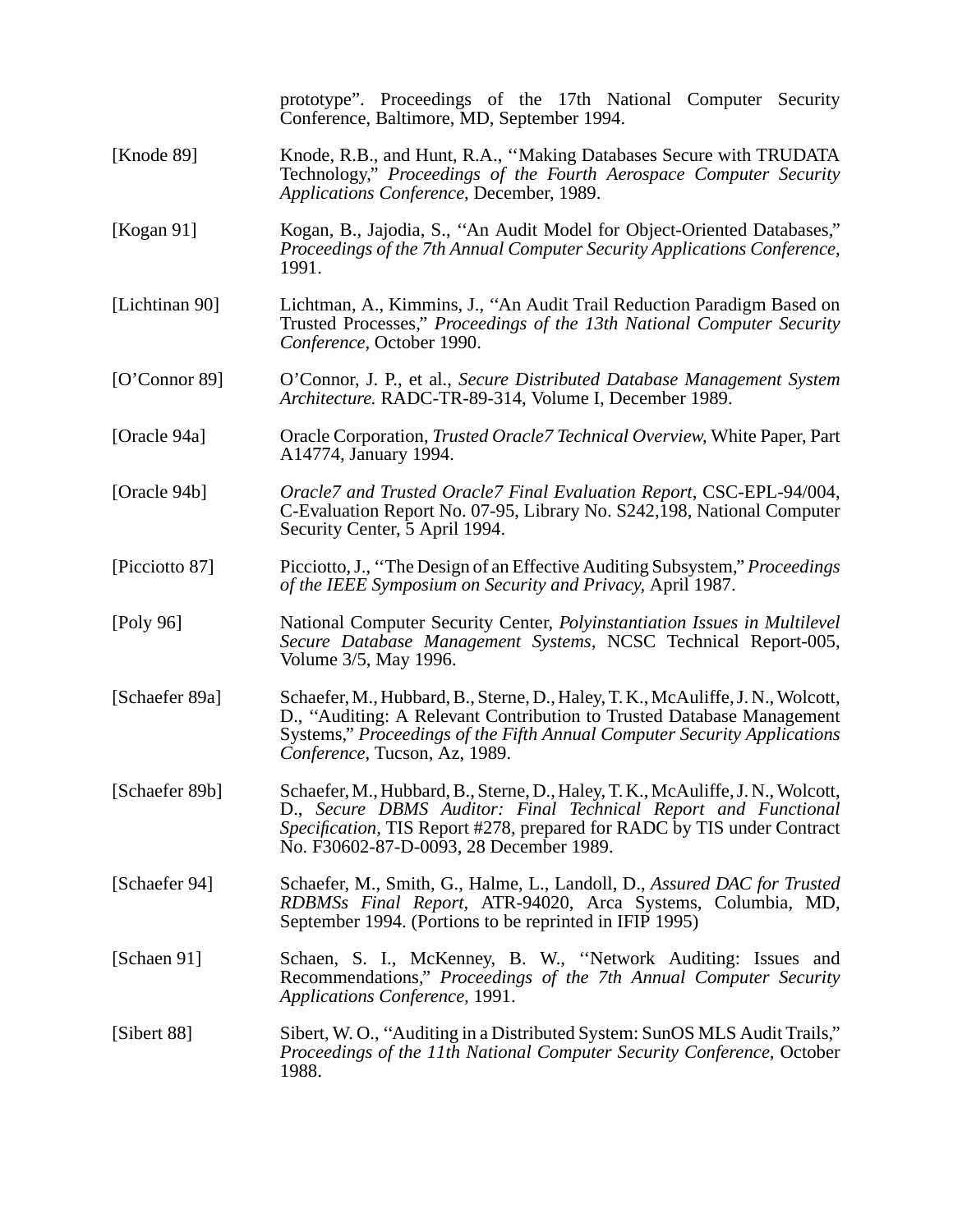|                | prototype". Proceedings of the 17th National Computer Security<br>Conference, Baltimore, MD, September 1994.                                                                                                                                                            |  |  |
|----------------|-------------------------------------------------------------------------------------------------------------------------------------------------------------------------------------------------------------------------------------------------------------------------|--|--|
| [Knode 89]     | Knode, R.B., and Hunt, R.A., "Making Databases Secure with TRUDATA<br>Technology," Proceedings of the Fourth Aerospace Computer Security<br>Applications Conference, December, 1989.                                                                                    |  |  |
| [Kogan $91$ ]  | Kogan, B., Jajodia, S., "An Audit Model for Object-Oriented Databases,"<br>Proceedings of the 7th Annual Computer Security Applications Conference,<br>1991.                                                                                                            |  |  |
| [Lichtinan 90] | Lichtman, A., Kimmins, J., "An Audit Trail Reduction Paradigm Based on<br>Trusted Processes," Proceedings of the 13th National Computer Security<br>Conference, October 1990.                                                                                           |  |  |
| [O'Connect 89] | O'Connor, J. P., et al., Secure Distributed Database Management System<br>Architecture. RADC-TR-89-314, Volume I, December 1989.                                                                                                                                        |  |  |
| [Oracle 94a]   | Oracle Corporation, <i>Trusted Oracle7 Technical Overview</i> , White Paper, Part<br>A14774, January 1994.                                                                                                                                                              |  |  |
| [Oracle 94b]   | Oracle7 and Trusted Oracle7 Final Evaluation Report, CSC-EPL-94/004,<br>C-Evaluation Report No. 07-95, Library No. S242,198, National Computer<br>Security Center, 5 April 1994.                                                                                        |  |  |
| [Picciotto 87] | Picciotto, J., "The Design of an Effective Auditing Subsystem," Proceedings<br>of the IEEE Symposium on Security and Privacy, April 1987.                                                                                                                               |  |  |
| [Poly 96]      | National Computer Security Center, Polyinstantiation Issues in Multilevel<br>Secure Database Management Systems, NCSC Technical Report-005,<br>Volume 3/5, May 1996.                                                                                                    |  |  |
| [Schaefer 89a] | Schaefer, M., Hubbard, B., Sterne, D., Haley, T. K., McAuliffe, J. N., Wolcott,<br>D., "Auditing: A Relevant Contribution to Trusted Database Management<br>Systems," Proceedings of the Fifth Annual Computer Security Applications<br>Conference, Tucson, Az, 1989.   |  |  |
| [Schaefer 89b] | Schaefer, M., Hubbard, B., Sterne, D., Haley, T. K., McAuliffe, J. N., Wolcott,<br>D., Secure DBMS Auditor: Final Technical Report and Functional<br>Specification, TIS Report #278, prepared for RADC by TIS under Contract<br>No. F30602-87-D-0093, 28 December 1989. |  |  |
| [Schaefer 94]  | Schaefer, M., Smith, G., Halme, L., Landoll, D., Assured DAC for Trusted<br>RDBMSs Final Report, ATR-94020, Arca Systems, Columbia, MD,<br>September 1994. (Portions to be reprinted in IFIP 1995)                                                                      |  |  |
| [Schaen 91]    | Schaen, S. I., McKenney, B. W., "Network Auditing: Issues and<br>Recommendations," Proceedings of the 7th Annual Computer Security<br>Applications Conference, 1991.                                                                                                    |  |  |
| [Sibert 88]    | Sibert, W. O., "Auditing in a Distributed System: SunOS MLS Audit Trails,"<br>Proceedings of the 11th National Computer Security Conference, October<br>1988.                                                                                                           |  |  |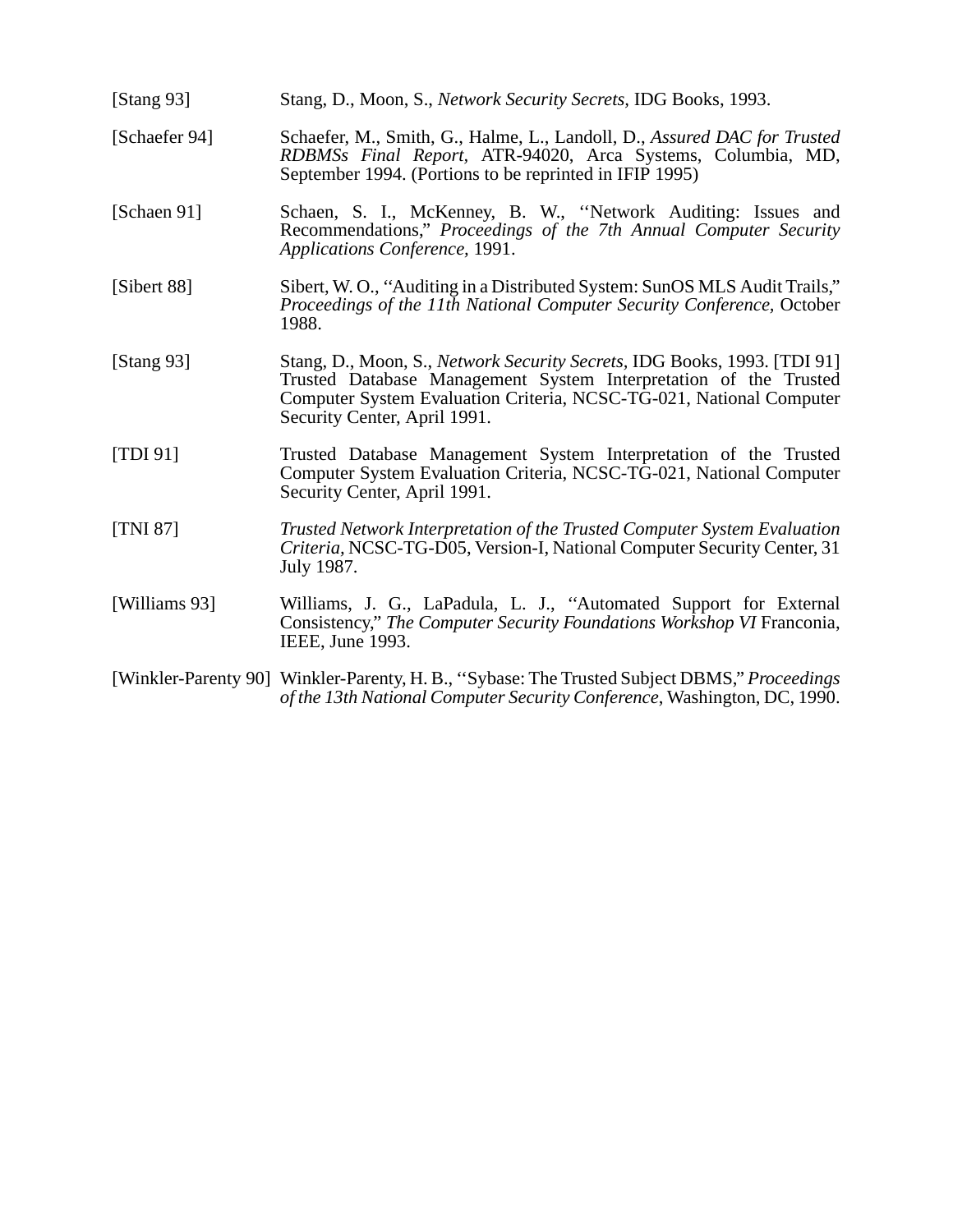| [Stang $93$ ] | Stang, D., Moon, S., Network Security Secrets, IDG Books, 1993.                                                                                                                                                                                     |
|---------------|-----------------------------------------------------------------------------------------------------------------------------------------------------------------------------------------------------------------------------------------------------|
| [Schaefer 94] | Schaefer, M., Smith, G., Halme, L., Landoll, D., Assured DAC for Trusted<br>RDBMSs Final Report, ATR-94020, Arca Systems, Columbia, MD,<br>September 1994. (Portions to be reprinted in IFIP 1995)                                                  |
| [Schaen 91]   | Schaen, S. I., McKenney, B. W., "Network Auditing: Issues and<br>Recommendations," Proceedings of the 7th Annual Computer Security<br>Applications Conference, 1991.                                                                                |
| [Sibert 88]   | Sibert, W.O., "Auditing in a Distributed System: SunOS MLS Audit Trails,"<br>Proceedings of the 11th National Computer Security Conference, October<br>1988.                                                                                        |
| [Stang $93$ ] | Stang, D., Moon, S., Network Security Secrets, IDG Books, 1993. [TDI 91]<br>Trusted Database Management System Interpretation of the Trusted<br>Computer System Evaluation Criteria, NCSC-TG-021, National Computer<br>Security Center, April 1991. |
| [TDI 91]      | Trusted Database Management System Interpretation of the Trusted<br>Computer System Evaluation Criteria, NCSC-TG-021, National Computer<br>Security Center, April 1991.                                                                             |
| [TNI 87]      | Trusted Network Interpretation of the Trusted Computer System Evaluation<br>Criteria, NCSC-TG-D05, Version-I, National Computer Security Center, 31<br>July 1987.                                                                                   |
| [Williams 93] | Williams, J. G., LaPadula, L. J., "Automated Support for External<br>Consistency," The Computer Security Foundations Workshop VI Franconia,<br>IEEE, June 1993.                                                                                     |
|               | [Winkler-Parenty 90] Winkler-Parenty, H. B., "Sybase: The Trusted Subject DBMS," Proceedings<br>of the 13th National Computer Security Conference, Washington, DC, 1990.                                                                            |